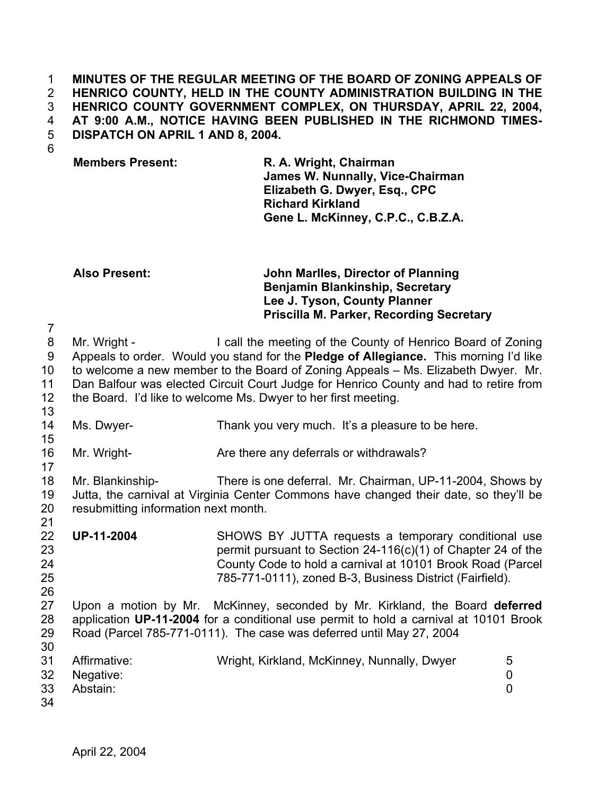### **MINUTES OF THE REGULAR MEETING OF THE BOARD OF ZONING APPEALS OF HENRICO COUNTY, HELD IN THE COUNTY ADMINISTRATION BUILDING IN THE HENRICO COUNTY GOVERNMENT COMPLEX, ON THURSDAY, APRIL 22, 2004, AT 9:00 A.M., NOTICE HAVING BEEN PUBLISHED IN THE RICHMOND TIMES-DISPATCH ON APRIL 1 AND 8, 2004.**  1 2 3 4 5

6

7

15

17

21

26

**Members Present: R. A. Wright, Chairman James W. Nunnally, Vice-Chairman Elizabeth G. Dwyer, Esq., CPC Richard Kirkland Gene L. McKinney, C.P.C., C.B.Z.A.** 

## **Also Present: John Marlles, Director of Planning Benjamin Blankinship, Secretary Lee J. Tyson, County Planner Priscilla M. Parker, Recording Secretary**

8 9 10 11 12 13 Mr. Wright - I call the meeting of the County of Henrico Board of Zoning Appeals to order. Would you stand for the **Pledge of Allegiance.** This morning I'd like to welcome a new member to the Board of Zoning Appeals – Ms. Elizabeth Dwyer. Mr. Dan Balfour was elected Circuit Court Judge for Henrico County and had to retire from the Board. I'd like to welcome Ms. Dwyer to her first meeting.

- 14 Ms. Dwyer- Thank you very much. It's a pleasure to be here.
- 16 Mr. Wright- **Are there any deferrals or withdrawals**?
- 18 19 20 Mr. Blankinship- There is one deferral. Mr. Chairman, UP-11-2004, Shows by Jutta, the carnival at Virginia Center Commons have changed their date, so they'll be resubmitting information next month.
- 22 23 24 25 **UP-11-2004** SHOWS BY JUTTA requests a temporary conditional use permit pursuant to Section 24-116(c)(1) of Chapter 24 of the County Code to hold a carnival at 10101 Brook Road (Parcel 785-771-0111), zoned B-3, Business District (Fairfield).
- 27 28 29 30 Upon a motion by Mr. McKinney, seconded by Mr. Kirkland, the Board **deferred** application **UP-11-2004** for a conditional use permit to hold a carnival at 10101 Brook Road (Parcel 785-771-0111). The case was deferred until May 27, 2004

| 31 | Affirmative: | Wright, Kirkland, McKinney, Nunnally, Dwyer |  |
|----|--------------|---------------------------------------------|--|
|    | 32 Negative: |                                             |  |
| 33 | Abstain:     |                                             |  |
| 34 |              |                                             |  |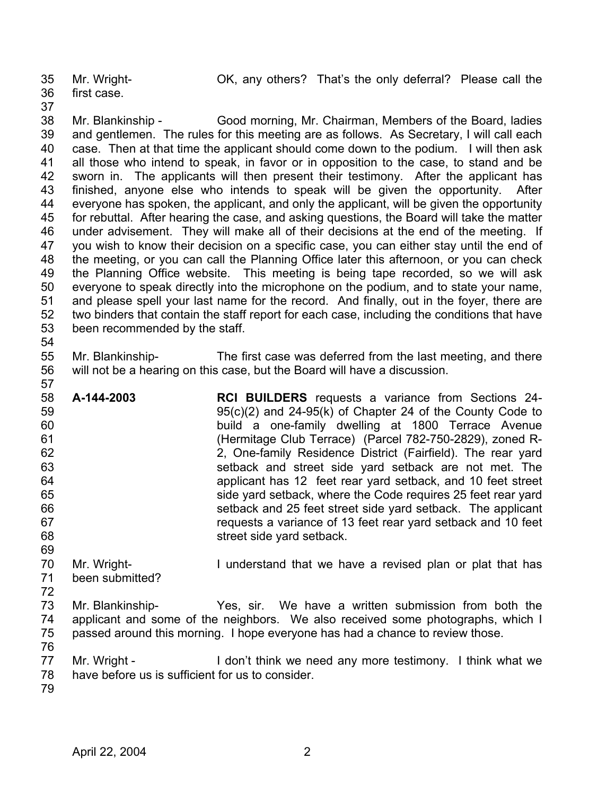35

Mr. Wright- OK, any others? That's the only deferral? Please call the

- 36 first case.
- 37
- 

38 39 40 41 42 43 44 45 46 47 48 49 50 51 52 53 54 Mr. Blankinship - Good morning, Mr. Chairman, Members of the Board, ladies and gentlemen. The rules for this meeting are as follows. As Secretary, I will call each case. Then at that time the applicant should come down to the podium. I will then ask all those who intend to speak, in favor or in opposition to the case, to stand and be sworn in. The applicants will then present their testimony. After the applicant has finished, anyone else who intends to speak will be given the opportunity. After everyone has spoken, the applicant, and only the applicant, will be given the opportunity for rebuttal. After hearing the case, and asking questions, the Board will take the matter under advisement. They will make all of their decisions at the end of the meeting. If you wish to know their decision on a specific case, you can either stay until the end of the meeting, or you can call the Planning Office later this afternoon, or you can check the Planning Office website. This meeting is being tape recorded, so we will ask everyone to speak directly into the microphone on the podium, and to state your name, and please spell your last name for the record. And finally, out in the foyer, there are two binders that contain the staff report for each case, including the conditions that have been recommended by the staff.

55 56 Mr. Blankinship- The first case was deferred from the last meeting, and there will not be a hearing on this case, but the Board will have a discussion.

- 58 59 60 61 62 63 64 65 66 67 68 69 **A-144-2003 RCI BUILDERS** requests a variance from Sections 24- 95(c)(2) and 24-95(k) of Chapter 24 of the County Code to build a one-family dwelling at 1800 Terrace Avenue (Hermitage Club Terrace) (Parcel 782-750-2829), zoned R-2, One-family Residence District (Fairfield). The rear yard setback and street side yard setback are not met. The applicant has 12 feet rear yard setback, and 10 feet street side yard setback, where the Code requires 25 feet rear yard setback and 25 feet street side yard setback. The applicant requests a variance of 13 feet rear yard setback and 10 feet street side yard setback.
- 70 71 Mr. Wright- **I** understand that we have a revised plan or plat that has been submitted?
- 72
- 73 74 75 Mr. Blankinship- Yes, sir. We have a written submission from both the applicant and some of the neighbors. We also received some photographs, which I passed around this morning. I hope everyone has had a chance to review those.
- 76

- 77 78 Mr. Wright - I don't think we need any more testimony. I think what we have before us is sufficient for us to consider.
- 79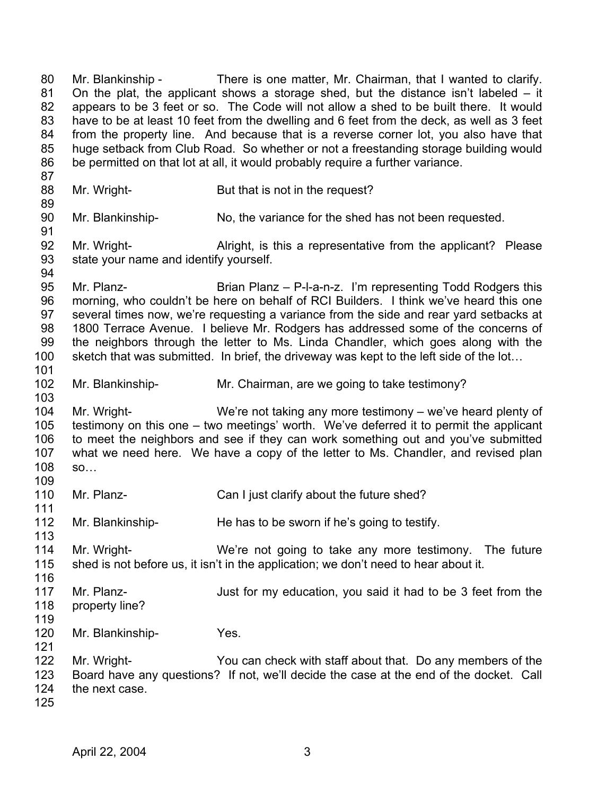80 81 82 83 84 85 86 87 88 89 90 91 92 93 94 95 96 97 98 99 100 101 102 103 104 105 106 107 108 109 110 111 112 113 114 115 116 117 118 119 120 121 122 123 124 125 Mr. Blankinship - There is one matter, Mr. Chairman, that I wanted to clarify. On the plat, the applicant shows a storage shed, but the distance isn't labeled – it appears to be 3 feet or so. The Code will not allow a shed to be built there. It would have to be at least 10 feet from the dwelling and 6 feet from the deck, as well as 3 feet from the property line. And because that is a reverse corner lot, you also have that huge setback from Club Road. So whether or not a freestanding storage building would be permitted on that lot at all, it would probably require a further variance. Mr. Wright- But that is not in the request? Mr. Blankinship- No, the variance for the shed has not been requested. Mr. Wright- **Allack** is this a representative from the applicant? Please state your name and identify yourself. Mr. Planz- Brian Planz – P-l-a-n-z. I'm representing Todd Rodgers this morning, who couldn't be here on behalf of RCI Builders. I think we've heard this one several times now, we're requesting a variance from the side and rear yard setbacks at 1800 Terrace Avenue. I believe Mr. Rodgers has addressed some of the concerns of the neighbors through the letter to Ms. Linda Chandler, which goes along with the sketch that was submitted. In brief, the driveway was kept to the left side of the lot… Mr. Blankinship- Mr. Chairman, are we going to take testimony? Mr. Wright- We're not taking any more testimony – we've heard plenty of testimony on this one – two meetings' worth. We've deferred it to permit the applicant to meet the neighbors and see if they can work something out and you've submitted what we need here. We have a copy of the letter to Ms. Chandler, and revised plan so… Mr. Planz- Can I just clarify about the future shed? Mr. Blankinship-<br>
He has to be sworn if he's going to testify. Mr. Wright- We're not going to take any more testimony. The future shed is not before us, it isn't in the application; we don't need to hear about it. Mr. Planz- **In the State of State 1** Just for my education, you said it had to be 3 feet from the property line? Mr. Blankinship- Yes. Mr. Wright- You can check with staff about that. Do any members of the Board have any questions? If not, we'll decide the case at the end of the docket. Call the next case.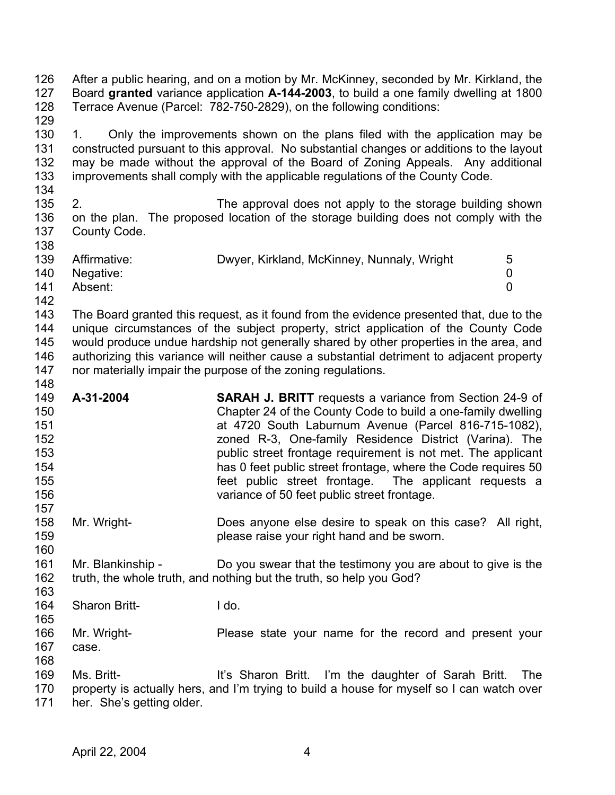126 127 128 129 130 131 132 133 134 135 136 137 138 139 140 141 142 143 144 145 146 147 148 149 150 151 152 153 154 155 156 157 158 159 160 161 162 163 164 165 166 167 168 169 170 171 After a public hearing, and on a motion by Mr. McKinney, seconded by Mr. Kirkland, the Board **granted** variance application **A-144-2003**, to build a one family dwelling at 1800 Terrace Avenue (Parcel: 782-750-2829), on the following conditions: 1. Only the improvements shown on the plans filed with the application may be constructed pursuant to this approval. No substantial changes or additions to the layout may be made without the approval of the Board of Zoning Appeals. Any additional improvements shall comply with the applicable regulations of the County Code. 2. The approval does not apply to the storage building shown on the plan. The proposed location of the storage building does not comply with the County Code. Affirmative: Dwyer, Kirkland, McKinney, Nunnaly, Wright 5 Negative: 0 Absent: 0 The Board granted this request, as it found from the evidence presented that, due to the unique circumstances of the subject property, strict application of the County Code would produce undue hardship not generally shared by other properties in the area, and authorizing this variance will neither cause a substantial detriment to adjacent property nor materially impair the purpose of the zoning regulations. **A-31-2004 SARAH J. BRITT** requests a variance from Section 24-9 of Chapter 24 of the County Code to build a one-family dwelling at 4720 South Laburnum Avenue (Parcel 816-715-1082), zoned R-3, One-family Residence District (Varina). The public street frontage requirement is not met. The applicant has 0 feet public street frontage, where the Code requires 50 feet public street frontage. The applicant requests a variance of 50 feet public street frontage. Mr. Wright- Does anyone else desire to speak on this case? All right, please raise your right hand and be sworn. Mr. Blankinship - Do you swear that the testimony you are about to give is the truth, the whole truth, and nothing but the truth, so help you God? Sharon Britt-<br>
I do. Mr. Wright- **Please state your name for the record and present your** case. Ms. Britt- **It's Sharon Britt.** I'm the daughter of Sarah Britt. The property is actually hers, and I'm trying to build a house for myself so I can watch over her. She's getting older.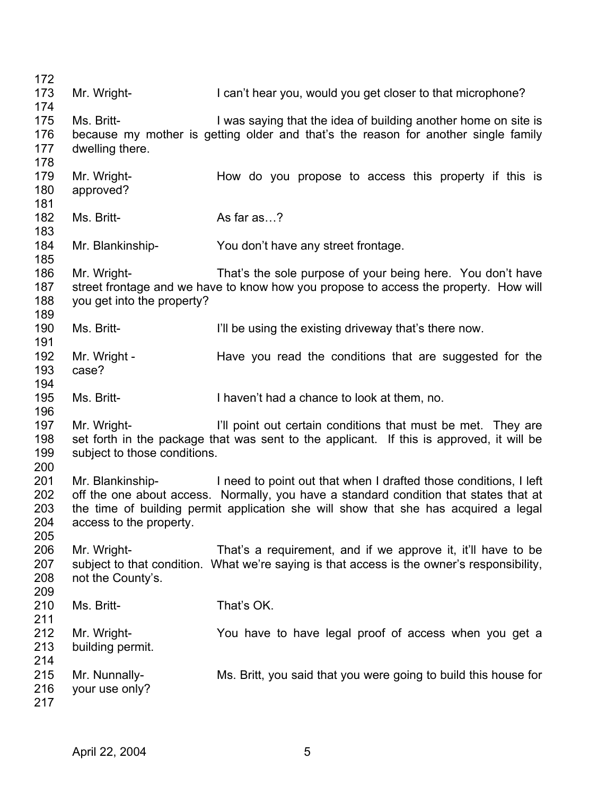172 173 174 175 176 177 178 179 180 181 182 183 184 185 186 187 188 189 190 191 192 193 194 195 196 197 198 199 200 201 202 203 204 205 206 207 208 209 210 211 212 213 214 215 216 217 Mr. Wright- I can't hear you, would you get closer to that microphone? Ms. Britt- **I** was saying that the idea of building another home on site is because my mother is getting older and that's the reason for another single family dwelling there. Mr. Wright- **How do you propose to access this property if this is** approved? Ms. Britt- As far as…? Mr. Blankinship- You don't have any street frontage. Mr. Wright- That's the sole purpose of your being here. You don't have street frontage and we have to know how you propose to access the property. How will you get into the property? Ms. Britt- I'll be using the existing driveway that's there now. Mr. Wright - Have you read the conditions that are suggested for the case? Ms. Britt- I haven't had a chance to look at them, no. Mr. Wright- **I'll point out certain conditions that must be met.** They are set forth in the package that was sent to the applicant. If this is approved, it will be subject to those conditions. Mr. Blankinship- I need to point out that when I drafted those conditions, I left off the one about access. Normally, you have a standard condition that states that at the time of building permit application she will show that she has acquired a legal access to the property. Mr. Wright- That's a requirement, and if we approve it, it'll have to be subject to that condition. What we're saying is that access is the owner's responsibility, not the County's. Ms. Britt- That's OK. Mr. Wright- You have to have legal proof of access when you get a building permit. Mr. Nunnally- Ms. Britt, you said that you were going to build this house for your use only?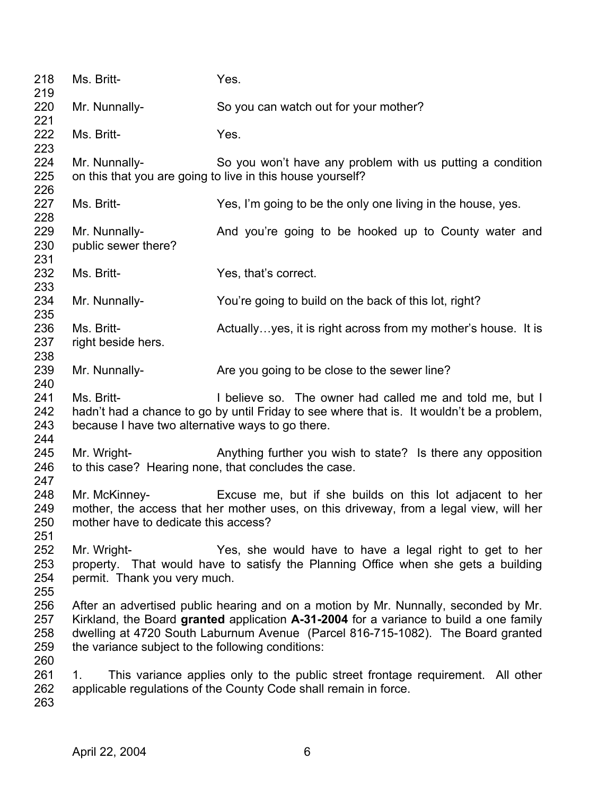| 218<br>219                      | Ms. Britt-                                                     | Yes.                                                                                                                                                                                                                                                             |
|---------------------------------|----------------------------------------------------------------|------------------------------------------------------------------------------------------------------------------------------------------------------------------------------------------------------------------------------------------------------------------|
| 220<br>221                      | Mr. Nunnally-                                                  | So you can watch out for your mother?                                                                                                                                                                                                                            |
| 222<br>223                      | Ms. Britt-                                                     | Yes.                                                                                                                                                                                                                                                             |
| 224<br>225<br>226               | Mr. Nunnally-                                                  | So you won't have any problem with us putting a condition<br>on this that you are going to live in this house yourself?                                                                                                                                          |
| 227<br>228                      | Ms. Britt-                                                     | Yes, I'm going to be the only one living in the house, yes.                                                                                                                                                                                                      |
| 229<br>230<br>231               | Mr. Nunnally-<br>public sewer there?                           | And you're going to be hooked up to County water and                                                                                                                                                                                                             |
| 232<br>233                      | Ms. Britt-                                                     | Yes, that's correct.                                                                                                                                                                                                                                             |
| 234<br>235                      | Mr. Nunnally-                                                  | You're going to build on the back of this lot, right?                                                                                                                                                                                                            |
| 236<br>237<br>238               | Ms. Britt-<br>right beside hers.                               | Actually yes, it is right across from my mother's house. It is                                                                                                                                                                                                   |
| 239<br>240                      | Mr. Nunnally-                                                  | Are you going to be close to the sewer line?                                                                                                                                                                                                                     |
| 241<br>242<br>243<br>244        | Ms. Britt-<br>because I have two alternative ways to go there. | I believe so. The owner had called me and told me, but I<br>hadn't had a chance to go by until Friday to see where that is. It wouldn't be a problem,                                                                                                            |
| 245<br>246<br>247               | Mr. Wright-                                                    | Anything further you wish to state? Is there any opposition<br>to this case? Hearing none, that concludes the case.                                                                                                                                              |
| 248<br>249<br>250<br>251        | Mr. McKinney-<br>mother have to dedicate this access?          | Excuse me, but if she builds on this lot adjacent to her<br>mother, the access that her mother uses, on this driveway, from a legal view, will her                                                                                                               |
| 252<br>253<br>254<br>255        | Mr. Wright-<br>permit. Thank you very much.                    | Yes, she would have to have a legal right to get to her<br>property. That would have to satisfy the Planning Office when she gets a building                                                                                                                     |
| 256<br>257<br>258<br>259<br>260 | the variance subject to the following conditions:              | After an advertised public hearing and on a motion by Mr. Nunnally, seconded by Mr.<br>Kirkland, the Board granted application A-31-2004 for a variance to build a one family<br>dwelling at 4720 South Laburnum Avenue (Parcel 816-715-1082). The Board granted |
| 261<br>262<br>263               | 1.                                                             | This variance applies only to the public street frontage requirement. All other<br>applicable regulations of the County Code shall remain in force.                                                                                                              |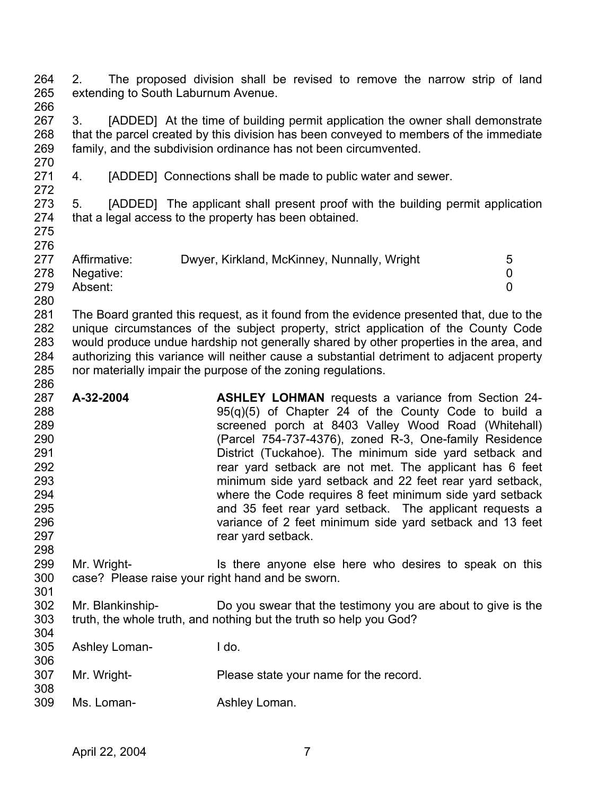264 265 266 2. The proposed division shall be revised to remove the narrow strip of land extending to South Laburnum Avenue.

267 268 269 3. [ADDED] At the time of building permit application the owner shall demonstrate that the parcel created by this division has been conveyed to members of the immediate family, and the subdivision ordinance has not been circumvented.

271 272 4. [ADDED] Connections shall be made to public water and sewer.

273 274 5. [ADDED] The applicant shall present proof with the building permit application that a legal access to the property has been obtained.

275 276

270

- 277 278 Affirmative: Dwyer, Kirkland, McKinney, Nunnally, Wright 5 Negative: 0
- 279 Absent: 0
- 280

301

304

281 282 283 284 285 286 The Board granted this request, as it found from the evidence presented that, due to the unique circumstances of the subject property, strict application of the County Code would produce undue hardship not generally shared by other properties in the area, and authorizing this variance will neither cause a substantial detriment to adjacent property nor materially impair the purpose of the zoning regulations.

- 287 288 289 290 291 292 293 294 295 296 297 298 **A-32-2004 ASHLEY LOHMAN** requests a variance from Section 24- 95(q)(5) of Chapter 24 of the County Code to build a screened porch at 8403 Valley Wood Road (Whitehall) (Parcel 754-737-4376), zoned R-3, One-family Residence District (Tuckahoe). The minimum side yard setback and rear yard setback are not met. The applicant has 6 feet minimum side yard setback and 22 feet rear yard setback, where the Code requires 8 feet minimum side yard setback and 35 feet rear yard setback. The applicant requests a variance of 2 feet minimum side yard setback and 13 feet rear yard setback.
- 299 300 Mr. Wright- **IS there anyone else here who desires to speak on this** case? Please raise your right hand and be sworn.
- 302 303 Mr. Blankinship- Do you swear that the testimony you are about to give is the truth, the whole truth, and nothing but the truth so help you God?
- 305 306 307 308 309 Ashley Loman- I do. Mr. Wright-<br>
Please state your name for the record. Ms. Loman- **Ashley Loman.**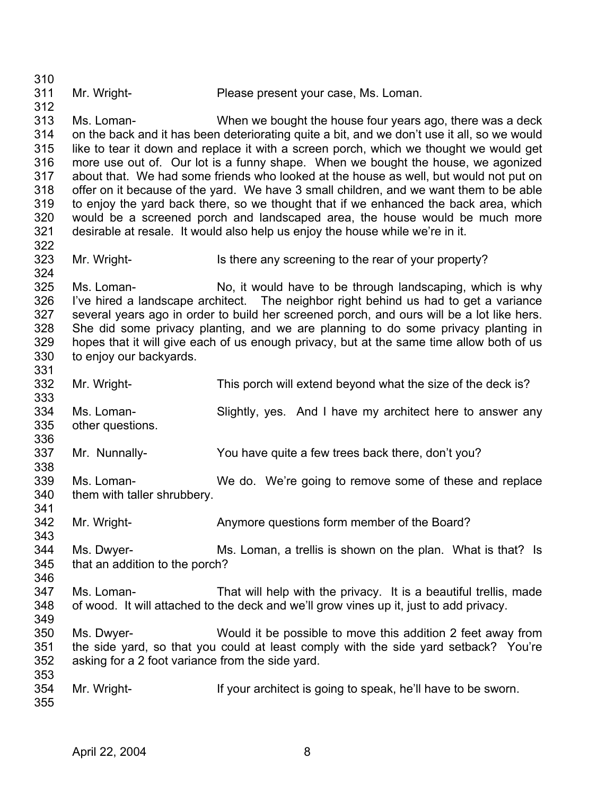310 311 312 313 314 315 316 317 318 319 320 321 322 323 324 325 326 327 328 329 330 331 332 333 334 335 336 337 338 339 340 341 342 343 344 345 346 347 348 349 350 351 352 353 354 355 Mr. Wright- Please present your case, Ms. Loman. Ms. Loman- When we bought the house four years ago, there was a deck on the back and it has been deteriorating quite a bit, and we don't use it all, so we would like to tear it down and replace it with a screen porch, which we thought we would get more use out of. Our lot is a funny shape. When we bought the house, we agonized about that. We had some friends who looked at the house as well, but would not put on offer on it because of the yard. We have 3 small children, and we want them to be able to enjoy the yard back there, so we thought that if we enhanced the back area, which would be a screened porch and landscaped area, the house would be much more desirable at resale. It would also help us enjoy the house while we're in it. Mr. Wright- Is there any screening to the rear of your property? Ms. Loman- No, it would have to be through landscaping, which is why I've hired a landscape architect. The neighbor right behind us had to get a variance several years ago in order to build her screened porch, and ours will be a lot like hers. She did some privacy planting, and we are planning to do some privacy planting in hopes that it will give each of us enough privacy, but at the same time allow both of us to enjoy our backyards. Mr. Wright- This porch will extend beyond what the size of the deck is? Ms. Loman- Slightly, yes. And I have my architect here to answer any other questions. Mr. Nunnally- You have quite a few trees back there, don't you? Ms. Loman- We do. We're going to remove some of these and replace them with taller shrubbery. Mr. Wright- **Anymore questions form member of the Board?** Ms. Dwyer- Ms. Loman, a trellis is shown on the plan. What is that? Is that an addition to the porch? Ms. Loman- That will help with the privacy. It is a beautiful trellis, made of wood. It will attached to the deck and we'll grow vines up it, just to add privacy. Ms. Dwyer- Would it be possible to move this addition 2 feet away from the side yard, so that you could at least comply with the side yard setback? You're asking for a 2 foot variance from the side yard. Mr. Wright- If your architect is going to speak, he'll have to be sworn.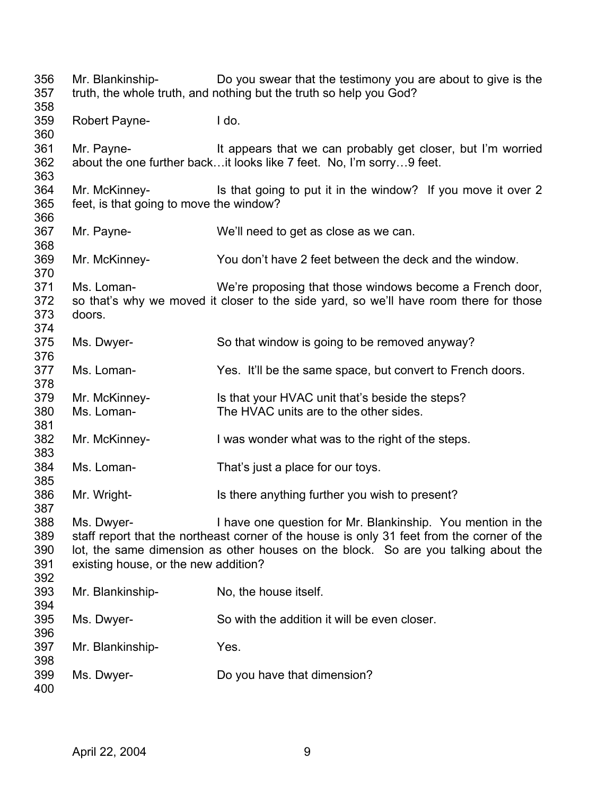| 356<br>357                      | Mr. Blankinship-                                         | Do you swear that the testimony you are about to give is the<br>truth, the whole truth, and nothing but the truth so help you God?                                                                                                              |
|---------------------------------|----------------------------------------------------------|-------------------------------------------------------------------------------------------------------------------------------------------------------------------------------------------------------------------------------------------------|
| 358<br>359<br>360               | <b>Robert Payne-</b>                                     | I do.                                                                                                                                                                                                                                           |
| 361<br>362<br>363               | Mr. Payne-                                               | It appears that we can probably get closer, but I'm worried<br>about the one further back it looks like 7 feet. No, I'm sorry9 feet.                                                                                                            |
| 364<br>365                      | Mr. McKinney-<br>feet, is that going to move the window? | Is that going to put it in the window? If you move it over 2                                                                                                                                                                                    |
| 366<br>367<br>368               | Mr. Payne-                                               | We'll need to get as close as we can.                                                                                                                                                                                                           |
| 369<br>370                      | Mr. McKinney-                                            | You don't have 2 feet between the deck and the window.                                                                                                                                                                                          |
| 371<br>372<br>373               | Ms. Loman-<br>doors.                                     | We're proposing that those windows become a French door,<br>so that's why we moved it closer to the side yard, so we'll have room there for those                                                                                               |
| 374<br>375<br>376               | Ms. Dwyer-                                               | So that window is going to be removed anyway?                                                                                                                                                                                                   |
| 377<br>378                      | Ms. Loman-                                               | Yes. It'll be the same space, but convert to French doors.                                                                                                                                                                                      |
| 379<br>380                      | Mr. McKinney-<br>Ms. Loman-                              | Is that your HVAC unit that's beside the steps?<br>The HVAC units are to the other sides.                                                                                                                                                       |
| 381<br>382<br>383               | Mr. McKinney-                                            | I was wonder what was to the right of the steps.                                                                                                                                                                                                |
| 384<br>385                      | Ms. Loman-                                               | That's just a place for our toys.                                                                                                                                                                                                               |
| 386<br>387                      | Mr. Wright-                                              | Is there anything further you wish to present?                                                                                                                                                                                                  |
| 388<br>389<br>390<br>391<br>392 | Ms. Dwyer-<br>existing house, or the new addition?       | I have one question for Mr. Blankinship. You mention in the<br>staff report that the northeast corner of the house is only 31 feet from the corner of the<br>lot, the same dimension as other houses on the block. So are you talking about the |
| 393<br>394                      | Mr. Blankinship-                                         | No, the house itself.                                                                                                                                                                                                                           |
| 395<br>396                      | Ms. Dwyer-                                               | So with the addition it will be even closer.                                                                                                                                                                                                    |
| 397<br>398                      | Mr. Blankinship-                                         | Yes.                                                                                                                                                                                                                                            |
| 399<br>400                      | Ms. Dwyer-                                               | Do you have that dimension?                                                                                                                                                                                                                     |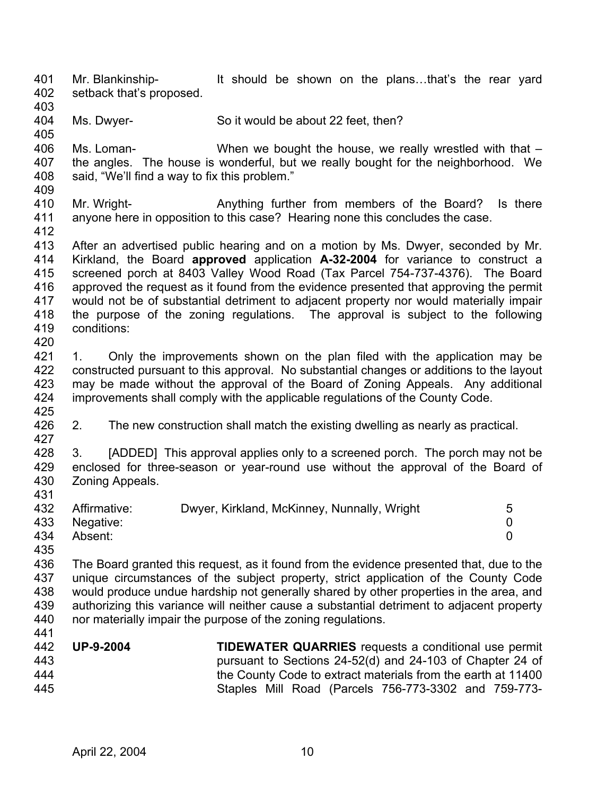401 402 Mr. Blankinship- It should be shown on the plans...that's the rear yard setback that's proposed.

- 403
- 404 405 Ms. Dwyer- So it would be about 22 feet, then?

406 407 408 Ms. Loman- When we bought the house, we really wrestled with that – the angles. The house is wonderful, but we really bought for the neighborhood. We said, "We'll find a way to fix this problem."

409

410 411 Mr. Wright- **Anything further from members of the Board?** Is there anyone here in opposition to this case? Hearing none this concludes the case.

412

431

441

413 414 415 416 417 418 419 420 After an advertised public hearing and on a motion by Ms. Dwyer, seconded by Mr. Kirkland, the Board **approved** application **A-32-2004** for variance to construct a screened porch at 8403 Valley Wood Road (Tax Parcel 754-737-4376). The Board approved the request as it found from the evidence presented that approving the permit would not be of substantial detriment to adjacent property nor would materially impair the purpose of the zoning regulations. The approval is subject to the following conditions:

421 422 423 424 425 1. Only the improvements shown on the plan filed with the application may be constructed pursuant to this approval. No substantial changes or additions to the layout may be made without the approval of the Board of Zoning Appeals. Any additional improvements shall comply with the applicable regulations of the County Code.

426 427 2. The new construction shall match the existing dwelling as nearly as practical.

428 429 430 3. [ADDED] This approval applies only to a screened porch. The porch may not be enclosed for three-season or year-round use without the approval of the Board of Zoning Appeals.

|     | 432 Affirmative: | Dwyer, Kirkland, McKinney, Nunnally, Wright | 5 |
|-----|------------------|---------------------------------------------|---|
|     | 433 Negative:    |                                             |   |
|     | 434 Absent:      |                                             |   |
| 435 |                  |                                             |   |

436 437 438 439 440 The Board granted this request, as it found from the evidence presented that, due to the unique circumstances of the subject property, strict application of the County Code would produce undue hardship not generally shared by other properties in the area, and authorizing this variance will neither cause a substantial detriment to adjacent property nor materially impair the purpose of the zoning regulations.

442 443 444 445 **UP-9-2004 TIDEWATER QUARRIES** requests a conditional use permit pursuant to Sections 24-52(d) and 24-103 of Chapter 24 of the County Code to extract materials from the earth at 11400 Staples Mill Road (Parcels 756-773-3302 and 759-773-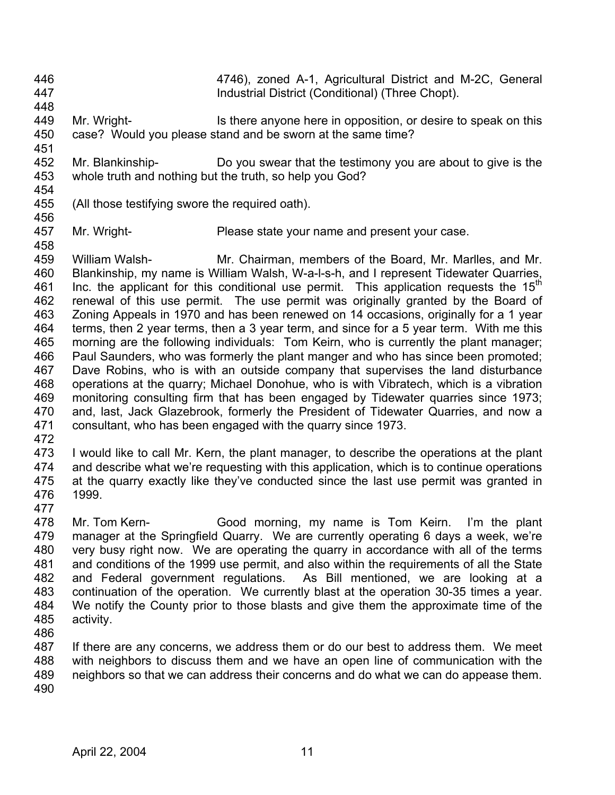- 446 447 448 4746), zoned A-1, Agricultural District and M-2C, General Industrial District (Conditional) (Three Chopt).
- 449 450 Mr. Wright- Is there anyone here in opposition, or desire to speak on this case? Would you please stand and be sworn at the same time?
- 452 453 454 Mr. Blankinship- Do you swear that the testimony you are about to give is the whole truth and nothing but the truth, so help you God?
- 455 (All those testifying swore the required oath).
- 456

451

457 Mr. Wright- Please state your name and present your case.

458 459 460 461 462 463 464 465 466 467 468 469 470 471 William Walsh- Mr. Chairman, members of the Board, Mr. Marlles, and Mr. Blankinship, my name is William Walsh, W-a-l-s-h, and I represent Tidewater Quarries, Inc. the applicant for this conditional use permit. This application requests the  $15<sup>th</sup>$ renewal of this use permit. The use permit was originally granted by the Board of Zoning Appeals in 1970 and has been renewed on 14 occasions, originally for a 1 year terms, then 2 year terms, then a 3 year term, and since for a 5 year term. With me this morning are the following individuals: Tom Keirn, who is currently the plant manager; Paul Saunders, who was formerly the plant manger and who has since been promoted; Dave Robins, who is with an outside company that supervises the land disturbance operations at the quarry; Michael Donohue, who is with Vibratech, which is a vibration monitoring consulting firm that has been engaged by Tidewater quarries since 1973; and, last, Jack Glazebrook, formerly the President of Tidewater Quarries, and now a consultant, who has been engaged with the quarry since 1973.

472

473 474 475 476 I would like to call Mr. Kern, the plant manager, to describe the operations at the plant and describe what we're requesting with this application, which is to continue operations at the quarry exactly like they've conducted since the last use permit was granted in 1999.

477

478 479 480 481 482 483 484 485 Mr. Tom Kern- Good morning, my name is Tom Keirn. I'm the plant manager at the Springfield Quarry. We are currently operating 6 days a week, we're very busy right now. We are operating the quarry in accordance with all of the terms and conditions of the 1999 use permit, and also within the requirements of all the State and Federal government regulations. As Bill mentioned, we are looking at a continuation of the operation. We currently blast at the operation 30-35 times a year. We notify the County prior to those blasts and give them the approximate time of the activity.

486

487 488 489 490 If there are any concerns, we address them or do our best to address them. We meet with neighbors to discuss them and we have an open line of communication with the neighbors so that we can address their concerns and do what we can do appease them.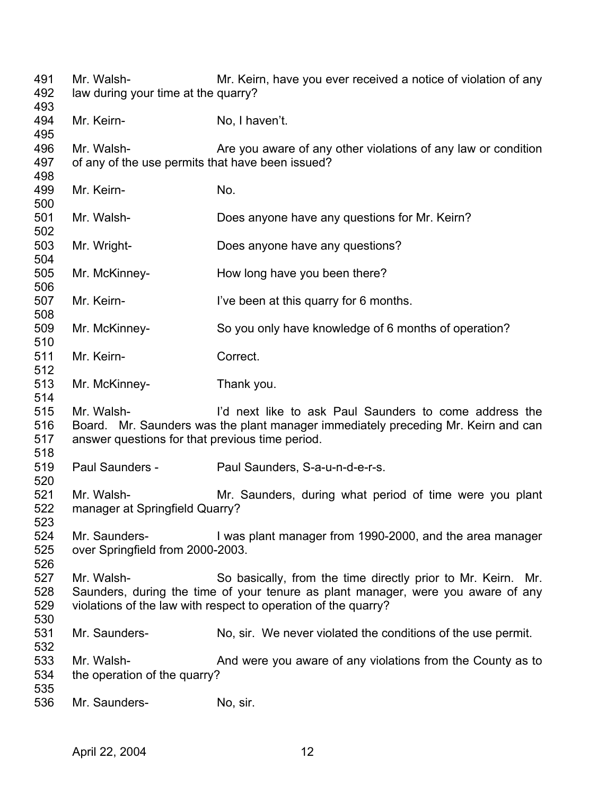| 491<br>492<br>493        | Mr. Walsh-<br>law during your time at the quarry?              | Mr. Keirn, have you ever received a notice of violation of any                                                                                                                                                     |
|--------------------------|----------------------------------------------------------------|--------------------------------------------------------------------------------------------------------------------------------------------------------------------------------------------------------------------|
| 494<br>495               | Mr. Keirn-                                                     | No, I haven't.                                                                                                                                                                                                     |
| 496<br>497<br>498        | Mr. Walsh-<br>of any of the use permits that have been issued? | Are you aware of any other violations of any law or condition                                                                                                                                                      |
| 499<br>500               | Mr. Keirn-                                                     | No.                                                                                                                                                                                                                |
| 501<br>502               | Mr. Walsh-                                                     | Does anyone have any questions for Mr. Keirn?                                                                                                                                                                      |
| 503<br>504               | Mr. Wright-                                                    | Does anyone have any questions?                                                                                                                                                                                    |
| 505<br>506               | Mr. McKinney-                                                  | How long have you been there?                                                                                                                                                                                      |
| 507<br>508               | Mr. Keirn-                                                     | I've been at this quarry for 6 months.                                                                                                                                                                             |
| 509<br>510               | Mr. McKinney-                                                  | So you only have knowledge of 6 months of operation?                                                                                                                                                               |
| 511<br>512               | Mr. Keirn-                                                     | Correct.                                                                                                                                                                                                           |
| 513<br>514               | Mr. McKinney-                                                  | Thank you.                                                                                                                                                                                                         |
| 515<br>516<br>517<br>518 | Mr. Walsh-<br>answer questions for that previous time period.  | I'd next like to ask Paul Saunders to come address the<br>Board. Mr. Saunders was the plant manager immediately preceding Mr. Keirn and can                                                                        |
| 519<br>520               | Paul Saunders -                                                | Paul Saunders, S-a-u-n-d-e-r-s.                                                                                                                                                                                    |
| 521<br>522<br>523        | Mr. Walsh-<br>manager at Springfield Quarry?                   | Mr. Saunders, during what period of time were you plant                                                                                                                                                            |
| 524<br>525<br>526        | Mr. Saunders-<br>over Springfield from 2000-2003.              | I was plant manager from 1990-2000, and the area manager                                                                                                                                                           |
| 527<br>528<br>529<br>530 | Mr. Walsh-                                                     | So basically, from the time directly prior to Mr. Keirn. Mr.<br>Saunders, during the time of your tenure as plant manager, were you aware of any<br>violations of the law with respect to operation of the quarry? |
| 531<br>532               | Mr. Saunders-                                                  | No, sir. We never violated the conditions of the use permit.                                                                                                                                                       |
| 533<br>534               | Mr. Walsh-<br>the operation of the quarry?                     | And were you aware of any violations from the County as to                                                                                                                                                         |
| 535<br>536               | Mr. Saunders-                                                  | No, sir.                                                                                                                                                                                                           |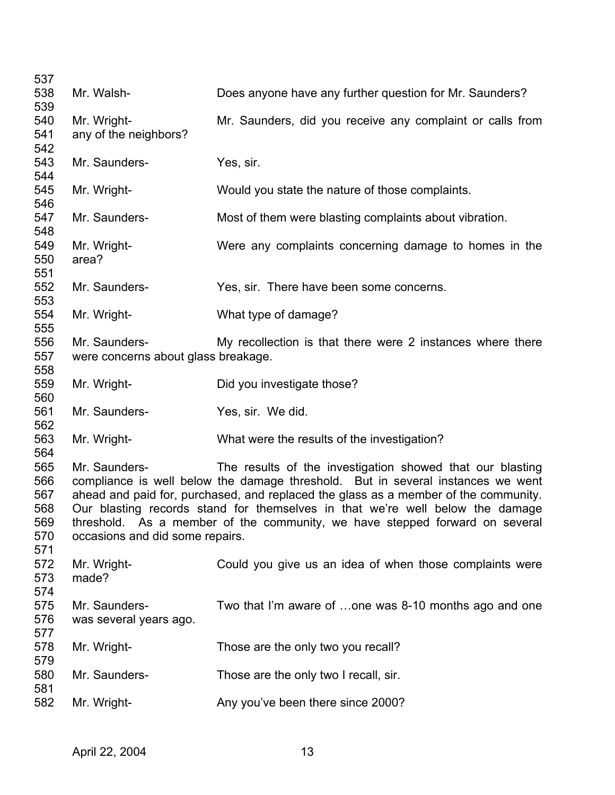| 537        |                                     |                                                                                     |
|------------|-------------------------------------|-------------------------------------------------------------------------------------|
| 538        | Mr. Walsh-                          | Does anyone have any further question for Mr. Saunders?                             |
| 539        |                                     |                                                                                     |
| 540        | Mr. Wright-                         | Mr. Saunders, did you receive any complaint or calls from                           |
| 541        | any of the neighbors?               |                                                                                     |
| 542        |                                     |                                                                                     |
| 543        | Mr. Saunders-                       | Yes, sir.                                                                           |
| 544        |                                     |                                                                                     |
| 545        | Mr. Wright-                         | Would you state the nature of those complaints.                                     |
| 546        |                                     |                                                                                     |
| 547        | Mr. Saunders-                       | Most of them were blasting complaints about vibration.                              |
| 548        |                                     |                                                                                     |
| 549        | Mr. Wright-                         | Were any complaints concerning damage to homes in the                               |
| 550        | area?                               |                                                                                     |
| 551        |                                     |                                                                                     |
| 552        | Mr. Saunders-                       | Yes, sir. There have been some concerns.                                            |
| 553<br>554 | Mr. Wright-                         | What type of damage?                                                                |
| 555        |                                     |                                                                                     |
| 556        | Mr. Saunders-                       | My recollection is that there were 2 instances where there                          |
| 557        | were concerns about glass breakage. |                                                                                     |
| 558        |                                     |                                                                                     |
| 559        | Mr. Wright-                         | Did you investigate those?                                                          |
| 560        |                                     |                                                                                     |
| 561        | Mr. Saunders-                       | Yes, sir. We did.                                                                   |
| 562        |                                     |                                                                                     |
| 563        | Mr. Wright-                         | What were the results of the investigation?                                         |
| 564        |                                     |                                                                                     |
| 565        | Mr. Saunders-                       | The results of the investigation showed that our blasting                           |
| 566        |                                     | compliance is well below the damage threshold. But in several instances we went     |
| 567        |                                     | ahead and paid for, purchased, and replaced the glass as a member of the community. |
| 568        |                                     | Our blasting records stand for themselves in that we're well below the damage       |
| 569        |                                     | threshold. As a member of the community, we have stepped forward on several         |
| 570        | occasions and did some repairs.     |                                                                                     |
| 571        |                                     |                                                                                     |
| 572        | Mr. Wright-                         | Could you give us an idea of when those complaints were                             |
| 573        | made?                               |                                                                                     |
| 574        |                                     |                                                                                     |
| 575        | Mr. Saunders-                       | Two that I'm aware of one was 8-10 months ago and one                               |
| 576        | was several years ago.              |                                                                                     |
| 577        |                                     |                                                                                     |
| 578        | Mr. Wright-                         | Those are the only two you recall?                                                  |
| 579        |                                     |                                                                                     |
| 580        | Mr. Saunders-                       | Those are the only two I recall, sir.                                               |
| 581        |                                     |                                                                                     |
| 582        | Mr. Wright-                         | Any you've been there since 2000?                                                   |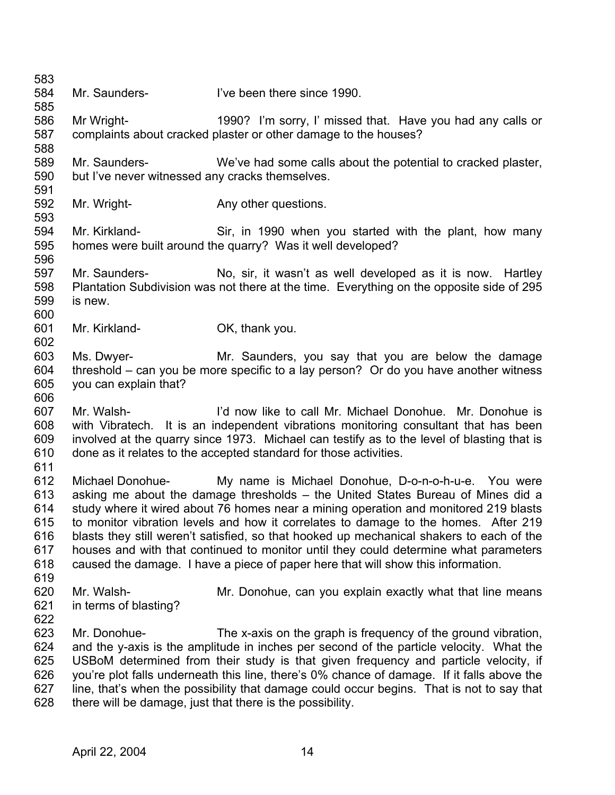583 584 585 586 587 588 589 590 591 592 593 594 595 596 597 598 599 600 601 602 603 604 605 606 607 608 609 610 611 612 613 614 615 616 617 618 619 620 621 622 623 624 625 626 627 628 Mr. Saunders- **I've been there since 1990.** Mr Wright- 1990? I'm sorry, I' missed that. Have you had any calls or complaints about cracked plaster or other damage to the houses? Mr. Saunders- We've had some calls about the potential to cracked plaster, but I've never witnessed any cracks themselves. Mr. Wright- **Any other questions.** Mr. Kirkland- Sir, in 1990 when you started with the plant, how many homes were built around the quarry? Was it well developed? Mr. Saunders- No, sir, it wasn't as well developed as it is now. Hartley Plantation Subdivision was not there at the time. Everything on the opposite side of 295 is new. Mr. Kirkland- OK, thank you. Ms. Dwyer- Mr. Saunders, you say that you are below the damage threshold – can you be more specific to a lay person? Or do you have another witness you can explain that? Mr. Walsh- I'd now like to call Mr. Michael Donohue. Mr. Donohue is with Vibratech. It is an independent vibrations monitoring consultant that has been involved at the quarry since 1973. Michael can testify as to the level of blasting that is done as it relates to the accepted standard for those activities. Michael Donohue- My name is Michael Donohue, D-o-n-o-h-u-e. You were asking me about the damage thresholds – the United States Bureau of Mines did a study where it wired about 76 homes near a mining operation and monitored 219 blasts to monitor vibration levels and how it correlates to damage to the homes. After 219 blasts they still weren't satisfied, so that hooked up mechanical shakers to each of the houses and with that continued to monitor until they could determine what parameters caused the damage. I have a piece of paper here that will show this information. Mr. Walsh- Mr. Donohue, can you explain exactly what that line means in terms of blasting? Mr. Donohue- The x-axis on the graph is frequency of the ground vibration, and the y-axis is the amplitude in inches per second of the particle velocity. What the USBoM determined from their study is that given frequency and particle velocity, if you're plot falls underneath this line, there's 0% chance of damage. If it falls above the line, that's when the possibility that damage could occur begins. That is not to say that there will be damage, just that there is the possibility.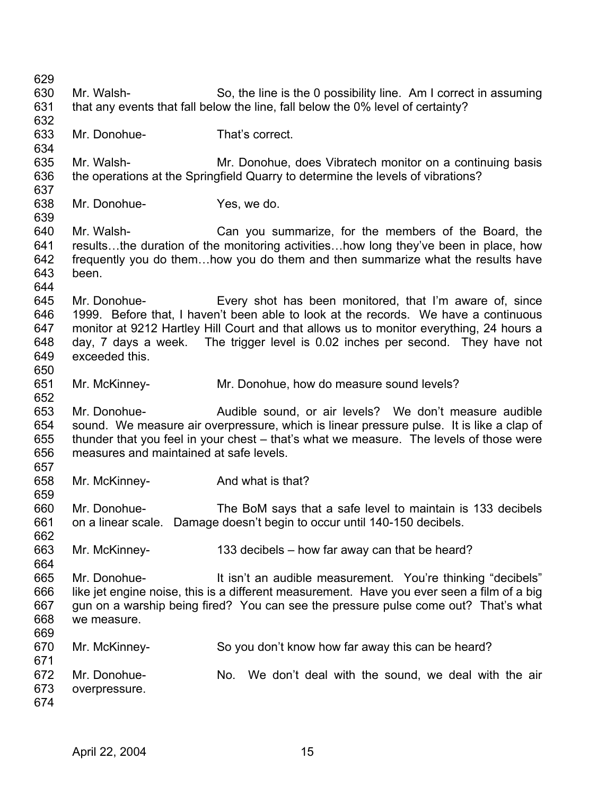629 630 631 632 633 634 635 636 637 638 639 640 641 642 643 644 645 646 647 648 649 650 651 652 653 654 655 656 657 658 659 660 661 662 663 664 665 666 667 668 669 670 671 672 673 674 Mr. Walsh- So, the line is the 0 possibility line. Am I correct in assuming that any events that fall below the line, fall below the 0% level of certainty? Mr. Donohue- That's correct. Mr. Walsh- Mr. Donohue, does Vibratech monitor on a continuing basis the operations at the Springfield Quarry to determine the levels of vibrations? Mr. Donohue-<br>
Yes, we do. Mr. Walsh- Can you summarize, for the members of the Board, the results…the duration of the monitoring activities…how long they've been in place, how frequently you do them…how you do them and then summarize what the results have been. Mr. Donohue- Every shot has been monitored, that I'm aware of, since 1999. Before that, I haven't been able to look at the records. We have a continuous monitor at 9212 Hartley Hill Court and that allows us to monitor everything, 24 hours a day, 7 days a week. The trigger level is 0.02 inches per second. They have not exceeded this. Mr. McKinney- Mr. Donohue, how do measure sound levels? Mr. Donohue- Audible sound, or air levels? We don't measure audible sound. We measure air overpressure, which is linear pressure pulse. It is like a clap of thunder that you feel in your chest – that's what we measure. The levels of those were measures and maintained at safe levels. Mr. McKinney-<br>
And what is that? Mr. Donohue- The BoM says that a safe level to maintain is 133 decibels on a linear scale. Damage doesn't begin to occur until 140-150 decibels. Mr. McKinney- 133 decibels – how far away can that be heard? Mr. Donohue- It isn't an audible measurement. You're thinking "decibels" like jet engine noise, this is a different measurement. Have you ever seen a film of a big gun on a warship being fired? You can see the pressure pulse come out? That's what we measure. Mr. McKinney- So you don't know how far away this can be heard? Mr. Donohue- No. We don't deal with the sound, we deal with the air overpressure.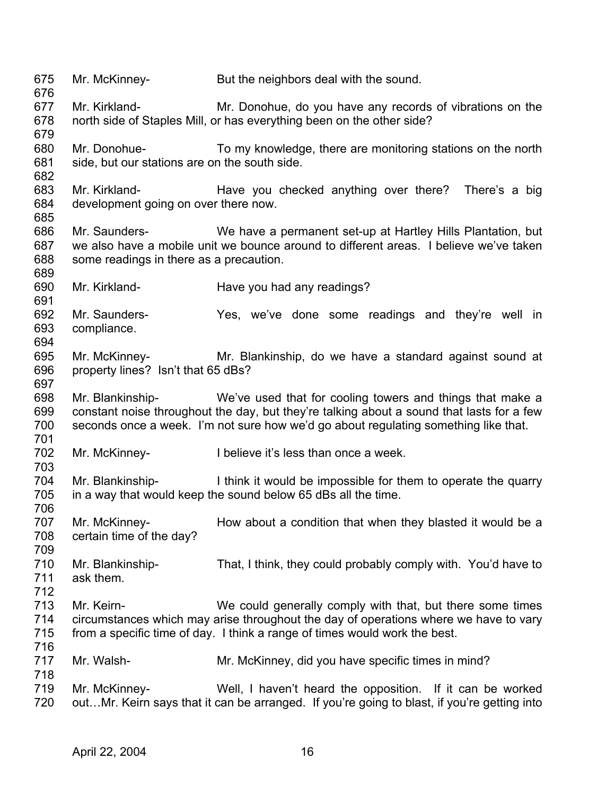675 676 677 678 679 680 681 682 683 684 685 686 687 688 689 690 691 692 693 694 695 696 697 698 699 700 701 702 703 704 705 706 707 708 709 710 711 712 713 714 715 716 717 718 719 720 Mr. McKinney- But the neighbors deal with the sound. Mr. Kirkland- Mr. Donohue, do you have any records of vibrations on the north side of Staples Mill, or has everything been on the other side? Mr. Donohue- To my knowledge, there are monitoring stations on the north side, but our stations are on the south side. Mr. Kirkland- **Have you checked anything over there?** There's a big development going on over there now. Mr. Saunders- We have a permanent set-up at Hartley Hills Plantation, but we also have a mobile unit we bounce around to different areas. I believe we've taken some readings in there as a precaution. Mr. Kirkland- Have you had any readings? Mr. Saunders- The Yes, we've done some readings and they're well in compliance. Mr. McKinney- Mr. Blankinship, do we have a standard against sound at property lines? Isn't that 65 dBs? Mr. Blankinship- We've used that for cooling towers and things that make a constant noise throughout the day, but they're talking about a sound that lasts for a few seconds once a week. I'm not sure how we'd go about regulating something like that. Mr. McKinney- I believe it's less than once a week. Mr. Blankinship- I think it would be impossible for them to operate the quarry in a way that would keep the sound below 65 dBs all the time. Mr. McKinney- How about a condition that when they blasted it would be a certain time of the day? Mr. Blankinship- That, I think, they could probably comply with. You'd have to ask them. Mr. Keirn- We could generally comply with that, but there some times circumstances which may arise throughout the day of operations where we have to vary from a specific time of day. I think a range of times would work the best. Mr. Walsh- Mr. McKinney, did you have specific times in mind? Mr. McKinney- Well, I haven't heard the opposition. If it can be worked out…Mr. Keirn says that it can be arranged. If you're going to blast, if you're getting into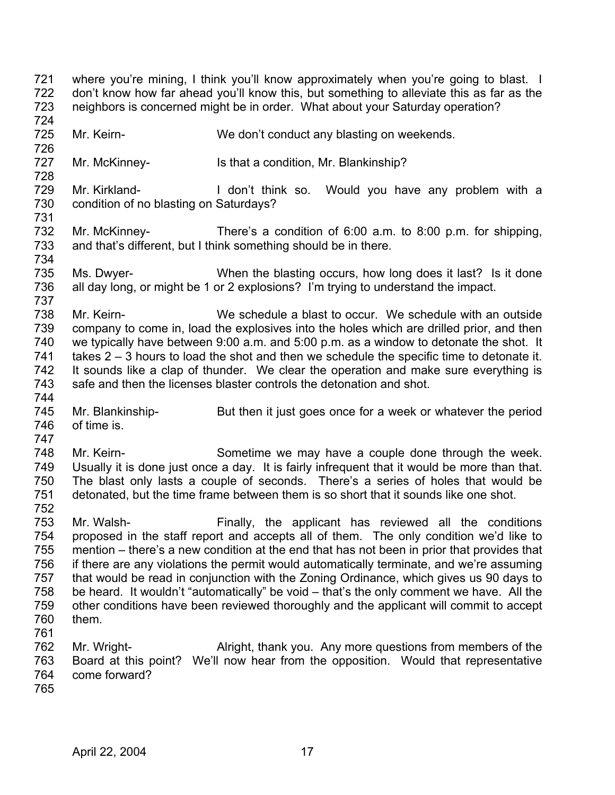- 721 722 723 724 where you're mining, I think you'll know approximately when you're going to blast. I don't know how far ahead you'll know this, but something to alleviate this as far as the neighbors is concerned might be in order. What about your Saturday operation?
- 725 Mr. Keirn- We don't conduct any blasting on weekends.
- 727 Mr. McKinney- Is that a condition, Mr. Blankinship?
- 729 730 Mr. Kirkland- I don't think so. Would you have any problem with a condition of no blasting on Saturdays?
- 732 733 Mr. McKinney- There's a condition of 6:00 a.m. to 8:00 p.m. for shipping, and that's different, but I think something should be in there.
- 735 736 Ms. Dwyer- When the blasting occurs, how long does it last? Is it done all day long, or might be 1 or 2 explosions? I'm trying to understand the impact.
- 738 739 740 741 742 743 Mr. Keirn- We schedule a blast to occur. We schedule with an outside company to come in, load the explosives into the holes which are drilled prior, and then we typically have between 9:00 a.m. and 5:00 p.m. as a window to detonate the shot. It takes 2 – 3 hours to load the shot and then we schedule the specific time to detonate it. It sounds like a clap of thunder. We clear the operation and make sure everything is safe and then the licenses blaster controls the detonation and shot.
- 745 746 Mr. Blankinship- But then it just goes once for a week or whatever the period of time is.
- 747

744

726

728

731

734

737

- 748 749 750 751 Mr. Keirn- Sometime we may have a couple done through the week. Usually it is done just once a day. It is fairly infrequent that it would be more than that. The blast only lasts a couple of seconds. There's a series of holes that would be detonated, but the time frame between them is so short that it sounds like one shot.
- 752

753 754 755 756 757 758 759 760 761 Mr. Walsh- Finally, the applicant has reviewed all the conditions proposed in the staff report and accepts all of them. The only condition we'd like to mention – there's a new condition at the end that has not been in prior that provides that if there are any violations the permit would automatically terminate, and we're assuming that would be read in conjunction with the Zoning Ordinance, which gives us 90 days to be heard. It wouldn't "automatically" be void – that's the only comment we have. All the other conditions have been reviewed thoroughly and the applicant will commit to accept them.

- 762 763 764 Mr. Wright- Alright, thank you. Any more questions from members of the Board at this point? We'll now hear from the opposition. Would that representative come forward?
- 765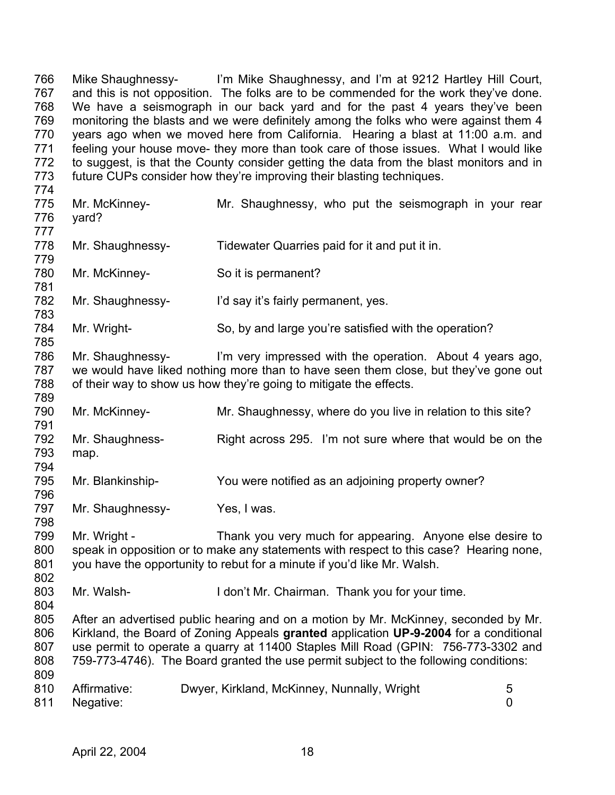766 767 768 769 770 771 772 773 Mike Shaughnessy- I'm Mike Shaughnessy, and I'm at 9212 Hartley Hill Court, and this is not opposition. The folks are to be commended for the work they've done. We have a seismograph in our back yard and for the past 4 years they've been monitoring the blasts and we were definitely among the folks who were against them 4 years ago when we moved here from California. Hearing a blast at 11:00 a.m. and feeling your house move- they more than took care of those issues. What I would like to suggest, is that the County consider getting the data from the blast monitors and in future CUPs consider how they're improving their blasting techniques.

- 774 775 776 777 778 779 780 781 782 783 784 785 786 787 Mr. McKinney- Mr. Shaughnessy, who put the seismograph in your rear yard? Mr. Shaughnessy- Tidewater Quarries paid for it and put it in. Mr. McKinney-<br>
So it is permanent? Mr. Shaughnessy-<br>
I'd say it's fairly permanent, yes. Mr. Wright- So, by and large you're satisfied with the operation? Mr. Shaughnessy- I'm very impressed with the operation. About 4 years ago, we would have liked nothing more than to have seen them close, but they've gone out
- 788 789 of their way to show us how they're going to mitigate the effects.
- 790 Mr. McKinney- Mr. Shaughnessy, where do you live in relation to this site?
- 791 792 793 794 Mr. Shaughness- Right across 295. I'm not sure where that would be on the map.
- 795 796 Mr. Blankinship- You were notified as an adjoining property owner?
- 797 Mr. Shaughnessy-<br>
Yes, I was.
- 799 800 801 Mr. Wright - Thank you very much for appearing. Anyone else desire to speak in opposition or to make any statements with respect to this case? Hearing none, you have the opportunity to rebut for a minute if you'd like Mr. Walsh.
- 803 804 Mr. Walsh- **I** don't Mr. Chairman. Thank you for your time.
- 805 806 807 808 809 After an advertised public hearing and on a motion by Mr. McKinney, seconded by Mr. Kirkland, the Board of Zoning Appeals **granted** application **UP-9-2004** for a conditional use permit to operate a quarry at 11400 Staples Mill Road (GPIN: 756-773-3302 and 759-773-4746). The Board granted the use permit subject to the following conditions:
- 810 811 Affirmative: Dwyer, Kirkland, McKinney, Nunnally, Wright 5 Negative: 0

798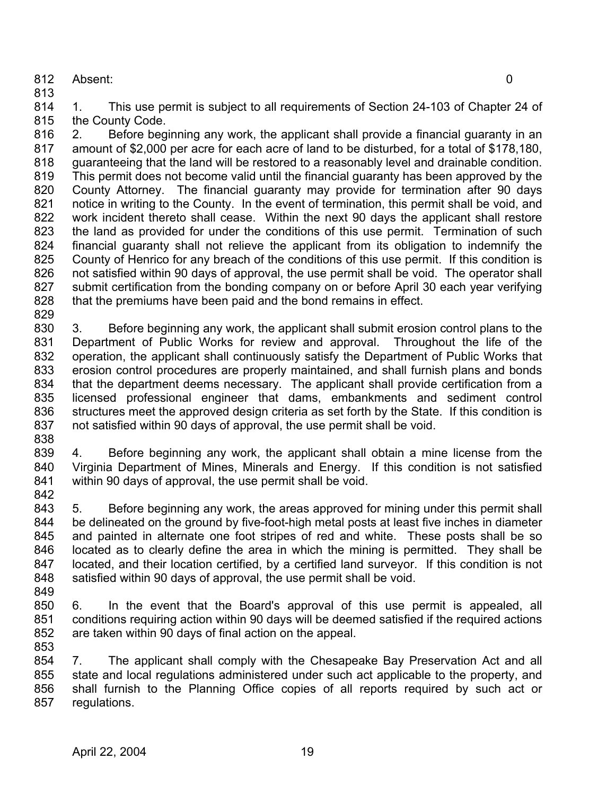812 Absent: 0

813

814 815 1. This use permit is subject to all requirements of Section 24-103 of Chapter 24 of the County Code.

816 817 818 819 820 821 822 823 824 825 826 827 828 829 2. Before beginning any work, the applicant shall provide a financial guaranty in an amount of \$2,000 per acre for each acre of land to be disturbed, for a total of \$178,180, guaranteeing that the land will be restored to a reasonably level and drainable condition. This permit does not become valid until the financial guaranty has been approved by the County Attorney. The financial guaranty may provide for termination after 90 days notice in writing to the County. In the event of termination, this permit shall be void, and work incident thereto shall cease. Within the next 90 days the applicant shall restore the land as provided for under the conditions of this use permit. Termination of such financial guaranty shall not relieve the applicant from its obligation to indemnify the County of Henrico for any breach of the conditions of this use permit. If this condition is not satisfied within 90 days of approval, the use permit shall be void. The operator shall submit certification from the bonding company on or before April 30 each year verifying that the premiums have been paid and the bond remains in effect.

830 831 832 833 834 835 836 837 3. Before beginning any work, the applicant shall submit erosion control plans to the Department of Public Works for review and approval. Throughout the life of the operation, the applicant shall continuously satisfy the Department of Public Works that erosion control procedures are properly maintained, and shall furnish plans and bonds that the department deems necessary. The applicant shall provide certification from a licensed professional engineer that dams, embankments and sediment control structures meet the approved design criteria as set forth by the State. If this condition is not satisfied within 90 days of approval, the use permit shall be void.

838

839 840 841 842 4. Before beginning any work, the applicant shall obtain a mine license from the Virginia Department of Mines, Minerals and Energy. If this condition is not satisfied within 90 days of approval, the use permit shall be void.

843 844 845 846 847 848 5. Before beginning any work, the areas approved for mining under this permit shall be delineated on the ground by five-foot-high metal posts at least five inches in diameter and painted in alternate one foot stripes of red and white. These posts shall be so located as to clearly define the area in which the mining is permitted. They shall be located, and their location certified, by a certified land surveyor. If this condition is not satisfied within 90 days of approval, the use permit shall be void.

849

850 851 852 853 6. In the event that the Board's approval of this use permit is appealed, all conditions requiring action within 90 days will be deemed satisfied if the required actions are taken within 90 days of final action on the appeal.

854 855 856 857 7. The applicant shall comply with the Chesapeake Bay Preservation Act and all state and local regulations administered under such act applicable to the property, and shall furnish to the Planning Office copies of all reports required by such act or regulations.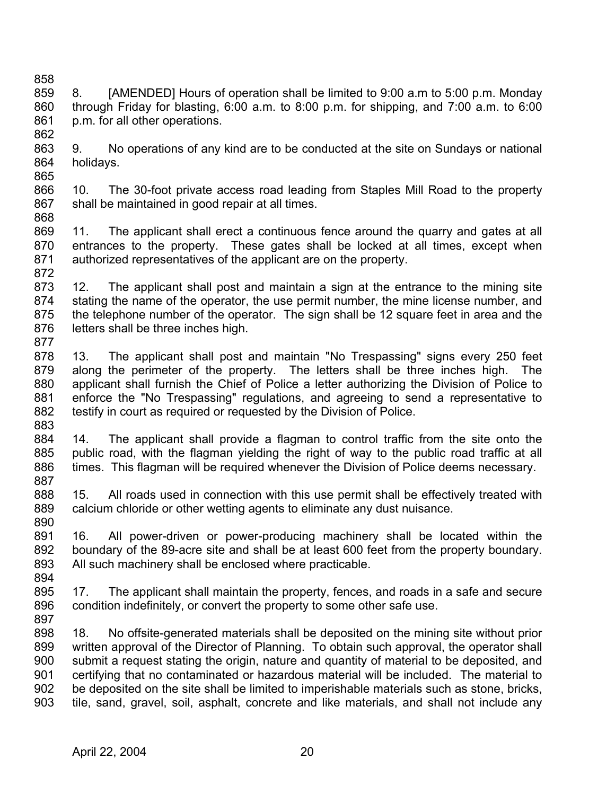- 858 859 860 861 862 8. [AMENDED] Hours of operation shall be limited to 9:00 a.m to 5:00 p.m. Monday through Friday for blasting, 6:00 a.m. to 8:00 p.m. for shipping, and 7:00 a.m. to 6:00 p.m. for all other operations.
- 863 864 9. No operations of any kind are to be conducted at the site on Sundays or national holidays.
- 866 867 10. The 30-foot private access road leading from Staples Mill Road to the property shall be maintained in good repair at all times.
- 868

- 869 870 871 872 11. The applicant shall erect a continuous fence around the quarry and gates at all entrances to the property. These gates shall be locked at all times, except when authorized representatives of the applicant are on the property.
- 873 874 875 876 877 12. The applicant shall post and maintain a sign at the entrance to the mining site stating the name of the operator, the use permit number, the mine license number, and the telephone number of the operator. The sign shall be 12 square feet in area and the letters shall be three inches high.
- 878 879 880 881 882 883 13. The applicant shall post and maintain "No Trespassing" signs every 250 feet along the perimeter of the property. The letters shall be three inches high. The applicant shall furnish the Chief of Police a letter authorizing the Division of Police to enforce the "No Trespassing" regulations, and agreeing to send a representative to testify in court as required or requested by the Division of Police.
- 884 885 886 887 14. The applicant shall provide a flagman to control traffic from the site onto the public road, with the flagman yielding the right of way to the public road traffic at all times. This flagman will be required whenever the Division of Police deems necessary.
- 888 889 890 15. All roads used in connection with this use permit shall be effectively treated with calcium chloride or other wetting agents to eliminate any dust nuisance.
- 891 892 893 894 16. All power-driven or power-producing machinery shall be located within the boundary of the 89-acre site and shall be at least 600 feet from the property boundary. All such machinery shall be enclosed where practicable.
- 895 896 897 17. The applicant shall maintain the property, fences, and roads in a safe and secure condition indefinitely, or convert the property to some other safe use.
- 898 899 900 901 902 903 18. No offsite-generated materials shall be deposited on the mining site without prior written approval of the Director of Planning. To obtain such approval, the operator shall submit a request stating the origin, nature and quantity of material to be deposited, and certifying that no contaminated or hazardous material will be included. The material to be deposited on the site shall be limited to imperishable materials such as stone, bricks, tile, sand, gravel, soil, asphalt, concrete and like materials, and shall not include any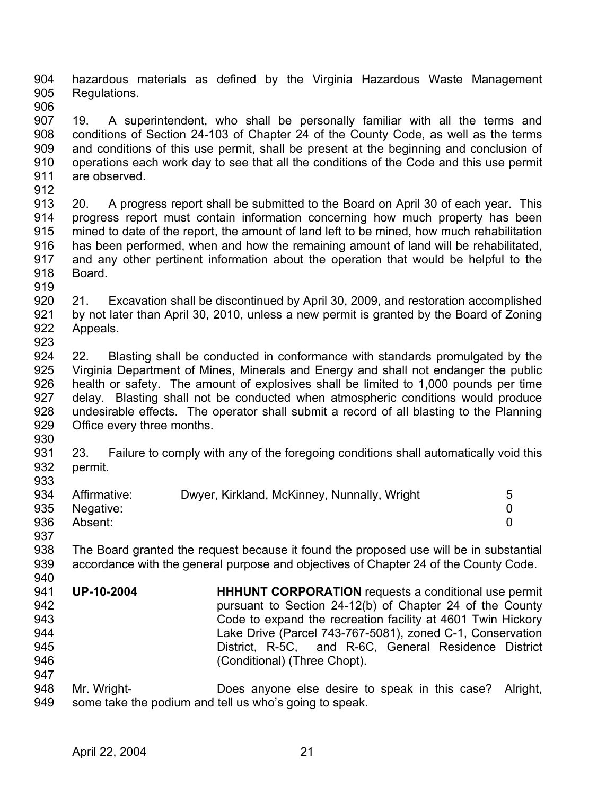904 905 hazardous materials as defined by the Virginia Hazardous Waste Management Regulations.

- 906 907 908 909 910 911 19. A superintendent, who shall be personally familiar with all the terms and conditions of Section 24-103 of Chapter 24 of the County Code, as well as the terms and conditions of this use permit, shall be present at the beginning and conclusion of operations each work day to see that all the conditions of the Code and this use permit are observed.
- 912

913 914 915 916 917 918 20. A progress report shall be submitted to the Board on April 30 of each year. This progress report must contain information concerning how much property has been mined to date of the report, the amount of land left to be mined, how much rehabilitation has been performed, when and how the remaining amount of land will be rehabilitated, and any other pertinent information about the operation that would be helpful to the Board.

919

920 921 922 923 21. Excavation shall be discontinued by April 30, 2009, and restoration accomplished by not later than April 30, 2010, unless a new permit is granted by the Board of Zoning Appeals.

- 924 925 926 927 928 929 22. Blasting shall be conducted in conformance with standards promulgated by the Virginia Department of Mines, Minerals and Energy and shall not endanger the public health or safety. The amount of explosives shall be limited to 1,000 pounds per time delay. Blasting shall not be conducted when atmospheric conditions would produce undesirable effects. The operator shall submit a record of all blasting to the Planning Office every three months.
- 930

940

931 932 933 23. Failure to comply with any of the foregoing conditions shall automatically void this permit.

| 934 | Affirmative:  | Dwyer, Kirkland, McKinney, Nunnally, Wright | 5 |
|-----|---------------|---------------------------------------------|---|
|     |               |                                             |   |
|     | 935 Negative: |                                             |   |
| 936 | Absent:       |                                             |   |
| 937 |               |                                             |   |

938 939 The Board granted the request because it found the proposed use will be in substantial accordance with the general purpose and objectives of Chapter 24 of the County Code.

- 941 942 943 944 945 946 947 **UP-10-2004 HHHUNT CORPORATION** requests a conditional use permit pursuant to Section 24-12(b) of Chapter 24 of the County Code to expand the recreation facility at 4601 Twin Hickory Lake Drive (Parcel 743-767-5081), zoned C-1, Conservation District, R-5C, and R-6C, General Residence District (Conditional) (Three Chopt).
- 948 949 Mr. Wright- Does anyone else desire to speak in this case? Alright, some take the podium and tell us who's going to speak.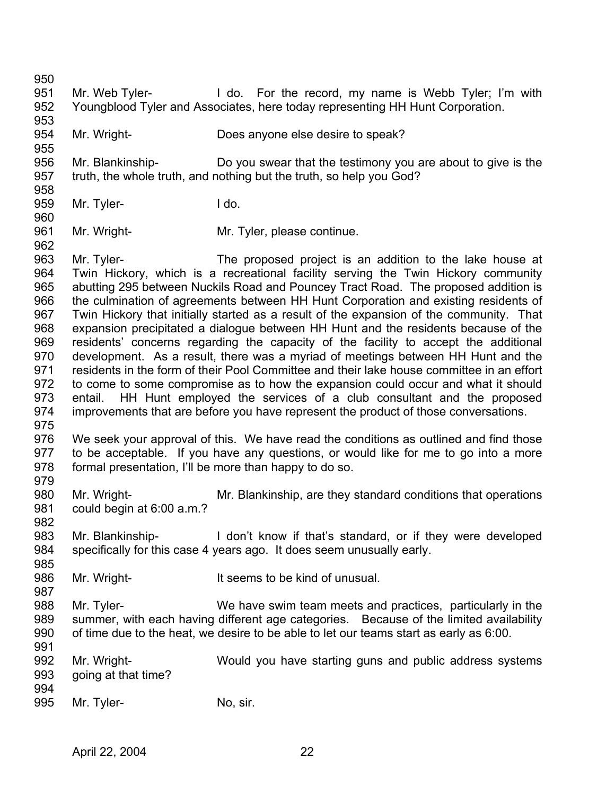950

955

- 951 952 Mr. Web Tyler- I do. For the record, my name is Webb Tyler; I'm with Youngblood Tyler and Associates, here today representing HH Hunt Corporation.
- 953 954 Mr. Wright- Does anyone else desire to speak?
- 956 957 958 Mr. Blankinship- Do you swear that the testimony you are about to give is the truth, the whole truth, and nothing but the truth, so help you God?
- 959 Mr. Tyler-<br>
I do.
- 960 961 Mr. Wright- Mr. Tyler, please continue.
- 962 963 964 965 966 967 968 969 970 971 972 973 974 975 Mr. Tyler- The proposed project is an addition to the lake house at Twin Hickory, which is a recreational facility serving the Twin Hickory community abutting 295 between Nuckils Road and Pouncey Tract Road. The proposed addition is the culmination of agreements between HH Hunt Corporation and existing residents of Twin Hickory that initially started as a result of the expansion of the community. That expansion precipitated a dialogue between HH Hunt and the residents because of the residents' concerns regarding the capacity of the facility to accept the additional development. As a result, there was a myriad of meetings between HH Hunt and the residents in the form of their Pool Committee and their lake house committee in an effort to come to some compromise as to how the expansion could occur and what it should entail. HH Hunt employed the services of a club consultant and the proposed improvements that are before you have represent the product of those conversations.
- 976 977 978 979 We seek your approval of this. We have read the conditions as outlined and find those to be acceptable. If you have any questions, or would like for me to go into a more formal presentation, I'll be more than happy to do so.
- 980 981 Mr. Wright- Mr. Blankinship, are they standard conditions that operations could begin at 6:00 a.m.?
- 982

- 983 984 985 Mr. Blankinship-<br>I don't know if that's standard, or if they were developed specifically for this case 4 years ago. It does seem unusually early.
- 986 Mr. Wright- It seems to be kind of unusual.
- 988 989 990 991 Mr. Tyler- We have swim team meets and practices, particularly in the summer, with each having different age categories. Because of the limited availability of time due to the heat, we desire to be able to let our teams start as early as 6:00.
- 992 993 994 Mr. Wright- Would you have starting guns and public address systems going at that time?
- 995 Mr. Tyler- No, sir.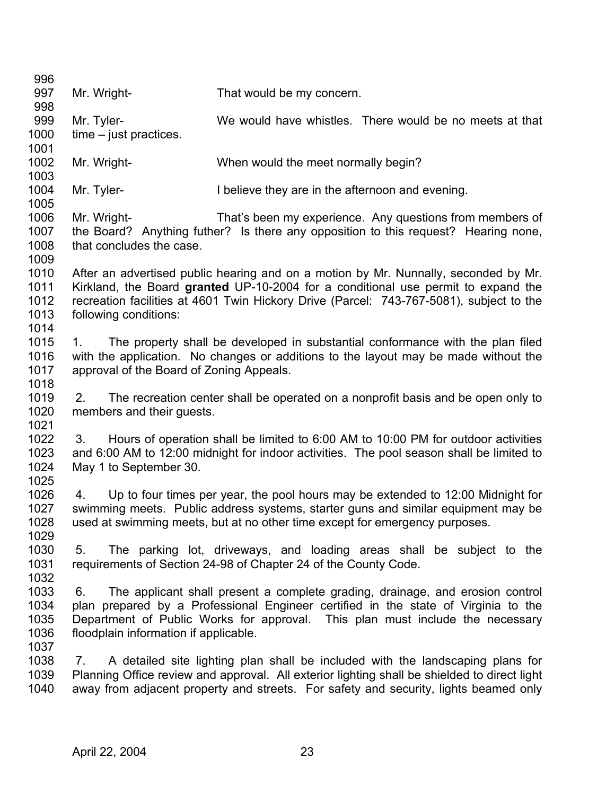| 996  |                                          |                                                                             |                                                                                              |
|------|------------------------------------------|-----------------------------------------------------------------------------|----------------------------------------------------------------------------------------------|
| 997  | Mr. Wright-                              | That would be my concern.                                                   |                                                                                              |
| 998  |                                          |                                                                             |                                                                                              |
| 999  | Mr. Tyler-                               |                                                                             | We would have whistles. There would be no meets at that                                      |
| 1000 | $time - just practices.$                 |                                                                             |                                                                                              |
| 1001 |                                          |                                                                             |                                                                                              |
| 1002 | Mr. Wright-                              | When would the meet normally begin?                                         |                                                                                              |
| 1003 |                                          |                                                                             |                                                                                              |
| 1004 | Mr. Tyler-                               | I believe they are in the afternoon and evening.                            |                                                                                              |
| 1005 |                                          |                                                                             |                                                                                              |
| 1006 | Mr. Wright-                              |                                                                             | That's been my experience. Any questions from members of                                     |
| 1007 |                                          |                                                                             | the Board? Anything futher? Is there any opposition to this request? Hearing none,           |
| 1008 | that concludes the case.                 |                                                                             |                                                                                              |
| 1009 |                                          |                                                                             |                                                                                              |
| 1010 |                                          |                                                                             | After an advertised public hearing and on a motion by Mr. Nunnally, seconded by Mr.          |
| 1011 |                                          |                                                                             | Kirkland, the Board granted UP-10-2004 for a conditional use permit to expand the            |
| 1012 |                                          |                                                                             | recreation facilities at 4601 Twin Hickory Drive (Parcel: 743-767-5081), subject to the      |
| 1013 | following conditions:                    |                                                                             |                                                                                              |
| 1014 |                                          |                                                                             |                                                                                              |
| 1015 | 1.                                       |                                                                             | The property shall be developed in substantial conformance with the plan filed               |
| 1016 |                                          |                                                                             | with the application. No changes or additions to the layout may be made without the          |
| 1017 | approval of the Board of Zoning Appeals. |                                                                             |                                                                                              |
| 1018 |                                          |                                                                             |                                                                                              |
| 1019 | 2.                                       |                                                                             | The recreation center shall be operated on a nonprofit basis and be open only to             |
| 1020 | members and their guests.                |                                                                             |                                                                                              |
| 1021 |                                          |                                                                             |                                                                                              |
| 1022 | 3.                                       |                                                                             | Hours of operation shall be limited to 6.00 AM to 10.00 PM for outdoor activities            |
| 1023 |                                          |                                                                             | and 6:00 AM to 12:00 midnight for indoor activities. The pool season shall be limited to     |
| 1024 | May 1 to September 30.                   |                                                                             |                                                                                              |
| 1025 |                                          |                                                                             |                                                                                              |
| 1026 | 4.                                       |                                                                             | Up to four times per year, the pool hours may be extended to 12:00 Midnight for              |
| 1027 |                                          |                                                                             | swimming meets. Public address systems, starter guns and similar equipment may be            |
| 1028 |                                          | used at swimming meets, but at no other time except for emergency purposes. |                                                                                              |
| 1029 |                                          |                                                                             |                                                                                              |
| 1030 | 5.                                       |                                                                             | The parking lot, driveways, and loading areas shall be subject to the                        |
| 1031 |                                          | requirements of Section 24-98 of Chapter 24 of the County Code.             |                                                                                              |
| 1032 |                                          |                                                                             |                                                                                              |
| 1033 | 6.                                       |                                                                             | The applicant shall present a complete grading, drainage, and erosion control                |
| 1034 |                                          |                                                                             | plan prepared by a Professional Engineer certified in the state of Virginia to the           |
| 1035 |                                          |                                                                             | Department of Public Works for approval. This plan must include the necessary                |
| 1036 | floodplain information if applicable.    |                                                                             |                                                                                              |
| 1037 |                                          |                                                                             |                                                                                              |
| 1038 | 7.                                       |                                                                             | A detailed site lighting plan shall be included with the landscaping plans for               |
| 1039 |                                          |                                                                             | Planning Office review and approval. All exterior lighting shall be shielded to direct light |
| 1040 |                                          |                                                                             | away from adjacent property and streets. For safety and security, lights beamed only         |
|      |                                          |                                                                             |                                                                                              |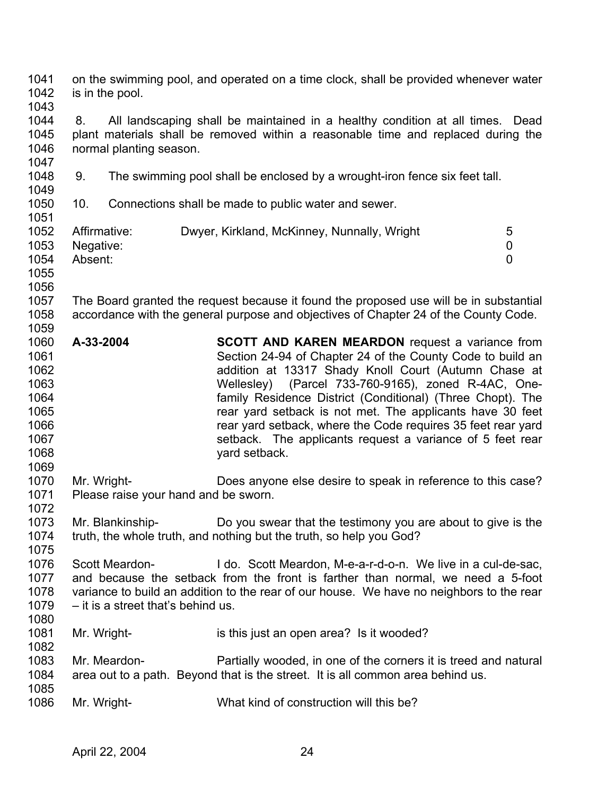1041 1042 1043 1044 1045 1046 1047 1048 1049 1050 1051 1052 1053 1054 1055 1056 1057 1058 1059 1060 1061 1062 1063 1064 1065 1066 1067 1068 1069 1070 1071 1072 1073 1074 1075 1076 1077 1078 1079 1080 1081 1082 1083 1084 1085 1086 on the swimming pool, and operated on a time clock, shall be provided whenever water is in the pool. 8. All landscaping shall be maintained in a healthy condition at all times. Dead plant materials shall be removed within a reasonable time and replaced during the normal planting season. 9. The swimming pool shall be enclosed by a wrought-iron fence six feet tall. 10. Connections shall be made to public water and sewer. Affirmative: Dwyer, Kirkland, McKinney, Nunnally, Wright 5 Negative: 0 Absent: 0 The Board granted the request because it found the proposed use will be in substantial accordance with the general purpose and objectives of Chapter 24 of the County Code. **A-33-2004 SCOTT AND KAREN MEARDON** request a variance from Section 24-94 of Chapter 24 of the County Code to build an addition at 13317 Shady Knoll Court (Autumn Chase at Wellesley) (Parcel 733-760-9165), zoned R-4AC, Onefamily Residence District (Conditional) (Three Chopt). The rear yard setback is not met. The applicants have 30 feet rear yard setback, where the Code requires 35 feet rear yard setback. The applicants request a variance of 5 feet rear yard setback. Mr. Wright- Does anyone else desire to speak in reference to this case? Please raise your hand and be sworn. Mr. Blankinship- Do you swear that the testimony you are about to give is the truth, the whole truth, and nothing but the truth, so help you God? Scott Meardon- I do. Scott Meardon, M-e-a-r-d-o-n. We live in a cul-de-sac, and because the setback from the front is farther than normal, we need a 5-foot variance to build an addition to the rear of our house. We have no neighbors to the rear – it is a street that's behind us. Mr. Wright- is this just an open area? Is it wooded? Mr. Meardon- Partially wooded, in one of the corners it is treed and natural area out to a path. Beyond that is the street. It is all common area behind us. Mr. Wright- What kind of construction will this be?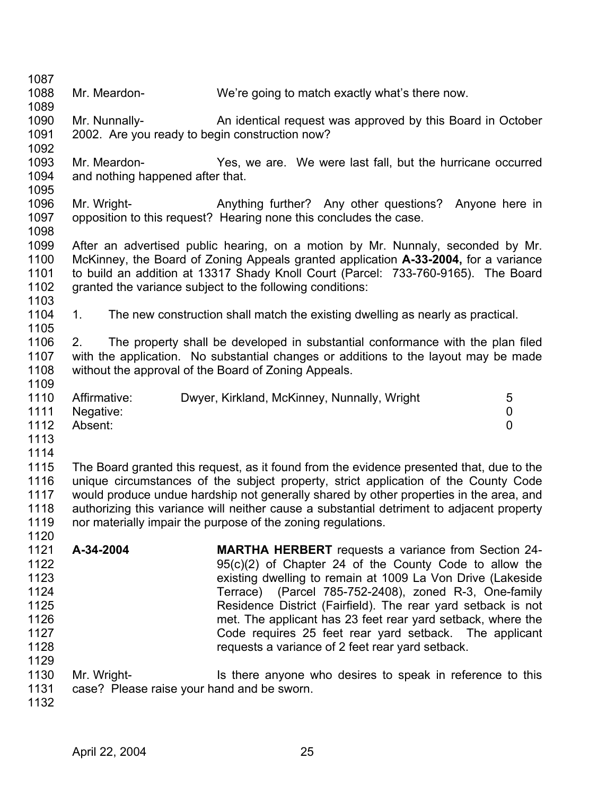| 1087 |                                                |                                                                                           |                |
|------|------------------------------------------------|-------------------------------------------------------------------------------------------|----------------|
| 1088 | Mr. Meardon-                                   | We're going to match exactly what's there now.                                            |                |
| 1089 |                                                |                                                                                           |                |
| 1090 | Mr. Nunnally-                                  | An identical request was approved by this Board in October                                |                |
| 1091 | 2002. Are you ready to begin construction now? |                                                                                           |                |
| 1092 |                                                |                                                                                           |                |
| 1093 | Mr. Meardon-                                   | Yes, we are. We were last fall, but the hurricane occurred                                |                |
| 1094 | and nothing happened after that.               |                                                                                           |                |
| 1095 |                                                |                                                                                           |                |
| 1096 | Mr. Wright-                                    | Anything further? Any other questions?<br>Anyone here in                                  |                |
| 1097 |                                                | opposition to this request? Hearing none this concludes the case.                         |                |
| 1098 |                                                |                                                                                           |                |
| 1099 |                                                | After an advertised public hearing, on a motion by Mr. Nunnaly, seconded by Mr.           |                |
| 1100 |                                                | McKinney, the Board of Zoning Appeals granted application A-33-2004, for a variance       |                |
| 1101 |                                                | to build an addition at 13317 Shady Knoll Court (Parcel: 733-760-9165). The Board         |                |
| 1102 |                                                | granted the variance subject to the following conditions:                                 |                |
| 1103 |                                                |                                                                                           |                |
| 1104 | 1.                                             | The new construction shall match the existing dwelling as nearly as practical.            |                |
| 1105 |                                                |                                                                                           |                |
| 1106 | 2.                                             | The property shall be developed in substantial conformance with the plan filed            |                |
| 1107 |                                                | with the application. No substantial changes or additions to the layout may be made       |                |
| 1108 |                                                | without the approval of the Board of Zoning Appeals.                                      |                |
| 1109 |                                                |                                                                                           |                |
| 1110 | Affirmative:                                   | Dwyer, Kirkland, McKinney, Nunnally, Wright                                               | 5              |
| 1111 | Negative:                                      |                                                                                           | 0              |
| 1112 | Absent:                                        |                                                                                           | $\overline{0}$ |
| 1113 |                                                |                                                                                           |                |
| 1114 |                                                |                                                                                           |                |
| 1115 |                                                | The Board granted this request, as it found from the evidence presented that, due to the  |                |
| 1116 |                                                | unique circumstances of the subject property, strict application of the County Code       |                |
| 1117 |                                                | would produce undue hardship not generally shared by other properties in the area, and    |                |
| 1118 |                                                | authorizing this variance will neither cause a substantial detriment to adjacent property |                |
| 1119 |                                                | nor materially impair the purpose of the zoning regulations.                              |                |
| 1120 |                                                |                                                                                           |                |
| 1121 | A-34-2004                                      | <b>MARTHA HERBERT</b> requests a variance from Section 24-                                |                |
| 1122 |                                                | $95(c)(2)$ of Chapter 24 of the County Code to allow the                                  |                |
| 1123 |                                                | existing dwelling to remain at 1009 La Von Drive (Lakeside                                |                |
| 1124 |                                                | Terrace) (Parcel 785-752-2408), zoned R-3, One-family                                     |                |
| 1125 |                                                | Residence District (Fairfield). The rear yard setback is not                              |                |
| 1126 |                                                | met. The applicant has 23 feet rear yard setback, where the                               |                |
| 1127 |                                                | Code requires 25 feet rear yard setback. The applicant                                    |                |
| 1128 |                                                | requests a variance of 2 feet rear yard setback.                                          |                |
| 1129 |                                                |                                                                                           |                |
| 1130 | Mr. Wright-                                    | Is there anyone who desires to speak in reference to this                                 |                |
| 1131 | case? Please raise your hand and be sworn.     |                                                                                           |                |
| 1132 |                                                |                                                                                           |                |
|      |                                                |                                                                                           |                |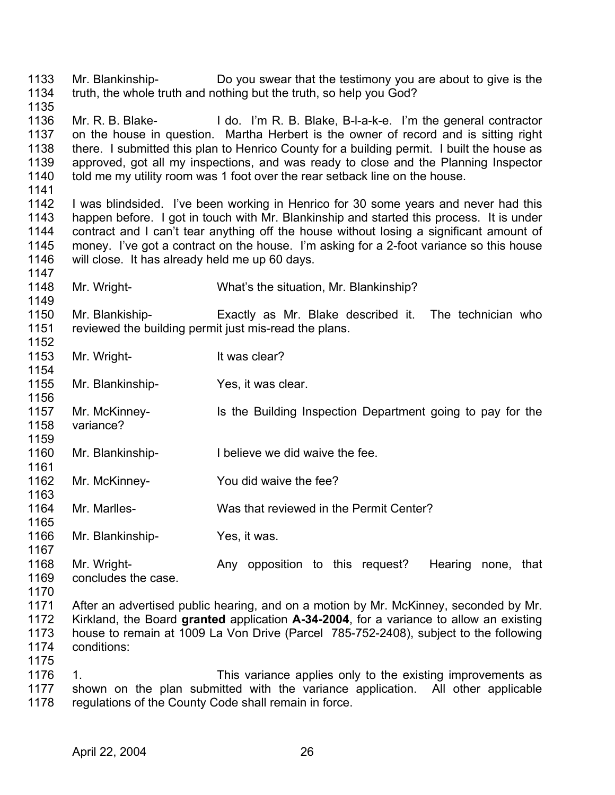1133 1134 1135 Mr. Blankinship- Do you swear that the testimony you are about to give is the truth, the whole truth and nothing but the truth, so help you God?

- 1136 1137 1138 1139 1140 1141 Mr. R. B. Blake- I do. I'm R. B. Blake, B-I-a-k-e. I'm the general contractor on the house in question. Martha Herbert is the owner of record and is sitting right there. I submitted this plan to Henrico County for a building permit. I built the house as approved, got all my inspections, and was ready to close and the Planning Inspector told me my utility room was 1 foot over the rear setback line on the house.
- 1142 1143 1144 1145 1146 1147 I was blindsided. I've been working in Henrico for 30 some years and never had this happen before. I got in touch with Mr. Blankinship and started this process. It is under contract and I can't tear anything off the house without losing a significant amount of money. I've got a contract on the house. I'm asking for a 2-foot variance so this house will close. It has already held me up 60 days.
- 1148 1149 Mr. Wright- What's the situation, Mr. Blankinship?
- 1150 1151 1152 Mr. Blankiship- Exactly as Mr. Blake described it. The technician who reviewed the building permit just mis-read the plans.
- 1153 Mr. Wright-<br>
It was clear?
- 1155 Mr. Blankinship- Yes, it was clear.
- 1157 1158 Mr. McKinney- Is the Building Inspection Department going to pay for the variance?
- 1160 Mr. Blankinship-<br>I believe we did waive the fee.
- 1162 Mr. McKinney- You did waive the fee?
- 1164 Mr. Marlles- Was that reviewed in the Permit Center?
- 1166 Mr. Blankinship- Yes, it was.
- 1168 1169 Mr. Wright- **Any opposition to this request?** Hearing none, that concludes the case.
- 1170

1154

1156

1159

1161

1163

1165

1167

1175

1171 1172 1173 1174 After an advertised public hearing, and on a motion by Mr. McKinney, seconded by Mr. Kirkland, the Board **granted** application **A-34-2004**, for a variance to allow an existing house to remain at 1009 La Von Drive (Parcel 785-752-2408), subject to the following conditions:

1176 1177 1178 1. This variance applies only to the existing improvements as shown on the plan submitted with the variance application. All other applicable regulations of the County Code shall remain in force.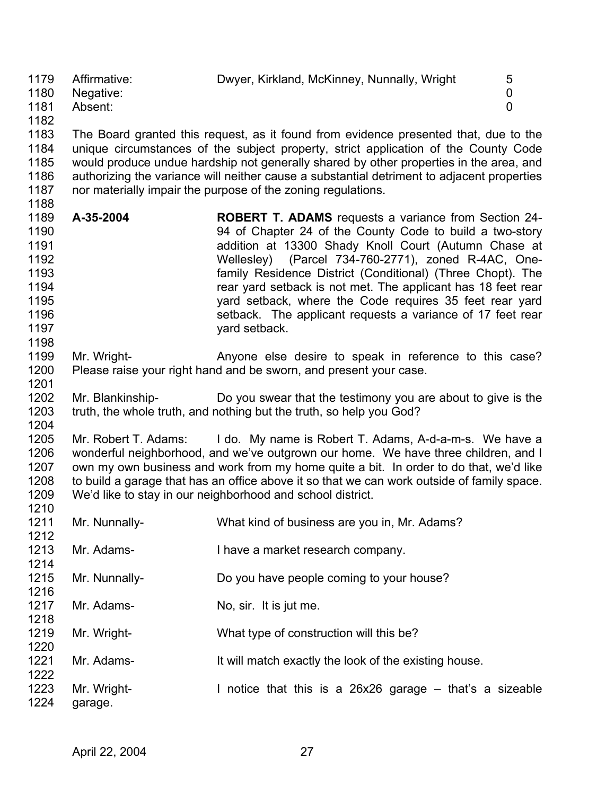1179 1180 1181 1182 Affirmative: Dwyer, Kirkland, McKinney, Nunnally, Wright 5 Negative: 0 Absent: 0

1183 1184 1185 1186 1187 The Board granted this request, as it found from evidence presented that, due to the unique circumstances of the subject property, strict application of the County Code would produce undue hardship not generally shared by other properties in the area, and authorizing the variance will neither cause a substantial detriment to adjacent properties nor materially impair the purpose of the zoning regulations.

- 1189 1190 1191 1192 1193 1194 1195 1196 1197 **A-35-2004 ROBERT T. ADAMS** requests a variance from Section 24- 94 of Chapter 24 of the County Code to build a two-story addition at 13300 Shady Knoll Court (Autumn Chase at Wellesley) (Parcel 734-760-2771), zoned R-4AC, Onefamily Residence District (Conditional) (Three Chopt). The rear yard setback is not met. The applicant has 18 feet rear yard setback, where the Code requires 35 feet rear yard setback. The applicant requests a variance of 17 feet rear yard setback.
- 1199 1200 Mr. Wright- **Anyone else desire to speak in reference to this case?** Please raise your right hand and be sworn, and present your case.
- 1202 1203 1204 Mr. Blankinship- Do you swear that the testimony you are about to give is the truth, the whole truth, and nothing but the truth, so help you God?

1205 1206 1207 1208 1209 1210 Mr. Robert T. Adams: I do. My name is Robert T. Adams, A-d-a-m-s. We have a wonderful neighborhood, and we've outgrown our home. We have three children, and I own my own business and work from my home quite a bit. In order to do that, we'd like to build a garage that has an office above it so that we can work outside of family space. We'd like to stay in our neighborhood and school district.

| 1211<br>1212 | Mr. Nunnally-          | What kind of business are you in, Mr. Adams?             |
|--------------|------------------------|----------------------------------------------------------|
| 1213<br>1214 | Mr. Adams-             | I have a market research company.                        |
| 1215<br>1216 | Mr. Nunnally-          | Do you have people coming to your house?                 |
| 1217<br>1218 | Mr. Adams-             | No, sir. It is jut me.                                   |
| 1219<br>1220 | Mr. Wright-            | What type of construction will this be?                  |
| 1221<br>1222 | Mr. Adams-             | It will match exactly the look of the existing house.    |
| 1223<br>1224 | Mr. Wright-<br>garage. | I notice that this is a 26x26 garage – that's a sizeable |

1188

1198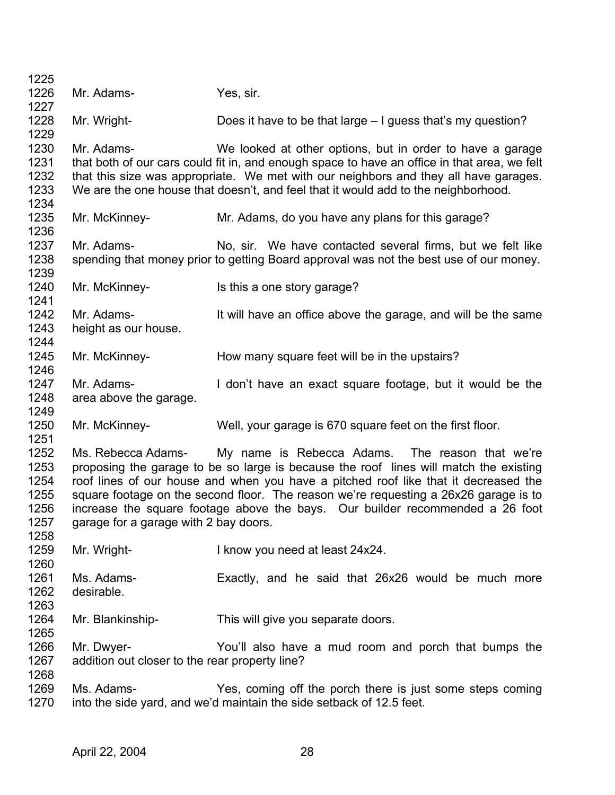| 1225                                                 |                                                              |                                                                                                                                                                                                                                                                                                                                                                                                                             |
|------------------------------------------------------|--------------------------------------------------------------|-----------------------------------------------------------------------------------------------------------------------------------------------------------------------------------------------------------------------------------------------------------------------------------------------------------------------------------------------------------------------------------------------------------------------------|
| 1226                                                 | Mr. Adams-                                                   | Yes, sir.                                                                                                                                                                                                                                                                                                                                                                                                                   |
| 1227                                                 |                                                              |                                                                                                                                                                                                                                                                                                                                                                                                                             |
| 1228<br>1229                                         | Mr. Wright-                                                  | Does it have to be that large – I guess that's my question?                                                                                                                                                                                                                                                                                                                                                                 |
| 1230<br>1231<br>1232<br>1233                         | Mr. Adams-                                                   | We looked at other options, but in order to have a garage<br>that both of our cars could fit in, and enough space to have an office in that area, we felt<br>that this size was appropriate. We met with our neighbors and they all have garages.<br>We are the one house that doesn't, and feel that it would add to the neighborhood.                                                                                     |
| 1234<br>1235<br>1236                                 | Mr. McKinney-                                                | Mr. Adams, do you have any plans for this garage?                                                                                                                                                                                                                                                                                                                                                                           |
| 1237                                                 | Mr. Adams-                                                   | No, sir. We have contacted several firms, but we felt like                                                                                                                                                                                                                                                                                                                                                                  |
| 1238                                                 |                                                              | spending that money prior to getting Board approval was not the best use of our money.                                                                                                                                                                                                                                                                                                                                      |
| 1239                                                 |                                                              |                                                                                                                                                                                                                                                                                                                                                                                                                             |
| 1240<br>1241                                         | Mr. McKinney-                                                | Is this a one story garage?                                                                                                                                                                                                                                                                                                                                                                                                 |
| 1242                                                 | Mr. Adams-                                                   |                                                                                                                                                                                                                                                                                                                                                                                                                             |
|                                                      |                                                              | It will have an office above the garage, and will be the same                                                                                                                                                                                                                                                                                                                                                               |
| 1243                                                 | height as our house.                                         |                                                                                                                                                                                                                                                                                                                                                                                                                             |
| 1244                                                 |                                                              |                                                                                                                                                                                                                                                                                                                                                                                                                             |
| 1245                                                 | Mr. McKinney-                                                | How many square feet will be in the upstairs?                                                                                                                                                                                                                                                                                                                                                                               |
| 1246                                                 |                                                              |                                                                                                                                                                                                                                                                                                                                                                                                                             |
| 1247                                                 | Mr. Adams-                                                   | I don't have an exact square footage, but it would be the                                                                                                                                                                                                                                                                                                                                                                   |
| 1248<br>1249                                         | area above the garage.                                       |                                                                                                                                                                                                                                                                                                                                                                                                                             |
| 1250                                                 | Mr. McKinney-                                                | Well, your garage is 670 square feet on the first floor.                                                                                                                                                                                                                                                                                                                                                                    |
| 1251                                                 |                                                              |                                                                                                                                                                                                                                                                                                                                                                                                                             |
| 1252<br>1253<br>1254<br>1255<br>1256<br>1257<br>1258 | garage for a garage with 2 bay doors.                        | Ms. Rebecca Adams- My name is Rebecca Adams. The reason that we're<br>proposing the garage to be so large is because the roof lines will match the existing<br>roof lines of our house and when you have a pitched roof like that it decreased the<br>square footage on the second floor. The reason we're requesting a 26x26 garage is to<br>increase the square footage above the bays. Our builder recommended a 26 foot |
| 1259<br>1260                                         | Mr. Wright-                                                  | I know you need at least 24x24.                                                                                                                                                                                                                                                                                                                                                                                             |
| 1261<br>1262<br>1263                                 | Ms. Adams-<br>desirable.                                     | Exactly, and he said that 26x26 would be much more                                                                                                                                                                                                                                                                                                                                                                          |
| 1264<br>1265                                         | Mr. Blankinship-                                             | This will give you separate doors.                                                                                                                                                                                                                                                                                                                                                                                          |
| 1266<br>1267<br>1268                                 | Mr. Dwyer-<br>addition out closer to the rear property line? | You'll also have a mud room and porch that bumps the                                                                                                                                                                                                                                                                                                                                                                        |
| 1269<br>1270                                         | Ms. Adams-                                                   | Yes, coming off the porch there is just some steps coming<br>into the side yard, and we'd maintain the side setback of 12.5 feet.                                                                                                                                                                                                                                                                                           |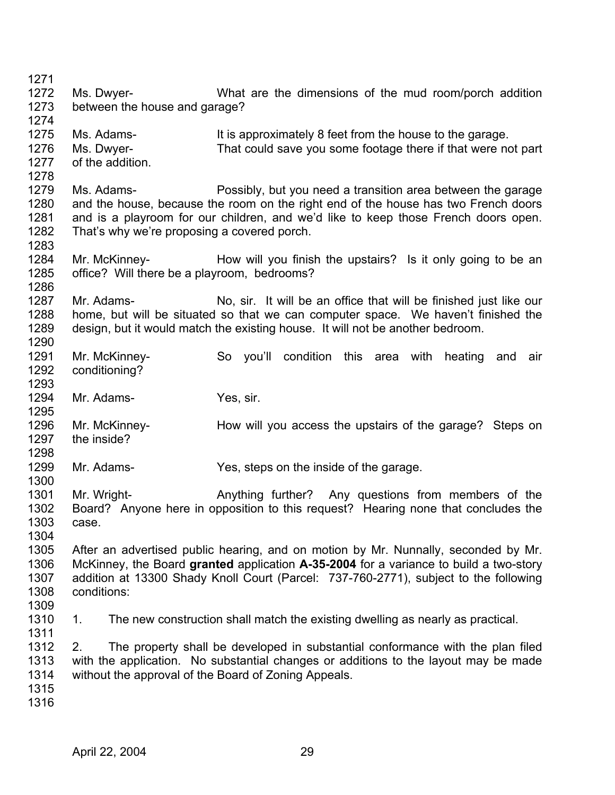| 1271<br>1272                         | Ms. Dwyer-                                                   | What are the dimensions of the mud room/porch addition                                                                                                                                                                                                              |
|--------------------------------------|--------------------------------------------------------------|---------------------------------------------------------------------------------------------------------------------------------------------------------------------------------------------------------------------------------------------------------------------|
| 1273<br>1274                         | between the house and garage?                                |                                                                                                                                                                                                                                                                     |
| 1275<br>1276<br>1277<br>1278         | Ms. Adams-<br>Ms. Dwyer-<br>of the addition.                 | It is approximately 8 feet from the house to the garage.<br>That could save you some footage there if that were not part                                                                                                                                            |
| 1279<br>1280<br>1281<br>1282         | Ms. Adams-<br>That's why we're proposing a covered porch.    | Possibly, but you need a transition area between the garage<br>and the house, because the room on the right end of the house has two French doors<br>and is a playroom for our children, and we'd like to keep those French doors open.                             |
| 1283<br>1284<br>1285<br>1286         | Mr. McKinney-<br>office? Will there be a playroom, bedrooms? | How will you finish the upstairs? Is it only going to be an                                                                                                                                                                                                         |
| 1287<br>1288<br>1289<br>1290         | Mr. Adams-                                                   | No, sir. It will be an office that will be finished just like our<br>home, but will be situated so that we can computer space. We haven't finished the<br>design, but it would match the existing house. It will not be another bedroom.                            |
| 1291<br>1292<br>1293                 | Mr. McKinney-<br>conditioning?                               | So you'll condition this area with<br>heating<br>and<br>air                                                                                                                                                                                                         |
| 1294<br>1295                         | Mr. Adams-                                                   | Yes, sir.                                                                                                                                                                                                                                                           |
| 1296<br>1297<br>1298                 | Mr. McKinney-<br>the inside?                                 | How will you access the upstairs of the garage? Steps on                                                                                                                                                                                                            |
| 1299<br>1300                         | Mr. Adams-                                                   | Yes, steps on the inside of the garage.                                                                                                                                                                                                                             |
| 1301<br>1302<br>1303<br>1304         | Mr. Wright-<br>case.                                         | Anything further? Any questions from members of the<br>Board? Anyone here in opposition to this request? Hearing none that concludes the                                                                                                                            |
| 1305<br>1306<br>1307<br>1308<br>1309 | conditions:                                                  | After an advertised public hearing, and on motion by Mr. Nunnally, seconded by Mr.<br>McKinney, the Board granted application A-35-2004 for a variance to build a two-story<br>addition at 13300 Shady Knoll Court (Parcel: 737-760-2771), subject to the following |
| 1310<br>1311                         | 1.                                                           | The new construction shall match the existing dwelling as nearly as practical.                                                                                                                                                                                      |
| 1312<br>1313<br>1314<br>1315<br>1316 | 2.                                                           | The property shall be developed in substantial conformance with the plan filed<br>with the application. No substantial changes or additions to the layout may be made<br>without the approval of the Board of Zoning Appeals.                                       |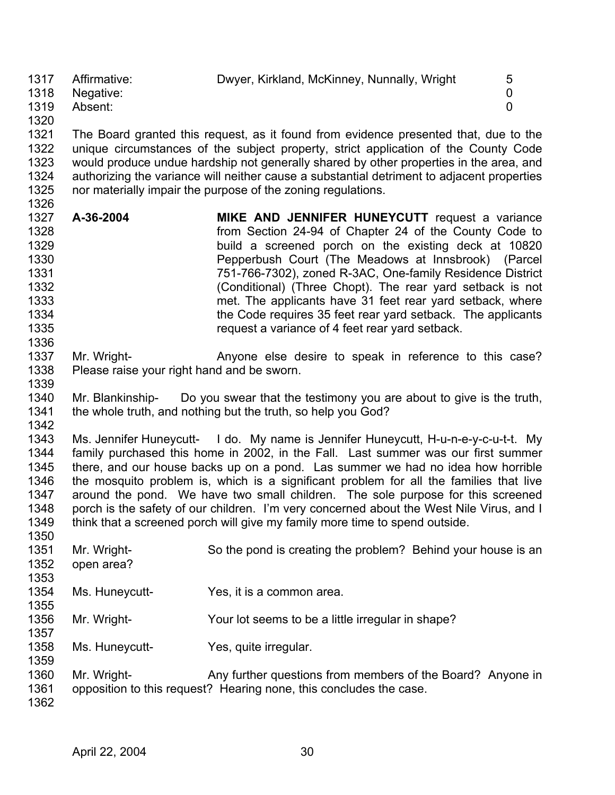1317 1318 1319 1320 Affirmative: Dwyer, Kirkland, McKinney, Nunnally, Wright 5 Negative: 0 Absent: 0

1321 1322 1323 1324 1325 1326 The Board granted this request, as it found from evidence presented that, due to the unique circumstances of the subject property, strict application of the County Code would produce undue hardship not generally shared by other properties in the area, and authorizing the variance will neither cause a substantial detriment to adjacent properties nor materially impair the purpose of the zoning regulations.

- 1327 1328 1329 1330 1331 1332 1333 1334 1335 1336 **A-36-2004 MIKE AND JENNIFER HUNEYCUTT** request a variance from Section 24-94 of Chapter 24 of the County Code to build a screened porch on the existing deck at 10820 Pepperbush Court (The Meadows at Innsbrook) (Parcel 751-766-7302), zoned R-3AC, One-family Residence District (Conditional) (Three Chopt). The rear yard setback is not met. The applicants have 31 feet rear yard setback, where the Code requires 35 feet rear yard setback. The applicants request a variance of 4 feet rear yard setback.
- 1337 1338 Mr. Wright- **Anyone else desire to speak in reference to this case?** Please raise your right hand and be sworn.
- 1340 1341 1342 Mr. Blankinship- Do you swear that the testimony you are about to give is the truth, the whole truth, and nothing but the truth, so help you God?

1343 1344 1345 1346 1347 1348 1349 Ms. Jennifer Huneycutt- I do. My name is Jennifer Huneycutt, H-u-n-e-y-c-u-t-t. My family purchased this home in 2002, in the Fall. Last summer was our first summer there, and our house backs up on a pond. Las summer we had no idea how horrible the mosquito problem is, which is a significant problem for all the families that live around the pond. We have two small children. The sole purpose for this screened porch is the safety of our children. I'm very concerned about the West Nile Virus, and I think that a screened porch will give my family more time to spend outside.

1351 1352 1353 1354 1355 1356 1357 1358 1359 1360 1361 1362 Mr. Wright- So the pond is creating the problem? Behind your house is an open area? Ms. Huneycutt-<br>
Yes, it is a common area. Mr. Wright- Your lot seems to be a little irregular in shape? Ms. Huneycutt-<br>
Yes, quite irregular. Mr. Wright- **Any further questions from members of the Board?** Anyone in opposition to this request? Hearing none, this concludes the case.

1339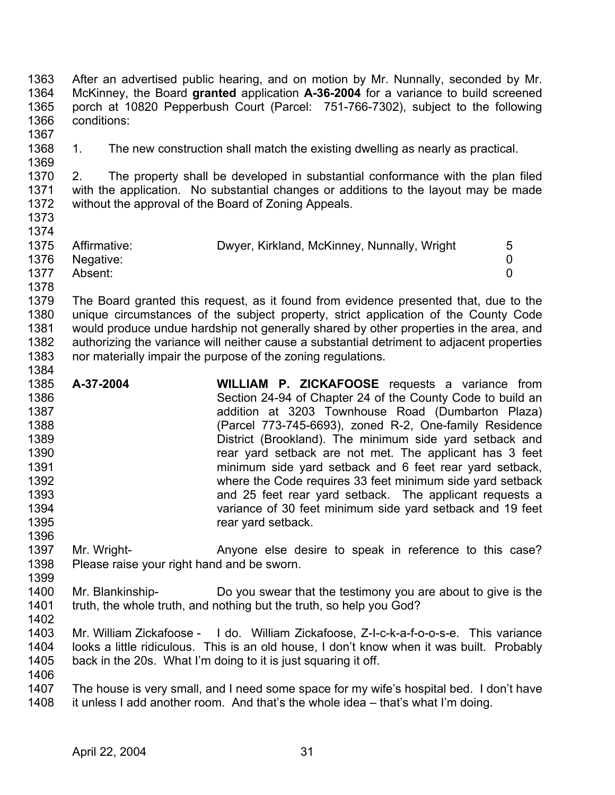1363 1364 1365 1366 After an advertised public hearing, and on motion by Mr. Nunnally, seconded by Mr. McKinney, the Board **granted** application **A-36-2004** for a variance to build screened porch at 10820 Pepperbush Court (Parcel: 751-766-7302), subject to the following conditions:

1368 1369 1. The new construction shall match the existing dwelling as nearly as practical.

1370 1371 1372 1373 2. The property shall be developed in substantial conformance with the plan filed with the application. No substantial changes or additions to the layout may be made without the approval of the Board of Zoning Appeals.

1374 1375 1376 1377 1378 Affirmative: Dwyer, Kirkland, McKinney, Nunnally, Wright 5 Negative: 0 Absent: 0

1379 1380 1381 1382 1383 The Board granted this request, as it found from evidence presented that, due to the unique circumstances of the subject property, strict application of the County Code would produce undue hardship not generally shared by other properties in the area, and authorizing the variance will neither cause a substantial detriment to adjacent properties nor materially impair the purpose of the zoning regulations.

- 1385 1386 1387 1388 1389 1390 1391 1392 1393 1394 1395 1396 **A-37-2004 WILLIAM P. ZICKAFOOSE** requests a variance from Section 24-94 of Chapter 24 of the County Code to build an addition at 3203 Townhouse Road (Dumbarton Plaza) (Parcel 773-745-6693), zoned R-2, One-family Residence District (Brookland). The minimum side yard setback and rear yard setback are not met. The applicant has 3 feet minimum side yard setback and 6 feet rear yard setback, where the Code requires 33 feet minimum side yard setback and 25 feet rear yard setback. The applicant requests a variance of 30 feet minimum side yard setback and 19 feet rear yard setback.
- 1397 1398 Mr. Wright- **Anyone else desire to speak in reference to this case?** Please raise your right hand and be sworn.
- 1400 1401 Mr. Blankinship- Do you swear that the testimony you are about to give is the truth, the whole truth, and nothing but the truth, so help you God?
- 1402

1399

1367

- 1403 1404 1405 1406 Mr. William Zickafoose - I do. William Zickafoose, Z-I-c-k-a-f-o-o-s-e. This variance looks a little ridiculous. This is an old house, I don't know when it was built. Probably back in the 20s. What I'm doing to it is just squaring it off.
- 1407 1408 The house is very small, and I need some space for my wife's hospital bed. I don't have it unless I add another room. And that's the whole idea – that's what I'm doing.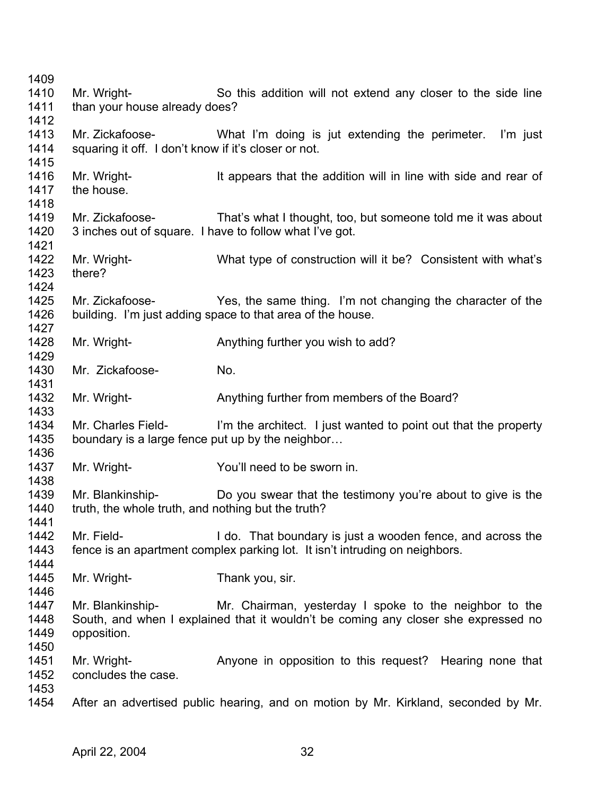Mr. Wright- So this addition will not extend any closer to the side line than your house already does? Mr. Zickafoose- What I'm doing is jut extending the perimeter. I'm just squaring it off. I don't know if it's closer or not. Mr. Wright- It appears that the addition will in line with side and rear of the house. Mr. Zickafoose- That's what I thought, too, but someone told me it was about 3 inches out of square. I have to follow what I've got. Mr. Wright- What type of construction will it be? Consistent with what's there? Mr. Zickafoose- Yes, the same thing. I'm not changing the character of the building. I'm just adding space to that area of the house. Mr. Wright- **Anything further you wish to add?** Mr. Zickafoose- No. Mr. Wright- **Anything further from members of the Board?** Mr. Charles Field- I'm the architect. I just wanted to point out that the property boundary is a large fence put up by the neighbor… Mr. Wright- **You'll need to be sworn in.** Mr. Blankinship- Do you swear that the testimony you're about to give is the truth, the whole truth, and nothing but the truth? Mr. Field- **I** do. That boundary is just a wooden fence, and across the fence is an apartment complex parking lot. It isn't intruding on neighbors. Mr. Wright- Thank you, sir. Mr. Blankinship- Mr. Chairman, yesterday I spoke to the neighbor to the South, and when I explained that it wouldn't be coming any closer she expressed no opposition. Mr. Wright- **Anyone in opposition to this request?** Hearing none that concludes the case. After an advertised public hearing, and on motion by Mr. Kirkland, seconded by Mr.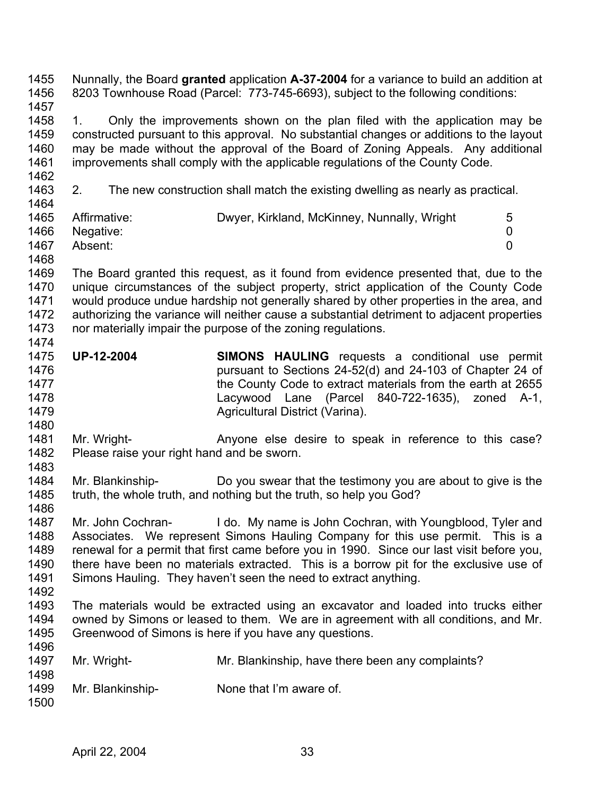Nunnally, the Board **granted** application **A-37-2004** for a variance to build an addition at 8203 Townhouse Road (Parcel: 773-745-6693), subject to the following conditions: 1455 1456 1457

1458 1459 1460 1461 1462 1. Only the improvements shown on the plan filed with the application may be constructed pursuant to this approval. No substantial changes or additions to the layout may be made without the approval of the Board of Zoning Appeals. Any additional improvements shall comply with the applicable regulations of the County Code.

1463  $1464$ 2. The new construction shall match the existing dwelling as nearly as practical.

| Affirmative: | Dwyer, Kirkland, McKinney, Nunnally, Wright | 5 |
|--------------|---------------------------------------------|---|
| Negative:    |                                             |   |
| Absent:      |                                             |   |
|              |                                             |   |

1468

1469 1470 1471 1472 1473 1474 The Board granted this request, as it found from evidence presented that, due to the unique circumstances of the subject property, strict application of the County Code would produce undue hardship not generally shared by other properties in the area, and authorizing the variance will neither cause a substantial detriment to adjacent properties nor materially impair the purpose of the zoning regulations.

- 1475 1476 1477 1478 1479 **UP-12-2004 SIMONS HAULING** requests a conditional use permit pursuant to Sections 24-52(d) and 24-103 of Chapter 24 of the County Code to extract materials from the earth at 2655 Lacywood Lane (Parcel 840-722-1635), zoned A-1, Agricultural District (Varina).
- 1481 1482 1483 Mr. Wright- **Anyone else desire to speak in reference to this case?** Please raise your right hand and be sworn.
- 1484 1485 1486 Mr. Blankinship- Do you swear that the testimony you are about to give is the truth, the whole truth, and nothing but the truth, so help you God?
- 1487 1488 1489 1490 1491 Mr. John Cochran- I do. My name is John Cochran, with Youngblood, Tyler and Associates. We represent Simons Hauling Company for this use permit. This is a renewal for a permit that first came before you in 1990. Since our last visit before you, there have been no materials extracted. This is a borrow pit for the exclusive use of Simons Hauling. They haven't seen the need to extract anything.
- 1492

1480

1493 1494 1495 1496 The materials would be extracted using an excavator and loaded into trucks either owned by Simons or leased to them. We are in agreement with all conditions, and Mr. Greenwood of Simons is here if you have any questions.

| 1497<br>1498 | Mr. Wright-      | Mr. Blankinship, have there been any complaints? |
|--------------|------------------|--------------------------------------------------|
| 1499<br>1500 | Mr. Blankinship- | None that I'm aware of.                          |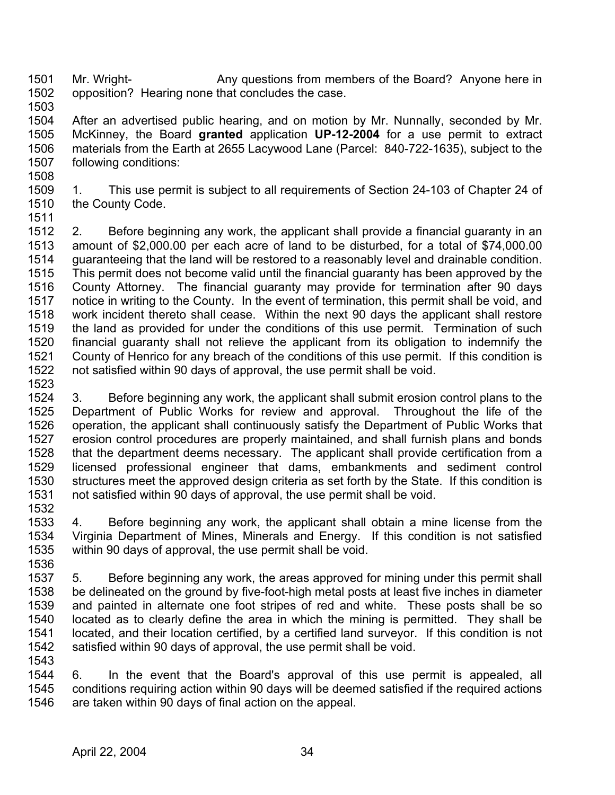1501 1502 Mr. Wright- Any questions from members of the Board? Anyone here in opposition? Hearing none that concludes the case.

1503

1504 1505 1506 1507 After an advertised public hearing, and on motion by Mr. Nunnally, seconded by Mr. McKinney, the Board **granted** application **UP-12-2004** for a use permit to extract materials from the Earth at 2655 Lacywood Lane (Parcel: 840-722-1635), subject to the following conditions:

1508

1509 1510 1. This use permit is subject to all requirements of Section 24-103 of Chapter 24 of the County Code.

1511

1512 1513 1514 1515 1516 1517 1518 1519 1520 1521 1522 1523 2. Before beginning any work, the applicant shall provide a financial guaranty in an amount of \$2,000.00 per each acre of land to be disturbed, for a total of \$74,000.00 guaranteeing that the land will be restored to a reasonably level and drainable condition. This permit does not become valid until the financial guaranty has been approved by the County Attorney. The financial guaranty may provide for termination after 90 days notice in writing to the County. In the event of termination, this permit shall be void, and work incident thereto shall cease. Within the next 90 days the applicant shall restore the land as provided for under the conditions of this use permit. Termination of such financial guaranty shall not relieve the applicant from its obligation to indemnify the County of Henrico for any breach of the conditions of this use permit. If this condition is not satisfied within 90 days of approval, the use permit shall be void.

- 1524 1525 1526 1527 1528 1529 1530 1531 1532 3. Before beginning any work, the applicant shall submit erosion control plans to the Department of Public Works for review and approval. Throughout the life of the operation, the applicant shall continuously satisfy the Department of Public Works that erosion control procedures are properly maintained, and shall furnish plans and bonds that the department deems necessary. The applicant shall provide certification from a licensed professional engineer that dams, embankments and sediment control structures meet the approved design criteria as set forth by the State. If this condition is not satisfied within 90 days of approval, the use permit shall be void.
- 1533 1534 1535 4. Before beginning any work, the applicant shall obtain a mine license from the Virginia Department of Mines, Minerals and Energy. If this condition is not satisfied within 90 days of approval, the use permit shall be void.
- 1536 1537 1538 1539 1540 1541 1542 1543 5. Before beginning any work, the areas approved for mining under this permit shall be delineated on the ground by five-foot-high metal posts at least five inches in diameter and painted in alternate one foot stripes of red and white. These posts shall be so located as to clearly define the area in which the mining is permitted. They shall be located, and their location certified, by a certified land surveyor. If this condition is not satisfied within 90 days of approval, the use permit shall be void.

1544 1545 1546 6. In the event that the Board's approval of this use permit is appealed, all conditions requiring action within 90 days will be deemed satisfied if the required actions are taken within 90 days of final action on the appeal.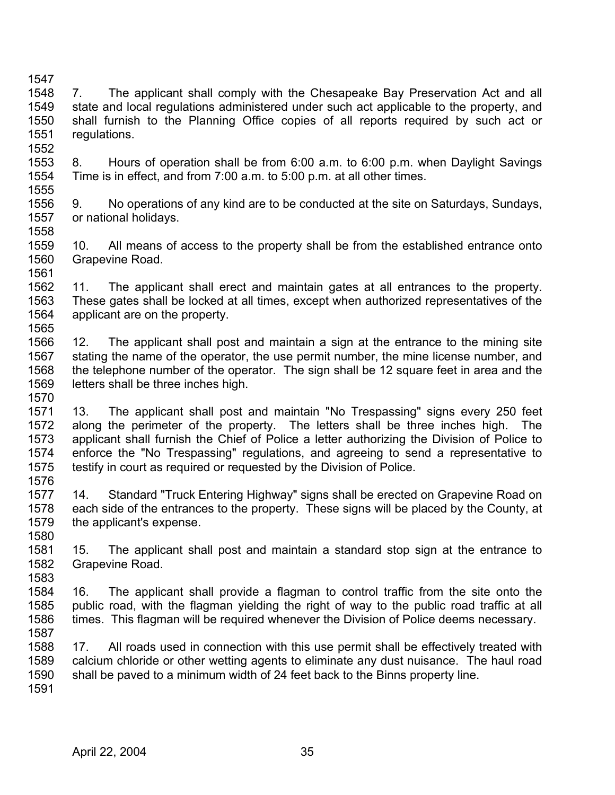1547 1548 1549 1550 1551 1552 7. The applicant shall comply with the Chesapeake Bay Preservation Act and all state and local regulations administered under such act applicable to the property, and shall furnish to the Planning Office copies of all reports required by such act or regulations.

- 1553 1554 1555 8. Hours of operation shall be from 6:00 a.m. to 6:00 p.m. when Daylight Savings Time is in effect, and from 7:00 a.m. to 5:00 p.m. at all other times.
- 1556 1557 1558 9. No operations of any kind are to be conducted at the site on Saturdays, Sundays, or national holidays.
- 1559 1560 1561 10. All means of access to the property shall be from the established entrance onto Grapevine Road.
- 1562 1563 1564 1565 11. The applicant shall erect and maintain gates at all entrances to the property. These gates shall be locked at all times, except when authorized representatives of the applicant are on the property.
- 1566 1567 1568 1569 1570 12. The applicant shall post and maintain a sign at the entrance to the mining site stating the name of the operator, the use permit number, the mine license number, and the telephone number of the operator. The sign shall be 12 square feet in area and the letters shall be three inches high.
- 1571 1572 1573 1574 1575 1576 13. The applicant shall post and maintain "No Trespassing" signs every 250 feet along the perimeter of the property. The letters shall be three inches high. The applicant shall furnish the Chief of Police a letter authorizing the Division of Police to enforce the "No Trespassing" regulations, and agreeing to send a representative to testify in court as required or requested by the Division of Police.
- 1577 1578 1579 1580 14. Standard "Truck Entering Highway" signs shall be erected on Grapevine Road on each side of the entrances to the property. These signs will be placed by the County, at the applicant's expense.
- 1581 1582 1583 15. The applicant shall post and maintain a standard stop sign at the entrance to Grapevine Road.
- 1584 1585 1586 1587 16. The applicant shall provide a flagman to control traffic from the site onto the public road, with the flagman yielding the right of way to the public road traffic at all times. This flagman will be required whenever the Division of Police deems necessary.
- 1588 1589 1590 1591 17. All roads used in connection with this use permit shall be effectively treated with calcium chloride or other wetting agents to eliminate any dust nuisance. The haul road shall be paved to a minimum width of 24 feet back to the Binns property line.
	- April 22, 2004 35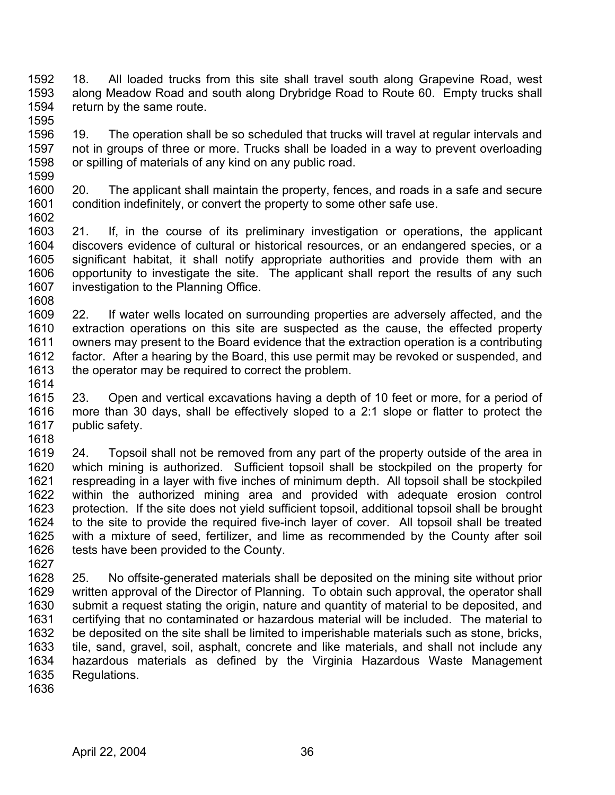- 1592 1593 1594 1595 18. All loaded trucks from this site shall travel south along Grapevine Road, west along Meadow Road and south along Drybridge Road to Route 60. Empty trucks shall return by the same route.
- 1596 1597 1598 1599 19. The operation shall be so scheduled that trucks will travel at regular intervals and not in groups of three or more. Trucks shall be loaded in a way to prevent overloading or spilling of materials of any kind on any public road.
- 1600 1601 1602 20. The applicant shall maintain the property, fences, and roads in a safe and secure condition indefinitely, or convert the property to some other safe use.
- 1603 1604 1605 1606 1607 1608 21. If, in the course of its preliminary investigation or operations, the applicant discovers evidence of cultural or historical resources, or an endangered species, or a significant habitat, it shall notify appropriate authorities and provide them with an opportunity to investigate the site. The applicant shall report the results of any such investigation to the Planning Office.
- 1609 1610 1611 1612 1613 1614 22. If water wells located on surrounding properties are adversely affected, and the extraction operations on this site are suspected as the cause, the effected property owners may present to the Board evidence that the extraction operation is a contributing factor. After a hearing by the Board, this use permit may be revoked or suspended, and the operator may be required to correct the problem.
- 1615 1616 1617 1618 23. Open and vertical excavations having a depth of 10 feet or more, for a period of more than 30 days, shall be effectively sloped to a 2:1 slope or flatter to protect the public safety.
- 1619 1620 1621 1622 1623 1624 1625 1626 24. Topsoil shall not be removed from any part of the property outside of the area in which mining is authorized. Sufficient topsoil shall be stockpiled on the property for respreading in a layer with five inches of minimum depth. All topsoil shall be stockpiled within the authorized mining area and provided with adequate erosion control protection. If the site does not yield sufficient topsoil, additional topsoil shall be brought to the site to provide the required five-inch layer of cover. All topsoil shall be treated with a mixture of seed, fertilizer, and lime as recommended by the County after soil tests have been provided to the County.
- 1627 1628 1629 1630 1631 1632 1633 1634 1635 25. No offsite-generated materials shall be deposited on the mining site without prior written approval of the Director of Planning. To obtain such approval, the operator shall submit a request stating the origin, nature and quantity of material to be deposited, and certifying that no contaminated or hazardous material will be included. The material to be deposited on the site shall be limited to imperishable materials such as stone, bricks, tile, sand, gravel, soil, asphalt, concrete and like materials, and shall not include any hazardous materials as defined by the Virginia Hazardous Waste Management Regulations.
- 1636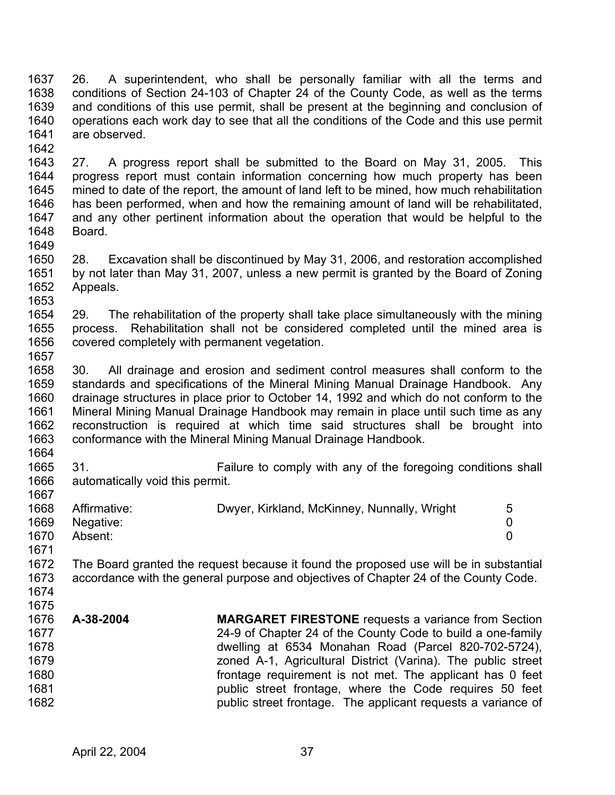1637 1638 1639 1640 1641 1642 26. A superintendent, who shall be personally familiar with all the terms and conditions of Section 24-103 of Chapter 24 of the County Code, as well as the terms and conditions of this use permit, shall be present at the beginning and conclusion of operations each work day to see that all the conditions of the Code and this use permit are observed.

1643 1644 1645 1646 1647 1648 1649 27. A progress report shall be submitted to the Board on May 31, 2005. This progress report must contain information concerning how much property has been mined to date of the report, the amount of land left to be mined, how much rehabilitation has been performed, when and how the remaining amount of land will be rehabilitated, and any other pertinent information about the operation that would be helpful to the Board.

1650 1651 1652 1653 28. Excavation shall be discontinued by May 31, 2006, and restoration accomplished by not later than May 31, 2007, unless a new permit is granted by the Board of Zoning Appeals.

1654 1655 1656 1657 29. The rehabilitation of the property shall take place simultaneously with the mining process. Rehabilitation shall not be considered completed until the mined area is covered completely with permanent vegetation.

1658 1659 1660 1661 1662 1663 30. All drainage and erosion and sediment control measures shall conform to the standards and specifications of the Mineral Mining Manual Drainage Handbook. Any drainage structures in place prior to October 14, 1992 and which do not conform to the Mineral Mining Manual Drainage Handbook may remain in place until such time as any reconstruction is required at which time said structures shall be brought into conformance with the Mineral Mining Manual Drainage Handbook.

1665 1666 31. Failure to comply with any of the foregoing conditions shall automatically void this permit.

| 1668 | Affirmative: | Dwyer, Kirkland, McKinney, Nunnally, Wright |  |
|------|--------------|---------------------------------------------|--|
| 1669 | Negative:    |                                             |  |
| 1670 | Absent:      |                                             |  |
| 1671 |              |                                             |  |

1672 1673 1674 The Board granted the request because it found the proposed use will be in substantial accordance with the general purpose and objectives of Chapter 24 of the County Code.

1675

1664

| 1676 | A-38-2004 | <b>MARGARET FIRESTONE</b> requests a variance from Section   |
|------|-----------|--------------------------------------------------------------|
| 1677 |           | 24-9 of Chapter 24 of the County Code to build a one-family  |
| 1678 |           | dwelling at 6534 Monahan Road (Parcel 820-702-5724),         |
| 1679 |           | zoned A-1, Agricultural District (Varina). The public street |
| 1680 |           | frontage requirement is not met. The applicant has 0 feet    |
| 1681 |           | public street frontage, where the Code requires 50 feet      |
| 1682 |           | public street frontage. The applicant requests a variance of |
|      |           |                                                              |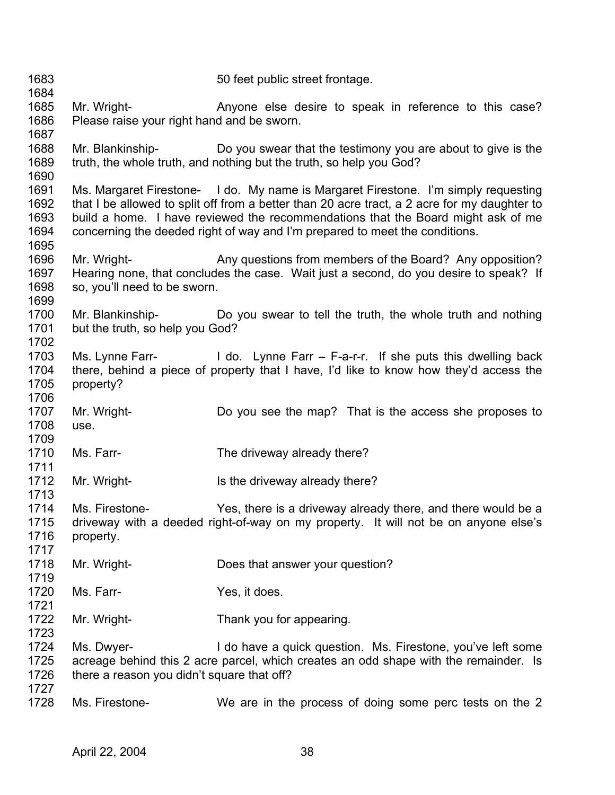1683 1684 1685 1686 1687 1688 1689 1690 1691 1692 1693 1694 1695 1696 1697 1698 1699 1700 1701 1702 1703 1704 1705 1706 1707 1708 1709 1710 1711 1712 1713 1714 1715 1716 1717 1718 1719 1720 1721 1722 1723 1724 1725 1726 1727 1728 50 feet public street frontage. Mr. Wright- **Anyone else desire to speak in reference to this case?** Please raise your right hand and be sworn. Mr. Blankinship- Do you swear that the testimony you are about to give is the truth, the whole truth, and nothing but the truth, so help you God? Ms. Margaret Firestone- I do. My name is Margaret Firestone. I'm simply requesting that I be allowed to split off from a better than 20 acre tract, a 2 acre for my daughter to build a home. I have reviewed the recommendations that the Board might ask of me concerning the deeded right of way and I'm prepared to meet the conditions. Mr. Wright- Any questions from members of the Board? Any opposition? Hearing none, that concludes the case. Wait just a second, do you desire to speak? If so, you'll need to be sworn. Mr. Blankinship- Do you swear to tell the truth, the whole truth and nothing but the truth, so help you God? Ms. Lynne Farr- I do. Lynne Farr  $-$  F-a-r-r. If she puts this dwelling back there, behind a piece of property that I have, I'd like to know how they'd access the property? Mr. Wright- Do you see the map? That is the access she proposes to use. Ms. Farr- The driveway already there? Mr. Wright- **Is the driveway already there?** Ms. Firestone- Yes, there is a driveway already there, and there would be a driveway with a deeded right-of-way on my property. It will not be on anyone else's property. Mr. Wright-<br>
Does that answer your question? Ms. Farr- Yes, it does. Mr. Wright- Thank you for appearing. Ms. Dwyer- I do have a quick question. Ms. Firestone, you've left some acreage behind this 2 acre parcel, which creates an odd shape with the remainder. Is there a reason you didn't square that off? Ms. Firestone- We are in the process of doing some perc tests on the 2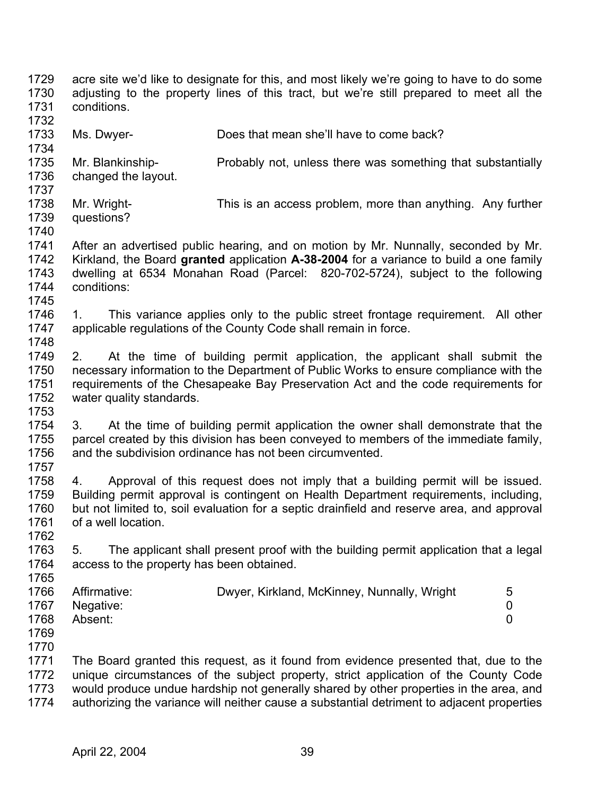1729 1730 1731 1732 1733 1734 1735 1736 1737 1738 1739 1740 1741 1742 1743 1744 1745 1746 1747 1748 1749 1750 1751 1752 1753 1754 1755 1756 1757 1758 1759 1760 1761 1762 1763 1764 1765 1766 1767 1768 1769 1770 1771 1772 1773 1774 acre site we'd like to designate for this, and most likely we're going to have to do some adjusting to the property lines of this tract, but we're still prepared to meet all the conditions. Ms. Dwyer- Does that mean she'll have to come back? Mr. Blankinship- **Probably not, unless there was something that substantially** changed the layout. Mr. Wright- This is an access problem, more than anything. Any further questions? After an advertised public hearing, and on motion by Mr. Nunnally, seconded by Mr. Kirkland, the Board **granted** application **A-38-2004** for a variance to build a one family dwelling at 6534 Monahan Road (Parcel: 820-702-5724), subject to the following conditions: 1. This variance applies only to the public street frontage requirement. All other applicable regulations of the County Code shall remain in force. 2. At the time of building permit application, the applicant shall submit the necessary information to the Department of Public Works to ensure compliance with the requirements of the Chesapeake Bay Preservation Act and the code requirements for water quality standards. 3. At the time of building permit application the owner shall demonstrate that the parcel created by this division has been conveyed to members of the immediate family, and the subdivision ordinance has not been circumvented. 4. Approval of this request does not imply that a building permit will be issued. Building permit approval is contingent on Health Department requirements, including, but not limited to, soil evaluation for a septic drainfield and reserve area, and approval of a well location. 5. The applicant shall present proof with the building permit application that a legal access to the property has been obtained. Affirmative: Dwyer, Kirkland, McKinney, Nunnally, Wright 5 Negative: 0 Absent: 0 The Board granted this request, as it found from evidence presented that, due to the unique circumstances of the subject property, strict application of the County Code would produce undue hardship not generally shared by other properties in the area, and authorizing the variance will neither cause a substantial detriment to adjacent properties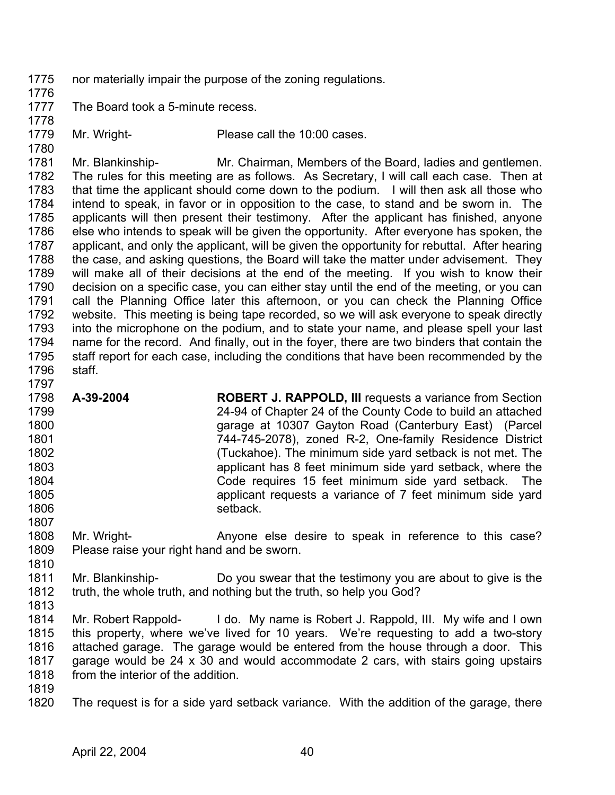- 1775 nor materially impair the purpose of the zoning regulations.
- 1776 1777

The Board took a 5-minute recess.

1778

1779 1780

Mr. Wright- Please call the 10:00 cases.

1781 1782 1783 1784 1785 1786 1787 1788 1789 1790 1791 1792 1793 1794 1795 1796 Mr. Blankinship- Mr. Chairman, Members of the Board, ladies and gentlemen. The rules for this meeting are as follows. As Secretary, I will call each case. Then at that time the applicant should come down to the podium. I will then ask all those who intend to speak, in favor or in opposition to the case, to stand and be sworn in. The applicants will then present their testimony. After the applicant has finished, anyone else who intends to speak will be given the opportunity. After everyone has spoken, the applicant, and only the applicant, will be given the opportunity for rebuttal. After hearing the case, and asking questions, the Board will take the matter under advisement. They will make all of their decisions at the end of the meeting. If you wish to know their decision on a specific case, you can either stay until the end of the meeting, or you can call the Planning Office later this afternoon, or you can check the Planning Office website. This meeting is being tape recorded, so we will ask everyone to speak directly into the microphone on the podium, and to state your name, and please spell your last name for the record. And finally, out in the foyer, there are two binders that contain the staff report for each case, including the conditions that have been recommended by the staff.

- 1798 1799 1800 1801 1802 1803 1804 1805 1806 1807 **A-39-2004 ROBERT J. RAPPOLD, III** requests a variance from Section 24-94 of Chapter 24 of the County Code to build an attached garage at 10307 Gayton Road (Canterbury East) (Parcel 744-745-2078), zoned R-2, One-family Residence District (Tuckahoe). The minimum side yard setback is not met. The applicant has 8 feet minimum side yard setback, where the Code requires 15 feet minimum side yard setback. The applicant requests a variance of 7 feet minimum side yard setback.
- 1808 1809 Mr. Wright- **Anyone else desire to speak in reference to this case?** Please raise your right hand and be sworn.
- 1811 1812 Mr. Blankinship- Do you swear that the testimony you are about to give is the truth, the whole truth, and nothing but the truth, so help you God?
- 1813

1810

- 1814 1815 1816 1817 1818 Mr. Robert Rappold- I do. My name is Robert J. Rappold, III. My wife and I own this property, where we've lived for 10 years. We're requesting to add a two-story attached garage. The garage would be entered from the house through a door. This garage would be 24 x 30 and would accommodate 2 cars, with stairs going upstairs from the interior of the addition.
- 1819
- 1820 The request is for a side yard setback variance. With the addition of the garage, there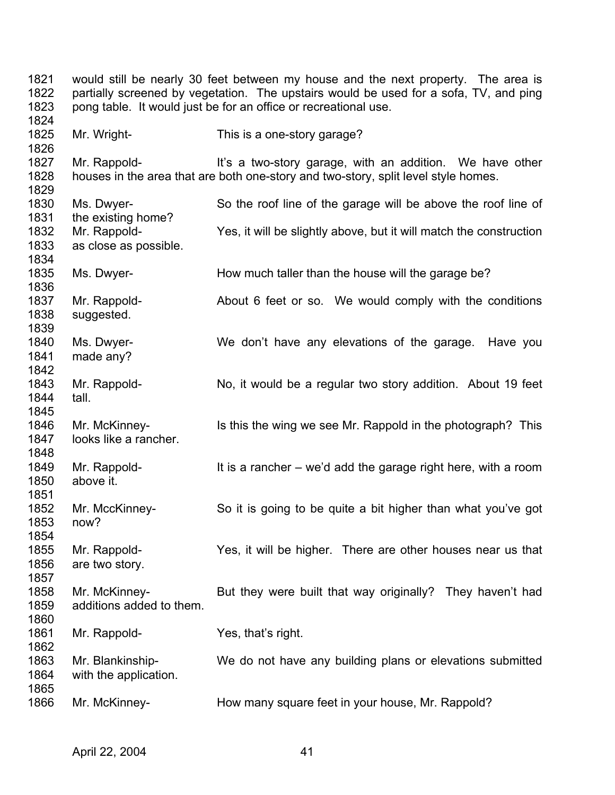1821 1822 1823 1824 1825 1826 1827 1828 1829 1830 1831 1832 1833 1834 1835 1836 1837 1838 1839 1840 1841 1842 1843 1844 1845 1846 1847 1848 1849 1850 1851 1852 1853 1854 1855 1856 1857 1858 1859 1860 1861 1862 1863 1864 1865 1866 would still be nearly 30 feet between my house and the next property. The area is partially screened by vegetation. The upstairs would be used for a sofa, TV, and ping pong table. It would just be for an office or recreational use. Mr. Wright- This is a one-story garage? Mr. Rappold- **It's a two-story garage, with an addition.** We have other houses in the area that are both one-story and two-story, split level style homes. Ms. Dwyer- So the roof line of the garage will be above the roof line of the existing home? Mr. Rappold- Yes, it will be slightly above, but it will match the construction as close as possible. Ms. Dwyer- How much taller than the house will the garage be? Mr. Rappold- About 6 feet or so. We would comply with the conditions suggested. Ms. Dwyer- We don't have any elevations of the garage. Have you made any? Mr. Rappold- No, it would be a regular two story addition. About 19 feet tall. Mr. McKinney- Is this the wing we see Mr. Rappold in the photograph? This looks like a rancher. Mr. Rappold- It is a rancher – we'd add the garage right here, with a room above it. Mr. MccKinney- So it is going to be quite a bit higher than what you've got now? Mr. Rappold- Yes, it will be higher. There are other houses near us that are two story. Mr. McKinney- But they were built that way originally? They haven't had additions added to them. Mr. Rappold- Yes, that's right. Mr. Blankinship- We do not have any building plans or elevations submitted with the application. Mr. McKinney- **How many square feet in your house, Mr. Rappold?**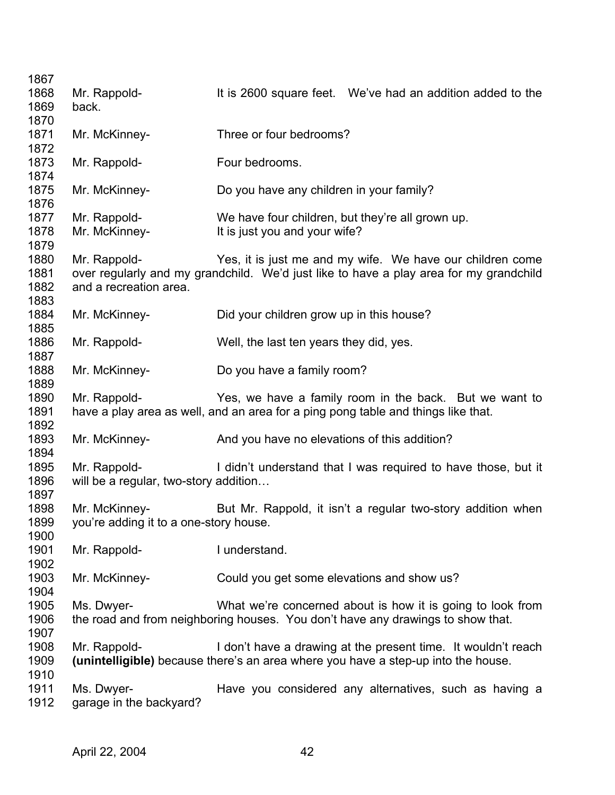| 1867 |                                       |                                                                                        |
|------|---------------------------------------|----------------------------------------------------------------------------------------|
| 1868 | Mr. Rappold-                          | It is 2600 square feet. We've had an addition added to the                             |
| 1869 | back.                                 |                                                                                        |
| 1870 |                                       |                                                                                        |
| 1871 | Mr. McKinney-                         | Three or four bedrooms?                                                                |
| 1872 |                                       |                                                                                        |
| 1873 | Mr. Rappold-                          | Four bedrooms.                                                                         |
| 1874 |                                       |                                                                                        |
| 1875 | Mr. McKinney-                         | Do you have any children in your family?                                               |
| 1876 |                                       |                                                                                        |
|      |                                       |                                                                                        |
| 1877 | Mr. Rappold-                          | We have four children, but they're all grown up.                                       |
| 1878 | Mr. McKinney-                         | It is just you and your wife?                                                          |
| 1879 |                                       |                                                                                        |
| 1880 | Mr. Rappold-                          | Yes, it is just me and my wife. We have our children come                              |
| 1881 |                                       | over regularly and my grandchild. We'd just like to have a play area for my grandchild |
| 1882 | and a recreation area.                |                                                                                        |
| 1883 |                                       |                                                                                        |
| 1884 | Mr. McKinney-                         | Did your children grow up in this house?                                               |
| 1885 |                                       |                                                                                        |
| 1886 | Mr. Rappold-                          | Well, the last ten years they did, yes.                                                |
| 1887 |                                       |                                                                                        |
| 1888 | Mr. McKinney-                         | Do you have a family room?                                                             |
| 1889 |                                       |                                                                                        |
| 1890 | Mr. Rappold-                          | Yes, we have a family room in the back. But we want to                                 |
| 1891 |                                       | have a play area as well, and an area for a ping pong table and things like that.      |
| 1892 |                                       |                                                                                        |
| 1893 | Mr. McKinney-                         | And you have no elevations of this addition?                                           |
| 1894 |                                       |                                                                                        |
| 1895 | Mr. Rappold-                          | I didn't understand that I was required to have those, but it                          |
| 1896 | will be a regular, two-story addition |                                                                                        |
| 1897 |                                       |                                                                                        |
| 1898 |                                       |                                                                                        |
|      | Mr. McKinney-                         | But Mr. Rappold, it isn't a regular two-story addition when                            |
| 1899 | you're adding it to a one-story house |                                                                                        |
| 1900 |                                       |                                                                                        |
| 1901 | Mr. Rappold-                          | I understand.                                                                          |
| 1902 |                                       |                                                                                        |
| 1903 | Mr. McKinney-                         | Could you get some elevations and show us?                                             |
| 1904 |                                       |                                                                                        |
| 1905 | Ms. Dwyer-                            | What we're concerned about is how it is going to look from                             |
| 1906 |                                       | the road and from neighboring houses. You don't have any drawings to show that.        |
| 1907 |                                       |                                                                                        |
| 1908 | Mr. Rappold-                          | I don't have a drawing at the present time. It wouldn't reach                          |
| 1909 |                                       | (unintelligible) because there's an area where you have a step-up into the house.      |
| 1910 |                                       |                                                                                        |
| 1911 | Ms. Dwyer-                            | Have you considered any alternatives, such as having a                                 |
| 1912 | garage in the backyard?               |                                                                                        |
|      |                                       |                                                                                        |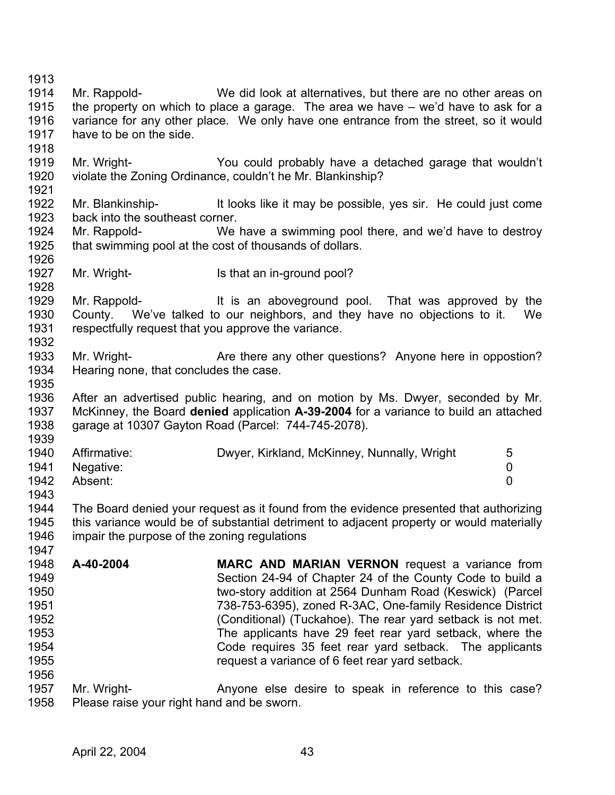1913 1914 1915 1916 1917 1918 1919 1920 1921 1922 1923 1924 1925 1926 1927 1928 1929 1930 1931 1932 1933 1934 1935 1936 1937 1938 1939 1940 1941 1942 1943 1944 1945 1946 1947 1948 1949 1950 1951 1952 1953 1954 1955 1956 1957 1958 Mr. Rappold- We did look at alternatives, but there are no other areas on the property on which to place a garage. The area we have – we'd have to ask for a variance for any other place. We only have one entrance from the street, so it would have to be on the side. Mr. Wright- You could probably have a detached garage that wouldn't violate the Zoning Ordinance, couldn't he Mr. Blankinship? Mr. Blankinship-<br>It looks like it may be possible, yes sir. He could just come back into the southeast corner. Mr. Rappold- We have a swimming pool there, and we'd have to destroy that swimming pool at the cost of thousands of dollars. Mr. Wright- Is that an in-ground pool? Mr. Rappold- **It is an aboveground pool.** That was approved by the County. We've talked to our neighbors, and they have no objections to it. We respectfully request that you approve the variance. Mr. Wright- **Are there any other questions?** Anyone here in oppostion? Hearing none, that concludes the case. After an advertised public hearing, and on motion by Ms. Dwyer, seconded by Mr. McKinney, the Board **denied** application **A-39-2004** for a variance to build an attached garage at 10307 Gayton Road (Parcel: 744-745-2078). Affirmative: Dwyer, Kirkland, McKinney, Nunnally, Wright 5 Negative: 0 Absent: 0 The Board denied your request as it found from the evidence presented that authorizing this variance would be of substantial detriment to adjacent property or would materially impair the purpose of the zoning regulations **A-40-2004 MARC AND MARIAN VERNON** request a variance from Section 24-94 of Chapter 24 of the County Code to build a two-story addition at 2564 Dunham Road (Keswick) (Parcel 738-753-6395), zoned R-3AC, One-family Residence District (Conditional) (Tuckahoe). The rear yard setback is not met. The applicants have 29 feet rear yard setback, where the Code requires 35 feet rear yard setback. The applicants request a variance of 6 feet rear yard setback. Mr. Wright- **Anyone else desire to speak in reference to this case?** Please raise your right hand and be sworn.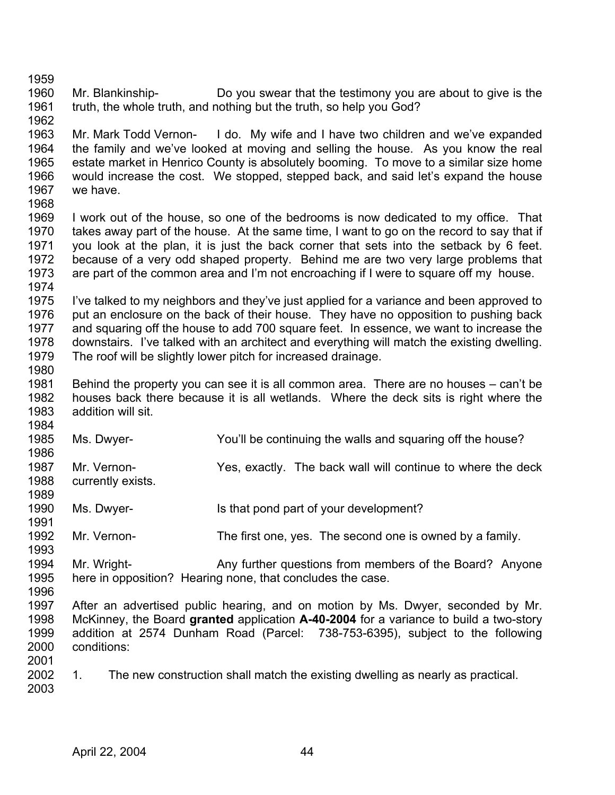1959 1960 1961 1962 Mr. Blankinship- Do you swear that the testimony you are about to give is the truth, the whole truth, and nothing but the truth, so help you God?

1963 1964 1965 1966 1967 1968 Mr. Mark Todd Vernon- I do. My wife and I have two children and we've expanded the family and we've looked at moving and selling the house. As you know the real estate market in Henrico County is absolutely booming. To move to a similar size home would increase the cost. We stopped, stepped back, and said let's expand the house we have.

1969 1970 1971 1972 1973 1974 I work out of the house, so one of the bedrooms is now dedicated to my office. That takes away part of the house. At the same time, I want to go on the record to say that if you look at the plan, it is just the back corner that sets into the setback by 6 feet. because of a very odd shaped property. Behind me are two very large problems that are part of the common area and I'm not encroaching if I were to square off my house.

1975 1976 1977 1978 1979 I've talked to my neighbors and they've just applied for a variance and been approved to put an enclosure on the back of their house. They have no opposition to pushing back and squaring off the house to add 700 square feet. In essence, we want to increase the downstairs. I've talked with an architect and everything will match the existing dwelling. The roof will be slightly lower pitch for increased drainage.

1981 1982 1983 Behind the property you can see it is all common area. There are no houses – can't be houses back there because it is all wetlands. Where the deck sits is right where the addition will sit.

- 1984 1985 Ms. Dwyer- You'll be continuing the walls and squaring off the house?
- 1986 1987 1988 Mr. Vernon- Yes, exactly. The back wall will continue to where the deck currently exists.
- 1990 Ms. Dwyer- Is that pond part of your development?
- 1992 Mr. Vernon- The first one, yes. The second one is owned by a family.
- 1994 1995 Mr. Wright- Any further questions from members of the Board? Anyone here in opposition? Hearing none, that concludes the case.
- 1996

1980

1989

1991

- 1997 1998 1999 2000 2001 After an advertised public hearing, and on motion by Ms. Dwyer, seconded by Mr. McKinney, the Board **granted** application **A-40-2004** for a variance to build a two-story addition at 2574 Dunham Road (Parcel: 738-753-6395), subject to the following conditions:
- 2002 2003 1. The new construction shall match the existing dwelling as nearly as practical.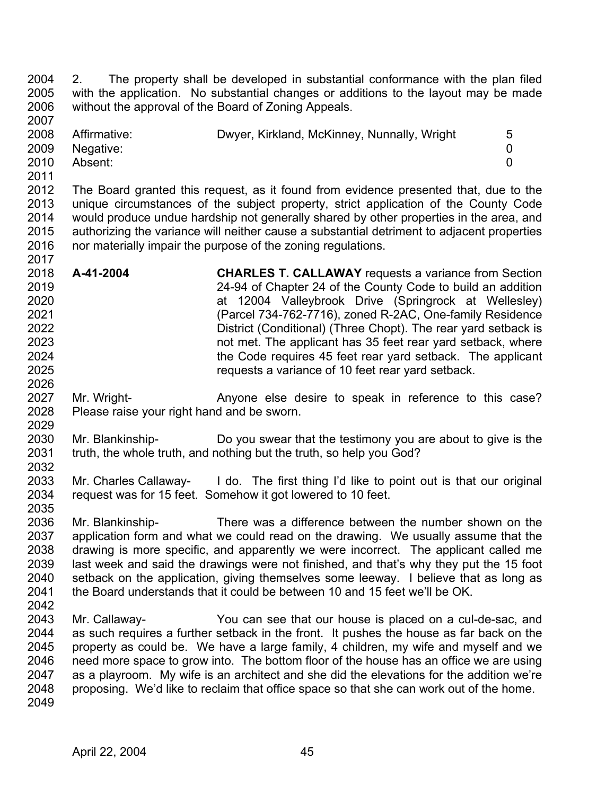2004 2005 2006 2007 2. The property shall be developed in substantial conformance with the plan filed with the application. No substantial changes or additions to the layout may be made without the approval of the Board of Zoning Appeals.

| 2008 | Affirmative: | Dwyer, Kirkland, McKinney, Nunnally, Wright | 5 |
|------|--------------|---------------------------------------------|---|
| 2009 | Negative:    |                                             |   |
| 2010 | Absent:      |                                             |   |
| 2011 |              |                                             |   |

2012 2013 2014 2015 2016 2017 The Board granted this request, as it found from evidence presented that, due to the unique circumstances of the subject property, strict application of the County Code would produce undue hardship not generally shared by other properties in the area, and authorizing the variance will neither cause a substantial detriment to adjacent properties nor materially impair the purpose of the zoning regulations.

- 2018 2019 2020 2021 2022 2023 2024 2025 2026 **A-41-2004 CHARLES T. CALLAWAY** requests a variance from Section 24-94 of Chapter 24 of the County Code to build an addition at 12004 Valleybrook Drive (Springrock at Wellesley) (Parcel 734-762-7716), zoned R-2AC, One-family Residence District (Conditional) (Three Chopt). The rear yard setback is not met. The applicant has 35 feet rear yard setback, where the Code requires 45 feet rear yard setback. The applicant requests a variance of 10 feet rear yard setback.
- 2027 2028 2029 Mr. Wright- **Anyone else desire to speak in reference to this case?** Please raise your right hand and be sworn.
- 2030 2031 2032 Mr. Blankinship- Do you swear that the testimony you are about to give is the truth, the whole truth, and nothing but the truth, so help you God?
- 2033 2034 Mr. Charles Callaway- I do. The first thing I'd like to point out is that our original request was for 15 feet. Somehow it got lowered to 10 feet.
- 2035 2036 2037 2038 2039 2040 2041 Mr. Blankinship- There was a difference between the number shown on the application form and what we could read on the drawing. We usually assume that the drawing is more specific, and apparently we were incorrect. The applicant called me last week and said the drawings were not finished, and that's why they put the 15 foot setback on the application, giving themselves some leeway. I believe that as long as the Board understands that it could be between 10 and 15 feet we'll be OK.
- 2042
- 2043 2044 2045 2046 2047 2048 2049 Mr. Callaway- You can see that our house is placed on a cul-de-sac, and as such requires a further setback in the front. It pushes the house as far back on the property as could be. We have a large family, 4 children, my wife and myself and we need more space to grow into. The bottom floor of the house has an office we are using as a playroom. My wife is an architect and she did the elevations for the addition we're proposing. We'd like to reclaim that office space so that she can work out of the home.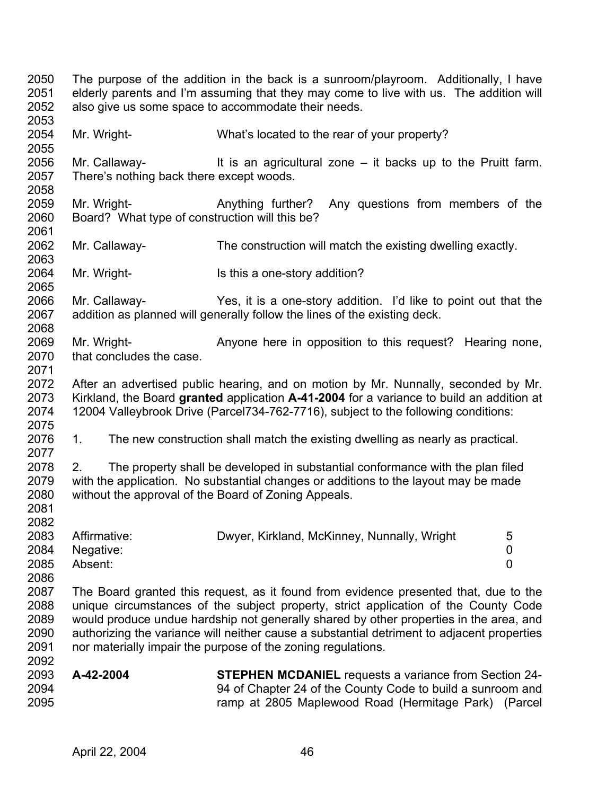2050 2051 2052 2053 2054 2055 2056 2057 2058 2059 2060 2061 2062 2063 2064 2065 2066 2067 2068 2069 2070 2071 2072 2073 2074 2075 2076 2077 2078 2079 2080 2081 2082 2083 2084 2085 2086 2087 2088 2089 2090 2091 2092 2093 2094 2095 The purpose of the addition in the back is a sunroom/playroom. Additionally, I have elderly parents and I'm assuming that they may come to live with us. The addition will also give us some space to accommodate their needs. Mr. Wright- What's located to the rear of your property? Mr. Callaway- It is an agricultural zone – it backs up to the Pruitt farm. There's nothing back there except woods. Mr. Wright- **Anything further?** Any questions from members of the Board? What type of construction will this be? Mr. Callaway- The construction will match the existing dwelling exactly. Mr. Wright- **Is this a one-story addition?** Mr. Callaway- Yes, it is a one-story addition. I'd like to point out that the addition as planned will generally follow the lines of the existing deck. Mr. Wright- **Anyone here in opposition to this request?** Hearing none, that concludes the case. After an advertised public hearing, and on motion by Mr. Nunnally, seconded by Mr. Kirkland, the Board **granted** application **A-41-2004** for a variance to build an addition at 12004 Valleybrook Drive (Parcel734-762-7716), subject to the following conditions: 1. The new construction shall match the existing dwelling as nearly as practical. 2. The property shall be developed in substantial conformance with the plan filed with the application. No substantial changes or additions to the layout may be made without the approval of the Board of Zoning Appeals. Affirmative: Dwyer, Kirkland, McKinney, Nunnally, Wright 5 Negative: 0 Absent: 0 The Board granted this request, as it found from evidence presented that, due to the unique circumstances of the subject property, strict application of the County Code would produce undue hardship not generally shared by other properties in the area, and authorizing the variance will neither cause a substantial detriment to adjacent properties nor materially impair the purpose of the zoning regulations. **A-42-2004 STEPHEN MCDANIEL** requests a variance from Section 24- 94 of Chapter 24 of the County Code to build a sunroom and ramp at 2805 Maplewood Road (Hermitage Park) (Parcel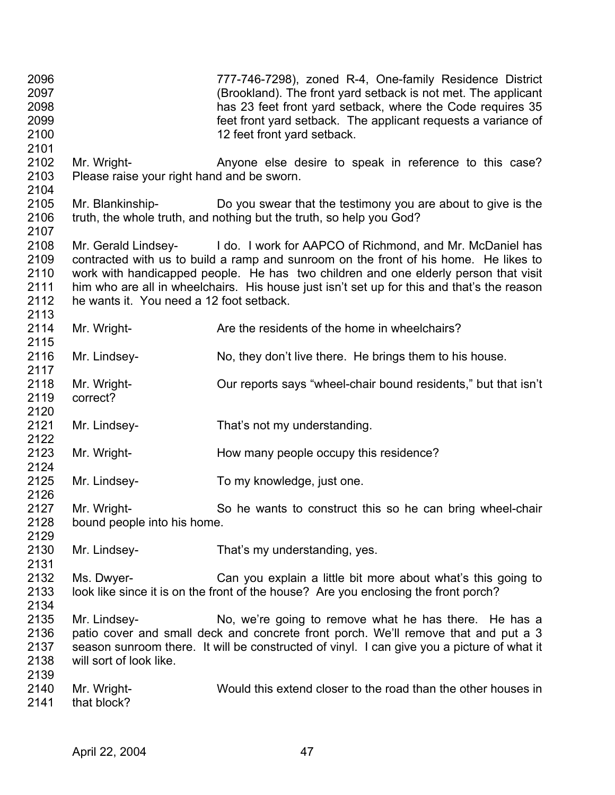| 2096<br>2097<br>2098<br>2099<br>2100<br>2101 |                                                           | 777-746-7298), zoned R-4, One-family Residence District<br>(Brookland). The front yard setback is not met. The applicant<br>has 23 feet front yard setback, where the Code requires 35<br>feet front yard setback. The applicant requests a variance of<br>12 feet front yard setback.                                                                    |
|----------------------------------------------|-----------------------------------------------------------|-----------------------------------------------------------------------------------------------------------------------------------------------------------------------------------------------------------------------------------------------------------------------------------------------------------------------------------------------------------|
| 2102<br>2103<br>2104                         | Mr. Wright-<br>Please raise your right hand and be sworn. | Anyone else desire to speak in reference to this case?                                                                                                                                                                                                                                                                                                    |
| 2105<br>2106<br>2107                         |                                                           | Mr. Blankinship- Do you swear that the testimony you are about to give is the<br>truth, the whole truth, and nothing but the truth, so help you God?                                                                                                                                                                                                      |
| 2108<br>2109<br>2110<br>2111<br>2112<br>2113 | he wants it. You need a 12 foot setback.                  | Mr. Gerald Lindsey- I do. I work for AAPCO of Richmond, and Mr. McDaniel has<br>contracted with us to build a ramp and sunroom on the front of his home. He likes to<br>work with handicapped people. He has two children and one elderly person that visit<br>him who are all in wheelchairs. His house just isn't set up for this and that's the reason |
| 2114<br>2115                                 | Mr. Wright-                                               | Are the residents of the home in wheelchairs?                                                                                                                                                                                                                                                                                                             |
| 2116<br>2117                                 | Mr. Lindsey-                                              | No, they don't live there. He brings them to his house.                                                                                                                                                                                                                                                                                                   |
| 2118<br>2119<br>2120                         | Mr. Wright-<br>correct?                                   | Our reports says "wheel-chair bound residents," but that isn't                                                                                                                                                                                                                                                                                            |
| 2121<br>2122                                 | Mr. Lindsey-                                              | That's not my understanding.                                                                                                                                                                                                                                                                                                                              |
| 2123<br>2124                                 | Mr. Wright-                                               | How many people occupy this residence?                                                                                                                                                                                                                                                                                                                    |
| 2125<br>2126                                 | Mr. Lindsey-                                              | To my knowledge, just one.                                                                                                                                                                                                                                                                                                                                |
| 2127<br>2128<br>2129                         | Mr. Wright-<br>bound people into his home.                | So he wants to construct this so he can bring wheel-chair                                                                                                                                                                                                                                                                                                 |
| 2130<br>2131                                 | Mr. Lindsey-                                              | That's my understanding, yes.                                                                                                                                                                                                                                                                                                                             |
| 2132<br>2133<br>2134                         | Ms. Dwyer-                                                | Can you explain a little bit more about what's this going to<br>look like since it is on the front of the house? Are you enclosing the front porch?                                                                                                                                                                                                       |
| 2135<br>2136<br>2137<br>2138<br>2139         | Mr. Lindsey-<br>will sort of look like.                   | No, we're going to remove what he has there. He has a<br>patio cover and small deck and concrete front porch. We'll remove that and put a 3<br>season sunroom there. It will be constructed of vinyl. I can give you a picture of what it                                                                                                                 |
| 2140<br>2141                                 | Mr. Wright-<br>that block?                                | Would this extend closer to the road than the other houses in                                                                                                                                                                                                                                                                                             |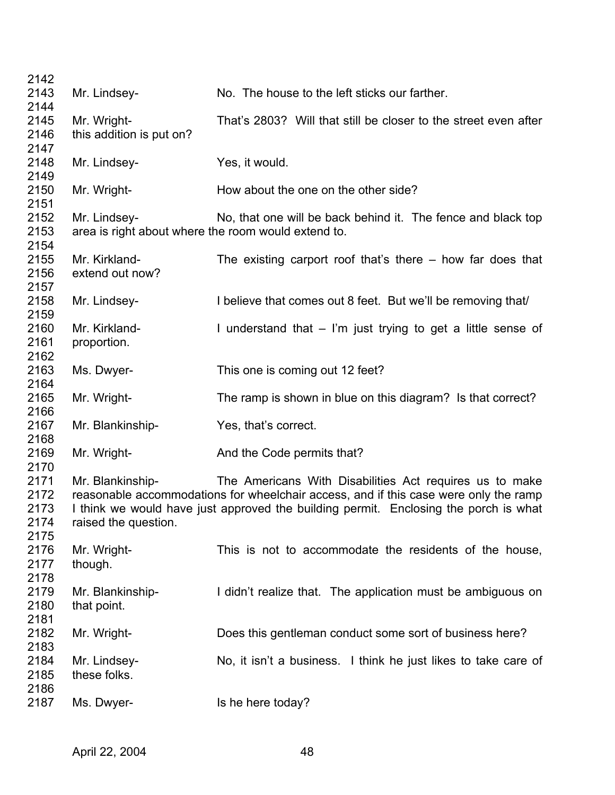| 2142 |                                                     |                                                                                      |
|------|-----------------------------------------------------|--------------------------------------------------------------------------------------|
| 2143 | Mr. Lindsey-                                        | No. The house to the left sticks our farther.                                        |
| 2144 |                                                     |                                                                                      |
| 2145 | Mr. Wright-                                         | That's 2803? Will that still be closer to the street even after                      |
| 2146 | this addition is put on?                            |                                                                                      |
| 2147 |                                                     |                                                                                      |
| 2148 | Mr. Lindsey-                                        | Yes, it would.                                                                       |
| 2149 |                                                     |                                                                                      |
|      |                                                     |                                                                                      |
| 2150 | Mr. Wright-                                         | How about the one on the other side?                                                 |
| 2151 |                                                     |                                                                                      |
| 2152 | Mr. Lindsey-                                        | No, that one will be back behind it. The fence and black top                         |
| 2153 | area is right about where the room would extend to. |                                                                                      |
| 2154 |                                                     |                                                                                      |
| 2155 | Mr. Kirkland-                                       | The existing carport roof that's there $-$ how far does that                         |
| 2156 | extend out now?                                     |                                                                                      |
| 2157 |                                                     |                                                                                      |
| 2158 | Mr. Lindsey-                                        | I believe that comes out 8 feet. But we'll be removing that                          |
| 2159 |                                                     |                                                                                      |
| 2160 | Mr. Kirkland-                                       | I understand that $-$ I'm just trying to get a little sense of                       |
| 2161 | proportion.                                         |                                                                                      |
| 2162 |                                                     |                                                                                      |
| 2163 | Ms. Dwyer-                                          | This one is coming out 12 feet?                                                      |
| 2164 |                                                     |                                                                                      |
| 2165 | Mr. Wright-                                         | The ramp is shown in blue on this diagram? Is that correct?                          |
| 2166 |                                                     |                                                                                      |
|      |                                                     |                                                                                      |
| 2167 | Mr. Blankinship-                                    | Yes, that's correct.                                                                 |
| 2168 |                                                     |                                                                                      |
| 2169 | Mr. Wright-                                         | And the Code permits that?                                                           |
| 2170 |                                                     |                                                                                      |
| 2171 | Mr. Blankinship-                                    | The Americans With Disabilities Act requires us to make                              |
| 2172 |                                                     | reasonable accommodations for wheelchair access, and if this case were only the ramp |
| 2173 |                                                     | I think we would have just approved the building permit. Enclosing the porch is what |
| 2174 | raised the question.                                |                                                                                      |
| 2175 |                                                     |                                                                                      |
| 2176 | Mr. Wright-                                         | This is not to accommodate the residents of the house,                               |
| 2177 | though.                                             |                                                                                      |
| 2178 |                                                     |                                                                                      |
| 2179 | Mr. Blankinship-                                    | I didn't realize that. The application must be ambiguous on                          |
| 2180 | that point.                                         |                                                                                      |
| 2181 |                                                     |                                                                                      |
| 2182 | Mr. Wright-                                         | Does this gentleman conduct some sort of business here?                              |
|      |                                                     |                                                                                      |
| 2183 |                                                     |                                                                                      |
| 2184 | Mr. Lindsey-                                        | No, it isn't a business. I think he just likes to take care of                       |
| 2185 | these folks.                                        |                                                                                      |
| 2186 |                                                     |                                                                                      |
| 2187 | Ms. Dwyer-                                          | Is he here today?                                                                    |
|      |                                                     |                                                                                      |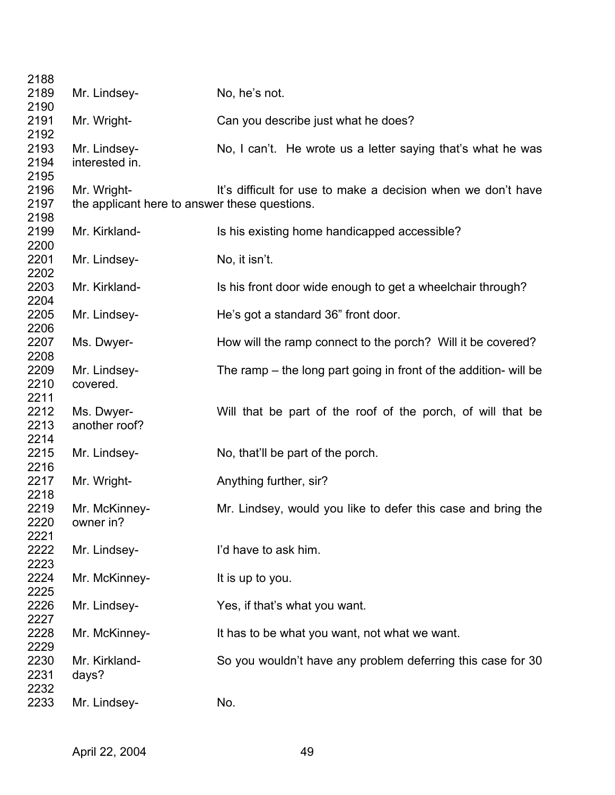| 2188 |                                               |                                                                    |
|------|-----------------------------------------------|--------------------------------------------------------------------|
| 2189 | Mr. Lindsey-                                  | No, he's not.                                                      |
| 2190 |                                               |                                                                    |
| 2191 | Mr. Wright-                                   | Can you describe just what he does?                                |
| 2192 |                                               |                                                                    |
| 2193 | Mr. Lindsey-                                  | No, I can't. He wrote us a letter saying that's what he was        |
| 2194 | interested in.                                |                                                                    |
| 2195 |                                               |                                                                    |
| 2196 | Mr. Wright-                                   | It's difficult for use to make a decision when we don't have       |
| 2197 | the applicant here to answer these questions. |                                                                    |
| 2198 |                                               |                                                                    |
| 2199 | Mr. Kirkland-                                 | Is his existing home handicapped accessible?                       |
| 2200 |                                               |                                                                    |
| 2201 | Mr. Lindsey-                                  | No, it isn't.                                                      |
| 2202 |                                               |                                                                    |
|      |                                               |                                                                    |
| 2203 | Mr. Kirkland-                                 | Is his front door wide enough to get a wheelchair through?         |
| 2204 |                                               |                                                                    |
| 2205 | Mr. Lindsey-                                  | He's got a standard 36" front door.                                |
| 2206 |                                               |                                                                    |
| 2207 | Ms. Dwyer-                                    | How will the ramp connect to the porch? Will it be covered?        |
| 2208 |                                               |                                                                    |
| 2209 | Mr. Lindsey-                                  | The ramp $-$ the long part going in front of the addition- will be |
| 2210 | covered.                                      |                                                                    |
| 2211 |                                               |                                                                    |
| 2212 | Ms. Dwyer-                                    | Will that be part of the roof of the porch, of will that be        |
| 2213 | another roof?                                 |                                                                    |
| 2214 |                                               |                                                                    |
| 2215 | Mr. Lindsey-                                  | No, that'll be part of the porch.                                  |
| 2216 |                                               |                                                                    |
| 2217 | Mr. Wright-                                   | Anything further, sir?                                             |
| 2218 |                                               |                                                                    |
| 2219 | Mr. McKinney-                                 | Mr. Lindsey, would you like to defer this case and bring the       |
| 2220 | owner in?                                     |                                                                    |
| 2221 |                                               |                                                                    |
| 2222 | Mr. Lindsey-                                  | I'd have to ask him.                                               |
| 2223 |                                               |                                                                    |
| 2224 | Mr. McKinney-                                 | It is up to you.                                                   |
| 2225 |                                               |                                                                    |
| 2226 | Mr. Lindsey-                                  | Yes, if that's what you want.                                      |
| 2227 |                                               |                                                                    |
| 2228 | Mr. McKinney-                                 | It has to be what you want, not what we want.                      |
| 2229 |                                               |                                                                    |
| 2230 | Mr. Kirkland-                                 | So you wouldn't have any problem deferring this case for 30        |
| 2231 | days?                                         |                                                                    |
| 2232 |                                               |                                                                    |
| 2233 | Mr. Lindsey-                                  | No.                                                                |
|      |                                               |                                                                    |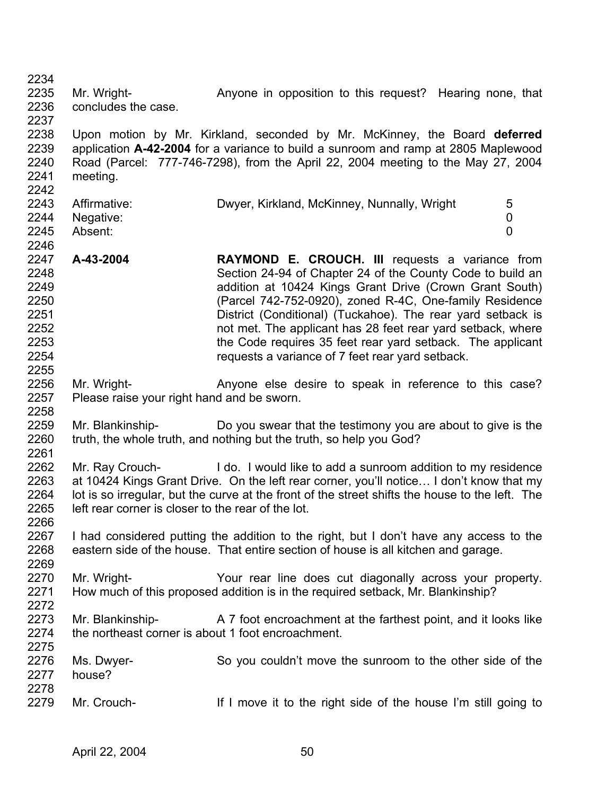2234 2235 2236 2237 2238 2239 2240 2241 2242 2243 2244 2245 2246 2247 2248 2249 2250 2251 2252 2253 2254 2255 2256 2257 2258 2259 2260 2261 2262 2263 2264 2265 2266 2267 2268 2269 2270 2271 2272 2273 2274 2275 2276 2277 2278 2279 Mr. Wright- **Anyone in opposition to this request?** Hearing none, that concludes the case. Upon motion by Mr. Kirkland, seconded by Mr. McKinney, the Board **deferred** application **A-42-2004** for a variance to build a sunroom and ramp at 2805 Maplewood Road (Parcel: 777-746-7298), from the April 22, 2004 meeting to the May 27, 2004 meeting. Affirmative: Dwyer, Kirkland, McKinney, Nunnally, Wright 5 Negative: 0 Absent: 0 **A-43-2004 RAYMOND E. CROUCH. III** requests a variance from Section 24-94 of Chapter 24 of the County Code to build an addition at 10424 Kings Grant Drive (Crown Grant South) (Parcel 742-752-0920), zoned R-4C, One-family Residence District (Conditional) (Tuckahoe). The rear yard setback is not met. The applicant has 28 feet rear yard setback, where the Code requires 35 feet rear yard setback. The applicant requests a variance of 7 feet rear yard setback. Mr. Wright- **Anyone else desire to speak in reference to this case?** Please raise your right hand and be sworn. Mr. Blankinship- Do you swear that the testimony you are about to give is the truth, the whole truth, and nothing but the truth, so help you God? Mr. Ray Crouch- **I** do. I would like to add a sunroom addition to my residence at 10424 Kings Grant Drive. On the left rear corner, you'll notice… I don't know that my lot is so irregular, but the curve at the front of the street shifts the house to the left. The left rear corner is closer to the rear of the lot. I had considered putting the addition to the right, but I don't have any access to the eastern side of the house. That entire section of house is all kitchen and garage. Mr. Wright- Your rear line does cut diagonally across your property. How much of this proposed addition is in the required setback, Mr. Blankinship? Mr. Blankinship- A 7 foot encroachment at the farthest point, and it looks like the northeast corner is about 1 foot encroachment. Ms. Dwyer- So you couldn't move the sunroom to the other side of the house? Mr. Crouch- If I move it to the right side of the house I'm still going to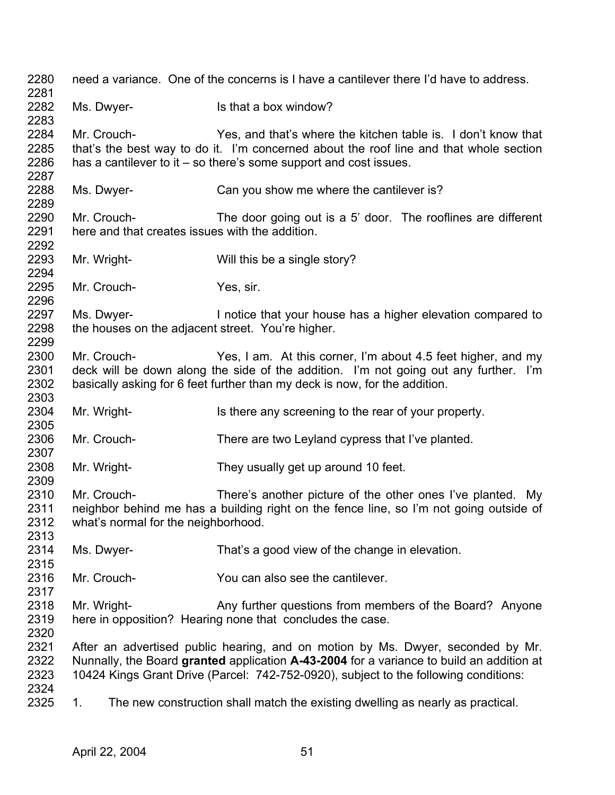| 2280<br>2281                 |                                                                 | need a variance. One of the concerns is I have a cantilever there I'd have to address.                                                                                                                                                                              |
|------------------------------|-----------------------------------------------------------------|---------------------------------------------------------------------------------------------------------------------------------------------------------------------------------------------------------------------------------------------------------------------|
| 2282<br>2283                 | Ms. Dwyer-                                                      | Is that a box window?                                                                                                                                                                                                                                               |
| 2284<br>2285<br>2286<br>2287 | Mr. Crouch-                                                     | Yes, and that's where the kitchen table is. I don't know that<br>that's the best way to do it. I'm concerned about the roof line and that whole section<br>has a cantilever to it $-$ so there's some support and cost issues.                                      |
| 2288<br>2289                 | Ms. Dwyer-                                                      | Can you show me where the cantilever is?                                                                                                                                                                                                                            |
| 2290<br>2291<br>2292         | Mr. Crouch-<br>here and that creates issues with the addition.  | The door going out is a 5' door. The rooflines are different                                                                                                                                                                                                        |
| 2293<br>2294                 | Mr. Wright-                                                     | Will this be a single story?                                                                                                                                                                                                                                        |
| 2295<br>2296                 | Mr. Crouch-                                                     | Yes, sir.                                                                                                                                                                                                                                                           |
| 2297<br>2298<br>2299         | Ms. Dwyer-<br>the houses on the adjacent street. You're higher. | I notice that your house has a higher elevation compared to                                                                                                                                                                                                         |
| 2300<br>2301<br>2302<br>2303 | Mr. Crouch-                                                     | Yes, I am. At this corner, I'm about 4.5 feet higher, and my<br>deck will be down along the side of the addition. I'm not going out any further. I'm<br>basically asking for 6 feet further than my deck is now, for the addition.                                  |
| 2304<br>2305                 | Mr. Wright-                                                     | Is there any screening to the rear of your property.                                                                                                                                                                                                                |
| 2306<br>2307                 | Mr. Crouch-                                                     | There are two Leyland cypress that I've planted.                                                                                                                                                                                                                    |
| 2308<br>2309                 | Mr. Wright-                                                     | They usually get up around 10 feet.                                                                                                                                                                                                                                 |
| 2310<br>2311<br>2312<br>2313 | Mr. Crouch-<br>what's normal for the neighborhood.              | There's another picture of the other ones I've planted. My<br>neighbor behind me has a building right on the fence line, so I'm not going outside of                                                                                                                |
| 2314<br>2315                 | Ms. Dwyer-                                                      | That's a good view of the change in elevation.                                                                                                                                                                                                                      |
| 2316<br>2317                 | Mr. Crouch-                                                     | You can also see the cantilever.                                                                                                                                                                                                                                    |
| 2318<br>2319<br>2320         | Mr. Wright-                                                     | Any further questions from members of the Board? Anyone<br>here in opposition? Hearing none that concludes the case.                                                                                                                                                |
| 2321<br>2322<br>2323<br>2324 |                                                                 | After an advertised public hearing, and on motion by Ms. Dwyer, seconded by Mr.<br>Nunnally, the Board granted application A-43-2004 for a variance to build an addition at<br>10424 Kings Grant Drive (Parcel: 742-752-0920), subject to the following conditions: |
| 2325                         | 1.                                                              | The new construction shall match the existing dwelling as nearly as practical.                                                                                                                                                                                      |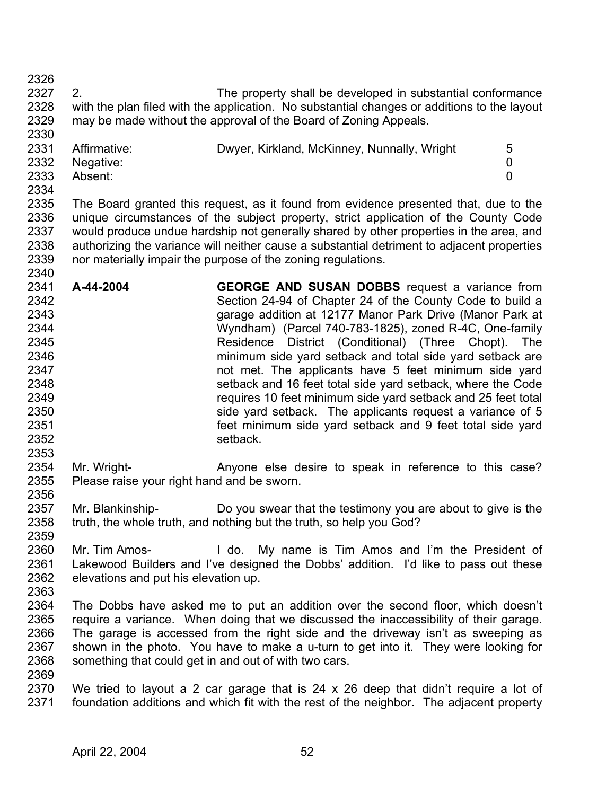2327 2328 2329 2330 2. The property shall be developed in substantial conformance with the plan filed with the application. No substantial changes or additions to the layout may be made without the approval of the Board of Zoning Appeals.

| ∼∽∽  |              |                                             |  |
|------|--------------|---------------------------------------------|--|
| 2331 | Affirmative: | Dwyer, Kirkland, McKinney, Nunnally, Wright |  |
| 2332 | Negative:    |                                             |  |
| 2333 | Absent:      |                                             |  |
| 2334 |              |                                             |  |

2335 2336 2337 2338 2339 The Board granted this request, as it found from evidence presented that, due to the unique circumstances of the subject property, strict application of the County Code would produce undue hardship not generally shared by other properties in the area, and authorizing the variance will neither cause a substantial detriment to adjacent properties nor materially impair the purpose of the zoning regulations.

- 2341 2342 2343 2344 2345 2346 2347 2348 2349 2350 2351 2352 **A-44-2004 GEORGE AND SUSAN DOBBS** request a variance from Section 24-94 of Chapter 24 of the County Code to build a garage addition at 12177 Manor Park Drive (Manor Park at Wyndham) (Parcel 740-783-1825), zoned R-4C, One-family Residence District (Conditional) (Three Chopt). The minimum side yard setback and total side yard setback are not met. The applicants have 5 feet minimum side yard setback and 16 feet total side yard setback, where the Code requires 10 feet minimum side yard setback and 25 feet total side yard setback. The applicants request a variance of 5 feet minimum side yard setback and 9 feet total side yard setback.
- 2354 2355 2356 Mr. Wright- **Anyone else desire to speak in reference to this case?** Please raise your right hand and be sworn.
- 2357 2358 2359 Mr. Blankinship- Do you swear that the testimony you are about to give is the truth, the whole truth, and nothing but the truth, so help you God?
- 2360 2361 2362 Mr. Tim Amos- I do. My name is Tim Amos and I'm the President of Lakewood Builders and I've designed the Dobbs' addition. I'd like to pass out these elevations and put his elevation up.
- 2364 2365 2366 2367 2368 2369 The Dobbs have asked me to put an addition over the second floor, which doesn't require a variance. When doing that we discussed the inaccessibility of their garage. The garage is accessed from the right side and the driveway isn't as sweeping as shown in the photo. You have to make a u-turn to get into it. They were looking for something that could get in and out of with two cars.
- 2370 2371 We tried to layout a 2 car garage that is 24 x 26 deep that didn't require a lot of foundation additions and which fit with the rest of the neighbor. The adjacent property

2326

2340

2353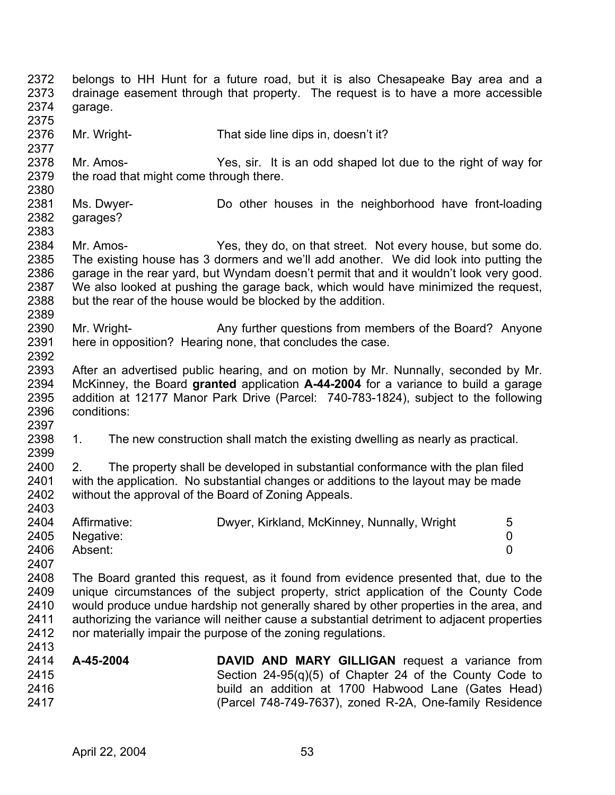2372 2373 2374 2375 2376 2377 2378 2379 2380 2381 2382 2383 2384 2385 2386 2387 2388 2389 2390 2391 2392 2393 2394 2395 2396 2397 2398 2399 2400 2401 2402 2403 2404 2405 2406 2407 2408 2409 2410 2411 2412 2413 2414 2415 2416 2417 belongs to HH Hunt for a future road, but it is also Chesapeake Bay area and a drainage easement through that property. The request is to have a more accessible garage. Mr. Wright- That side line dips in, doesn't it? Mr. Amos- Yes, sir. It is an odd shaped lot due to the right of way for the road that might come through there. Ms. Dwyer- Do other houses in the neighborhood have front-loading garages? Mr. Amos- Yes, they do, on that street. Not every house, but some do. The existing house has 3 dormers and we'll add another. We did look into putting the garage in the rear yard, but Wyndam doesn't permit that and it wouldn't look very good. We also looked at pushing the garage back, which would have minimized the request. but the rear of the house would be blocked by the addition. Mr. Wright- **Any further questions from members of the Board?** Anyone here in opposition? Hearing none, that concludes the case. After an advertised public hearing, and on motion by Mr. Nunnally, seconded by Mr. McKinney, the Board **granted** application **A-44-2004** for a variance to build a garage addition at 12177 Manor Park Drive (Parcel: 740-783-1824), subject to the following conditions: 1. The new construction shall match the existing dwelling as nearly as practical. 2. The property shall be developed in substantial conformance with the plan filed with the application. No substantial changes or additions to the layout may be made without the approval of the Board of Zoning Appeals. Affirmative: Dwyer, Kirkland, McKinney, Nunnally, Wright 5 Negative: 0 Absent: 0 The Board granted this request, as it found from evidence presented that, due to the unique circumstances of the subject property, strict application of the County Code would produce undue hardship not generally shared by other properties in the area, and authorizing the variance will neither cause a substantial detriment to adjacent properties nor materially impair the purpose of the zoning regulations. **A-45-2004 DAVID AND MARY GILLIGAN** request a variance from Section 24-95(q)(5) of Chapter 24 of the County Code to build an addition at 1700 Habwood Lane (Gates Head) (Parcel 748-749-7637), zoned R-2A, One-family Residence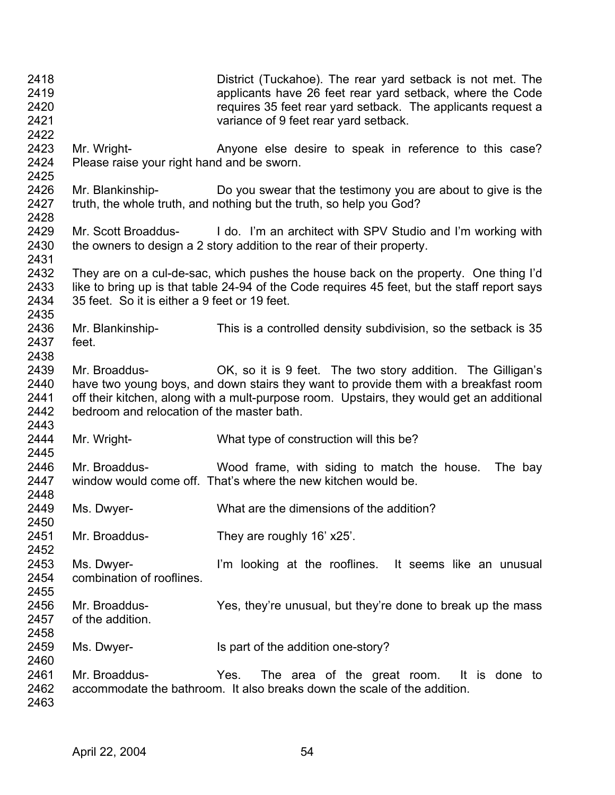| 2418<br>2419<br>2420<br>2421<br>2422 |                                                             | District (Tuckahoe). The rear yard setback is not met. The<br>applicants have 26 feet rear yard setback, where the Code<br>requires 35 feet rear yard setback. The applicants request a<br>variance of 9 feet rear yard setback.                 |
|--------------------------------------|-------------------------------------------------------------|--------------------------------------------------------------------------------------------------------------------------------------------------------------------------------------------------------------------------------------------------|
| 2423<br>2424<br>2425                 | Mr. Wright-<br>Please raise your right hand and be sworn.   | Anyone else desire to speak in reference to this case?                                                                                                                                                                                           |
| 2426<br>2427<br>2428                 | Mr. Blankinship-                                            | Do you swear that the testimony you are about to give is the<br>truth, the whole truth, and nothing but the truth, so help you God?                                                                                                              |
| 2429<br>2430<br>2431                 |                                                             | Mr. Scott Broaddus- I do. I'm an architect with SPV Studio and I'm working with<br>the owners to design a 2 story addition to the rear of their property.                                                                                        |
| 2432<br>2433<br>2434<br>2435         | 35 feet. So it is either a 9 feet or 19 feet.               | They are on a cul-de-sac, which pushes the house back on the property. One thing I'd<br>like to bring up is that table 24-94 of the Code requires 45 feet, but the staff report says                                                             |
| 2436<br>2437<br>2438                 | Mr. Blankinship-<br>feet.                                   | This is a controlled density subdivision, so the setback is 35                                                                                                                                                                                   |
| 2439<br>2440<br>2441<br>2442<br>2443 | Mr. Broaddus-<br>bedroom and relocation of the master bath. | OK, so it is 9 feet. The two story addition. The Gilligan's<br>have two young boys, and down stairs they want to provide them with a breakfast room<br>off their kitchen, along with a mult-purpose room. Upstairs, they would get an additional |
| 2444<br>2445                         | Mr. Wright-                                                 | What type of construction will this be?                                                                                                                                                                                                          |
| 2446<br>2447<br>2448                 | Mr. Broaddus-                                               | Wood frame, with siding to match the house.<br>The bay<br>window would come off. That's where the new kitchen would be.                                                                                                                          |
| 2449<br>2450                         | Ms. Dwyer-                                                  | What are the dimensions of the addition?                                                                                                                                                                                                         |
| 2451<br>2452                         | Mr. Broaddus-                                               | They are roughly 16' x25'.                                                                                                                                                                                                                       |
| 2453<br>2454<br>2455                 | Ms. Dwyer-<br>combination of rooflines.                     | I'm looking at the rooflines. It seems like an unusual                                                                                                                                                                                           |
| 2456<br>2457<br>2458                 | Mr. Broaddus-<br>of the addition.                           | Yes, they're unusual, but they're done to break up the mass                                                                                                                                                                                      |
| 2459<br>2460                         | Ms. Dwyer-                                                  | Is part of the addition one-story?                                                                                                                                                                                                               |
| 2461<br>2462<br>2463                 | Mr. Broaddus-                                               | The area of the great room. It is done to<br>Yes.<br>accommodate the bathroom. It also breaks down the scale of the addition.                                                                                                                    |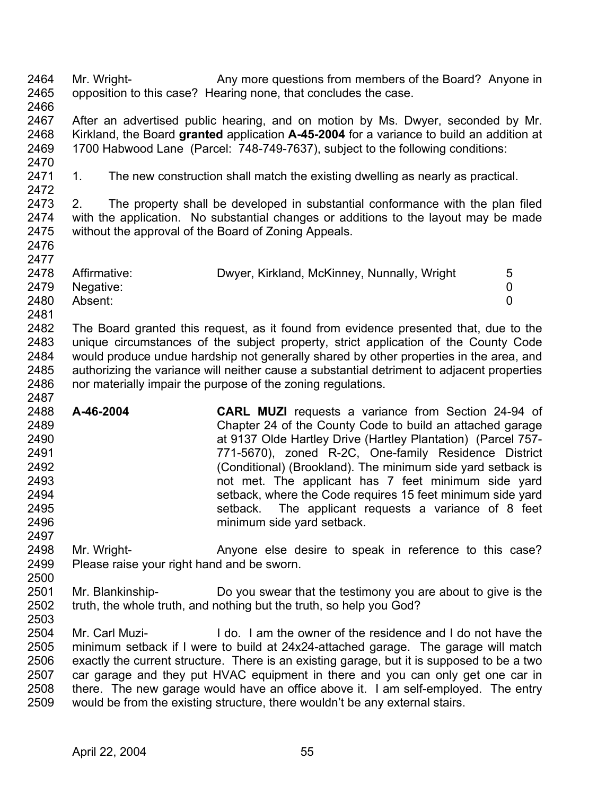2464 2465 2466 2467 2468 2469 2470 2471 2472 2473 2474 2475 2476 2477 2478 2479 2480 2481 2482 2483 2484 2485 2486 2487 2488 2489 2490 2491 2492 2493 2494 2495 2496 2497 2498 2499 2500 2501 2502 2503 2504 2505 2506 2507 2508 Mr. Wright- **Any more questions from members of the Board?** Anyone in opposition to this case? Hearing none, that concludes the case. After an advertised public hearing, and on motion by Ms. Dwyer, seconded by Mr. Kirkland, the Board **granted** application **A-45-2004** for a variance to build an addition at 1700 Habwood Lane (Parcel: 748-749-7637), subject to the following conditions: 1. The new construction shall match the existing dwelling as nearly as practical. 2. The property shall be developed in substantial conformance with the plan filed with the application. No substantial changes or additions to the layout may be made without the approval of the Board of Zoning Appeals. Affirmative: Dwyer, Kirkland, McKinney, Nunnally, Wright 5 Negative: 0 Absent: 0 The Board granted this request, as it found from evidence presented that, due to the unique circumstances of the subject property, strict application of the County Code would produce undue hardship not generally shared by other properties in the area, and authorizing the variance will neither cause a substantial detriment to adjacent properties nor materially impair the purpose of the zoning regulations. **A-46-2004 CARL MUZI** requests a variance from Section 24-94 of Chapter 24 of the County Code to build an attached garage at 9137 Olde Hartley Drive (Hartley Plantation) (Parcel 757- 771-5670), zoned R-2C, One-family Residence District (Conditional) (Brookland). The minimum side yard setback is not met. The applicant has 7 feet minimum side yard setback, where the Code requires 15 feet minimum side yard setback. The applicant requests a variance of 8 feet minimum side yard setback. Mr. Wright- **Anyone else desire to speak in reference to this case?** Please raise your right hand and be sworn. Mr. Blankinship- Do you swear that the testimony you are about to give is the truth, the whole truth, and nothing but the truth, so help you God? Mr. Carl Muzi- I do. I am the owner of the residence and I do not have the minimum setback if I were to build at 24x24-attached garage. The garage will match exactly the current structure. There is an existing garage, but it is supposed to be a two car garage and they put HVAC equipment in there and you can only get one car in there. The new garage would have an office above it. I am self-employed. The entry

2509 would be from the existing structure, there wouldn't be any external stairs.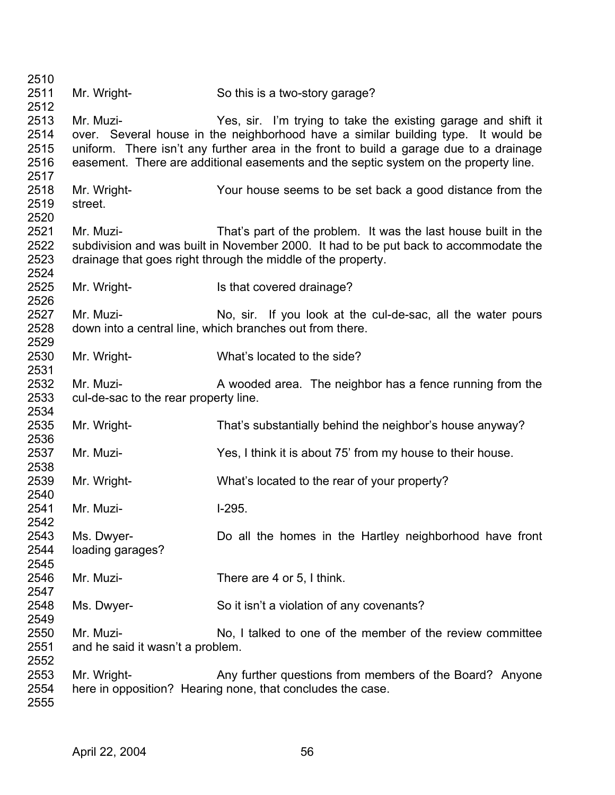| 2510                                 |                                                                                                                                                                                                                                     |                                                                                                                                                                                                                                                                                                                                      |  |  |  |
|--------------------------------------|-------------------------------------------------------------------------------------------------------------------------------------------------------------------------------------------------------------------------------------|--------------------------------------------------------------------------------------------------------------------------------------------------------------------------------------------------------------------------------------------------------------------------------------------------------------------------------------|--|--|--|
| 2511<br>2512                         | Mr. Wright-                                                                                                                                                                                                                         | So this is a two-story garage?                                                                                                                                                                                                                                                                                                       |  |  |  |
| 2513<br>2514<br>2515<br>2516<br>2517 | Mr. Muzi-                                                                                                                                                                                                                           | Yes, sir. I'm trying to take the existing garage and shift it<br>over. Several house in the neighborhood have a similar building type. It would be<br>uniform. There isn't any further area in the front to build a garage due to a drainage<br>easement. There are additional easements and the septic system on the property line. |  |  |  |
| 2518<br>2519<br>2520                 | Mr. Wright-<br>street.                                                                                                                                                                                                              | Your house seems to be set back a good distance from the                                                                                                                                                                                                                                                                             |  |  |  |
| 2521<br>2522<br>2523<br>2524         | Mr. Muzi-<br>That's part of the problem. It was the last house built in the<br>subdivision and was built in November 2000. It had to be put back to accommodate the<br>drainage that goes right through the middle of the property. |                                                                                                                                                                                                                                                                                                                                      |  |  |  |
| 2525<br>2526                         | Mr. Wright-                                                                                                                                                                                                                         | Is that covered drainage?                                                                                                                                                                                                                                                                                                            |  |  |  |
| 2527<br>2528<br>2529                 | Mr. Muzi-<br>No, sir. If you look at the cul-de-sac, all the water pours<br>down into a central line, which branches out from there.                                                                                                |                                                                                                                                                                                                                                                                                                                                      |  |  |  |
| 2530<br>2531                         | Mr. Wright-                                                                                                                                                                                                                         | What's located to the side?                                                                                                                                                                                                                                                                                                          |  |  |  |
| 2532<br>2533<br>2534                 | Mr. Muzi-<br>A wooded area. The neighbor has a fence running from the<br>cul-de-sac to the rear property line.                                                                                                                      |                                                                                                                                                                                                                                                                                                                                      |  |  |  |
| 2535<br>2536                         | Mr. Wright-                                                                                                                                                                                                                         | That's substantially behind the neighbor's house anyway?                                                                                                                                                                                                                                                                             |  |  |  |
| 2537<br>2538                         | Mr. Muzi-                                                                                                                                                                                                                           | Yes, I think it is about 75' from my house to their house.                                                                                                                                                                                                                                                                           |  |  |  |
| 2539<br>2540                         | Mr. Wright-                                                                                                                                                                                                                         | What's located to the rear of your property?                                                                                                                                                                                                                                                                                         |  |  |  |
| 2541<br>2542                         | Mr. Muzi-                                                                                                                                                                                                                           | $1-295.$                                                                                                                                                                                                                                                                                                                             |  |  |  |
| 2543<br>2544<br>2545                 | Ms. Dwyer-<br>loading garages?                                                                                                                                                                                                      | Do all the homes in the Hartley neighborhood have front                                                                                                                                                                                                                                                                              |  |  |  |
| 2546<br>2547                         | Mr. Muzi-                                                                                                                                                                                                                           | There are 4 or 5, I think.                                                                                                                                                                                                                                                                                                           |  |  |  |
| 2548<br>2549                         | Ms. Dwyer-                                                                                                                                                                                                                          | So it isn't a violation of any covenants?                                                                                                                                                                                                                                                                                            |  |  |  |
| 2550<br>2551<br>2552                 | Mr. Muzi-<br>and he said it wasn't a problem.                                                                                                                                                                                       | No, I talked to one of the member of the review committee                                                                                                                                                                                                                                                                            |  |  |  |
| 2553<br>2554<br>2555                 | Mr. Wright-<br>Any further questions from members of the Board? Anyone<br>here in opposition? Hearing none, that concludes the case.                                                                                                |                                                                                                                                                                                                                                                                                                                                      |  |  |  |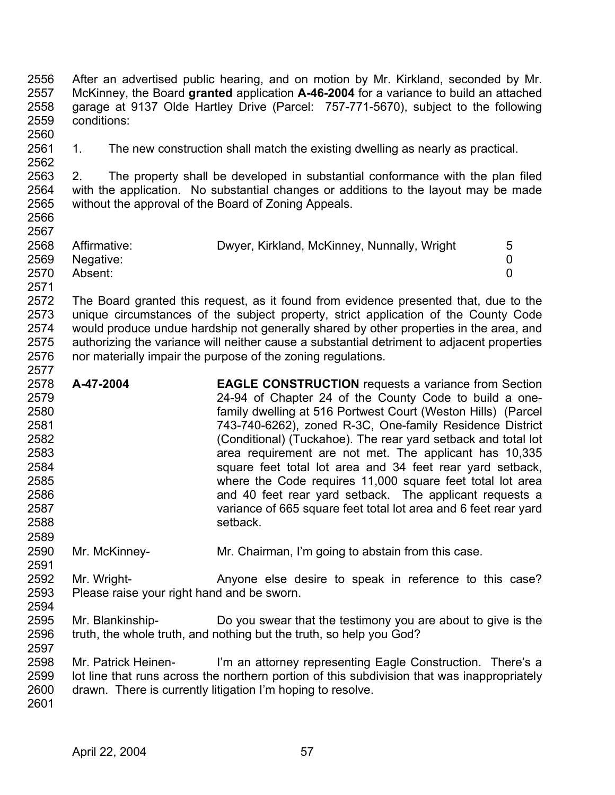2556 2557 2558 2559 2560 After an advertised public hearing, and on motion by Mr. Kirkland, seconded by Mr. McKinney, the Board **granted** application **A-46-2004** for a variance to build an attached garage at 9137 Olde Hartley Drive (Parcel: 757-771-5670), subject to the following conditions:

2561 2562 1. The new construction shall match the existing dwelling as nearly as practical.

2563 2564 2565 2566 2. The property shall be developed in substantial conformance with the plan filed with the application. No substantial changes or additions to the layout may be made without the approval of the Board of Zoning Appeals.

| ---  |              |                                             |   |
|------|--------------|---------------------------------------------|---|
| 2568 | Affirmative: | Dwyer, Kirkland, McKinney, Nunnally, Wright | 5 |
| 2569 | Negative:    |                                             |   |
| 2570 | Absent:      |                                             |   |
| 2571 |              |                                             |   |

2572 2573 2574 2575 2576 The Board granted this request, as it found from evidence presented that, due to the unique circumstances of the subject property, strict application of the County Code would produce undue hardship not generally shared by other properties in the area, and authorizing the variance will neither cause a substantial detriment to adjacent properties nor materially impair the purpose of the zoning regulations.

- 2578 2579 2580 2581 2582 2583 2584 2585 2586 2587 2588 2589 **A-47-2004 EAGLE CONSTRUCTION** requests a variance from Section 24-94 of Chapter 24 of the County Code to build a onefamily dwelling at 516 Portwest Court (Weston Hills) (Parcel 743-740-6262), zoned R-3C, One-family Residence District (Conditional) (Tuckahoe). The rear yard setback and total lot area requirement are not met. The applicant has 10,335 square feet total lot area and 34 feet rear yard setback, where the Code requires 11,000 square feet total lot area and 40 feet rear yard setback. The applicant requests a variance of 665 square feet total lot area and 6 feet rear yard setback.
- 2590 2591 Mr. McKinney- Mr. Chairman, I'm going to abstain from this case.

2592 2593 2594 Mr. Wright- **Anyone else desire to speak in reference to this case?** Please raise your right hand and be sworn.

2595 2596 Mr. Blankinship- Do you swear that the testimony you are about to give is the truth, the whole truth, and nothing but the truth, so help you God?

2598 2599 2600 Mr. Patrick Heinen- I'm an attorney representing Eagle Construction. There's a lot line that runs across the northern portion of this subdivision that was inappropriately drawn. There is currently litigation I'm hoping to resolve.

2601

2597

2567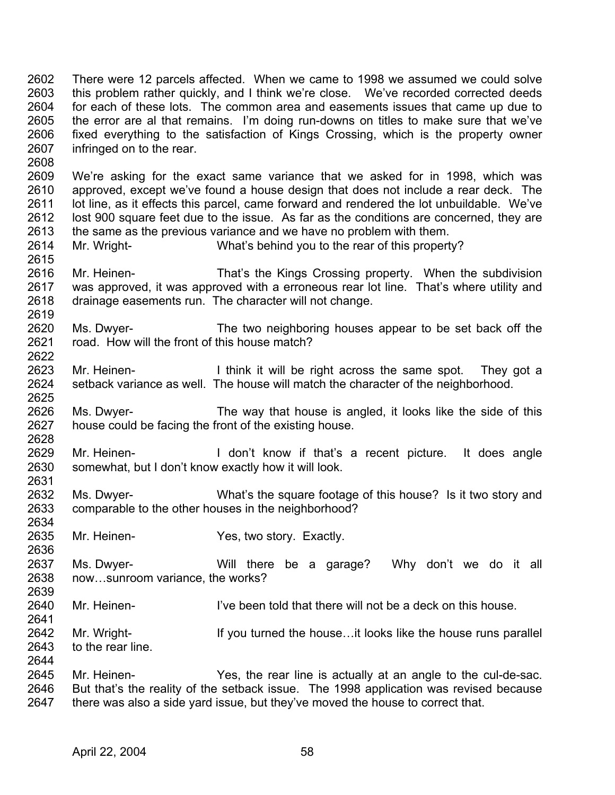2602 2603 2604 2605 2606 2607 There were 12 parcels affected. When we came to 1998 we assumed we could solve this problem rather quickly, and I think we're close. We've recorded corrected deeds for each of these lots. The common area and easements issues that came up due to the error are al that remains. I'm doing run-downs on titles to make sure that we've fixed everything to the satisfaction of Kings Crossing, which is the property owner infringed on to the rear.

2608

2622

2628

2634

2636

2639

2641

2644

2609 2610 2611 2612 2613 We're asking for the exact same variance that we asked for in 1998, which was approved, except we've found a house design that does not include a rear deck. The lot line, as it effects this parcel, came forward and rendered the lot unbuildable. We've lost 900 square feet due to the issue. As far as the conditions are concerned, they are the same as the previous variance and we have no problem with them.

- 2614 2615 Mr. Wright- What's behind you to the rear of this property?
- 2616 2617 2618 2619 Mr. Heinen- That's the Kings Crossing property. When the subdivision was approved, it was approved with a erroneous rear lot line. That's where utility and drainage easements run. The character will not change.
- 2620 2621 Ms. Dwyer- The two neighboring houses appear to be set back off the road. How will the front of this house match?
- 2623 2624 2625 Mr. Heinen- **I** think it will be right across the same spot. They got a setback variance as well. The house will match the character of the neighborhood.
- 2626 2627 Ms. Dwyer- The way that house is angled, it looks like the side of this house could be facing the front of the existing house.
- 2629 2630 2631 Mr. Heinen- **I** don't know if that's a recent picture. It does angle somewhat, but I don't know exactly how it will look.
- 2632 2633 Ms. Dwyer- What's the square footage of this house? Is it two story and comparable to the other houses in the neighborhood?
- 2635 Mr. Heinen- Yes, two story. Exactly.
- 2637 2638 Ms. Dwyer- Will there be a garage? Why don't we do it all now…sunroom variance, the works?
- 2640 Mr. Heinen- **I've been told that there will not be a deck on this house.**
- 2642 2643 Mr. Wright- If you turned the house...it looks like the house runs parallel to the rear line.
- 2645 2646 2647 Mr. Heinen- Yes, the rear line is actually at an angle to the cul-de-sac. But that's the reality of the setback issue. The 1998 application was revised because there was also a side yard issue, but they've moved the house to correct that.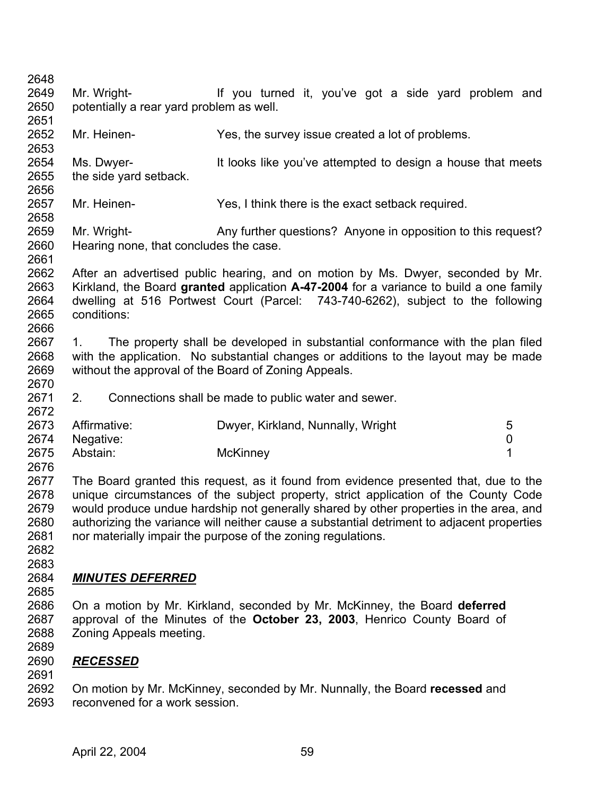- Mr. Wright- **If you turned it, you've got a side yard problem and** potentially a rear yard problem as well.
- Mr. Heinen- Yes, the survey issue created a lot of problems.
- Ms. Dwyer- The It looks like you've attempted to design a house that meets the side yard setback.
- Mr. Heinen- Yes, I think there is the exact setback required.
- Mr. Wright- **Any further questions?** Anyone in opposition to this request? Hearing none, that concludes the case.
- After an advertised public hearing, and on motion by Ms. Dwyer, seconded by Mr. Kirkland, the Board **granted** application **A-47-2004** for a variance to build a one family dwelling at 516 Portwest Court (Parcel: 743-740-6262), subject to the following conditions:
- 1. The property shall be developed in substantial conformance with the plan filed with the application. No substantial changes or additions to the layout may be made without the approval of the Board of Zoning Appeals.
- 2. Connections shall be made to public water and sewer.

|      | 2673 Affirmative: | Dwyer, Kirkland, Nunnally, Wright | 5 |
|------|-------------------|-----------------------------------|---|
|      | 2674 Negative:    |                                   |   |
| 2675 | Abstain:          | McKinney                          |   |
| 2676 |                   |                                   |   |

 The Board granted this request, as it found from evidence presented that, due to the unique circumstances of the subject property, strict application of the County Code would produce undue hardship not generally shared by other properties in the area, and authorizing the variance will neither cause a substantial detriment to adjacent properties nor materially impair the purpose of the zoning regulations.

 

# *MINUTES DEFERRED*

- 
- On a motion by Mr. Kirkland, seconded by Mr. McKinney, the Board **deferred**  approval of the Minutes of the **October 23, 2003**, Henrico County Board of Zoning Appeals meeting.
- *RECESSED*
- 
- On motion by Mr. McKinney, seconded by Mr. Nunnally, the Board **recessed** and reconvened for a work session.